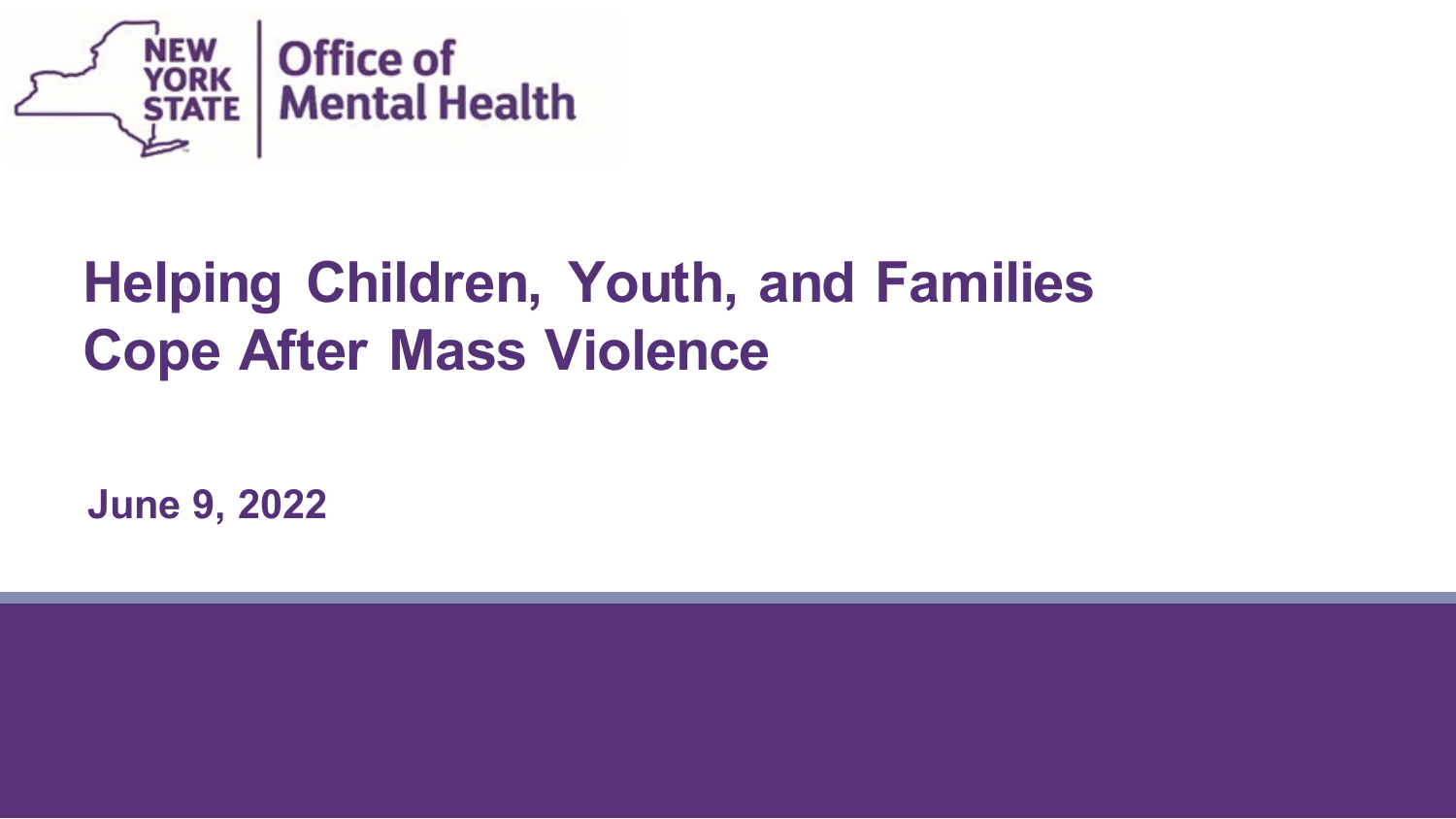

#### **Helping Children, Youth, and Families Cope After Mass Violence**

**June 9, 2022**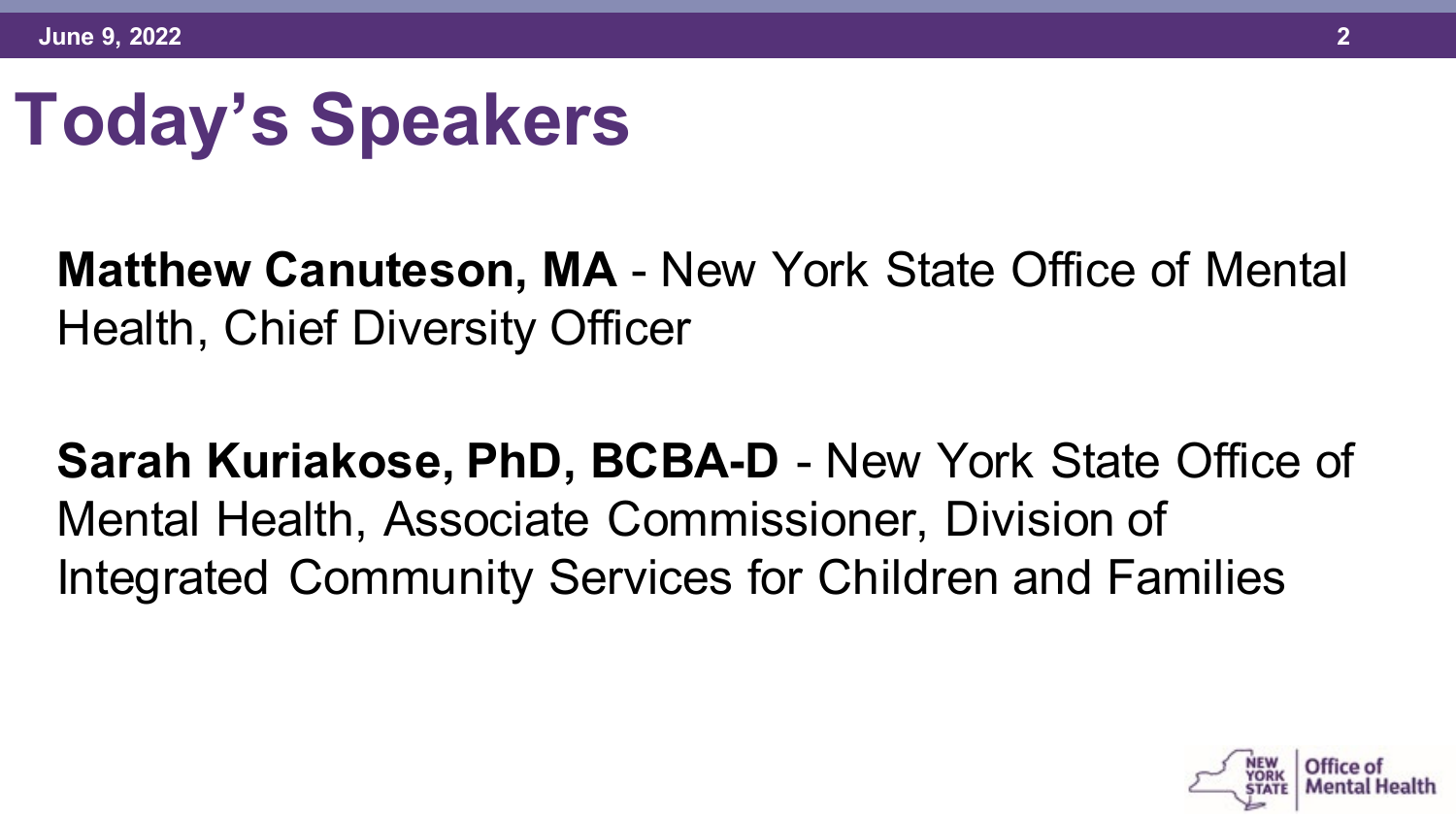# **Today's Speakers**

#### **Matthew Canuteson, MA** - New York State Office of Mental Health, Chief Diversity Officer

**Sarah Kuriakose, PhD, BCBA-D** - New York State Office of Mental Health, Associate Commissioner, Division of Integrated Community Services for Children and Families

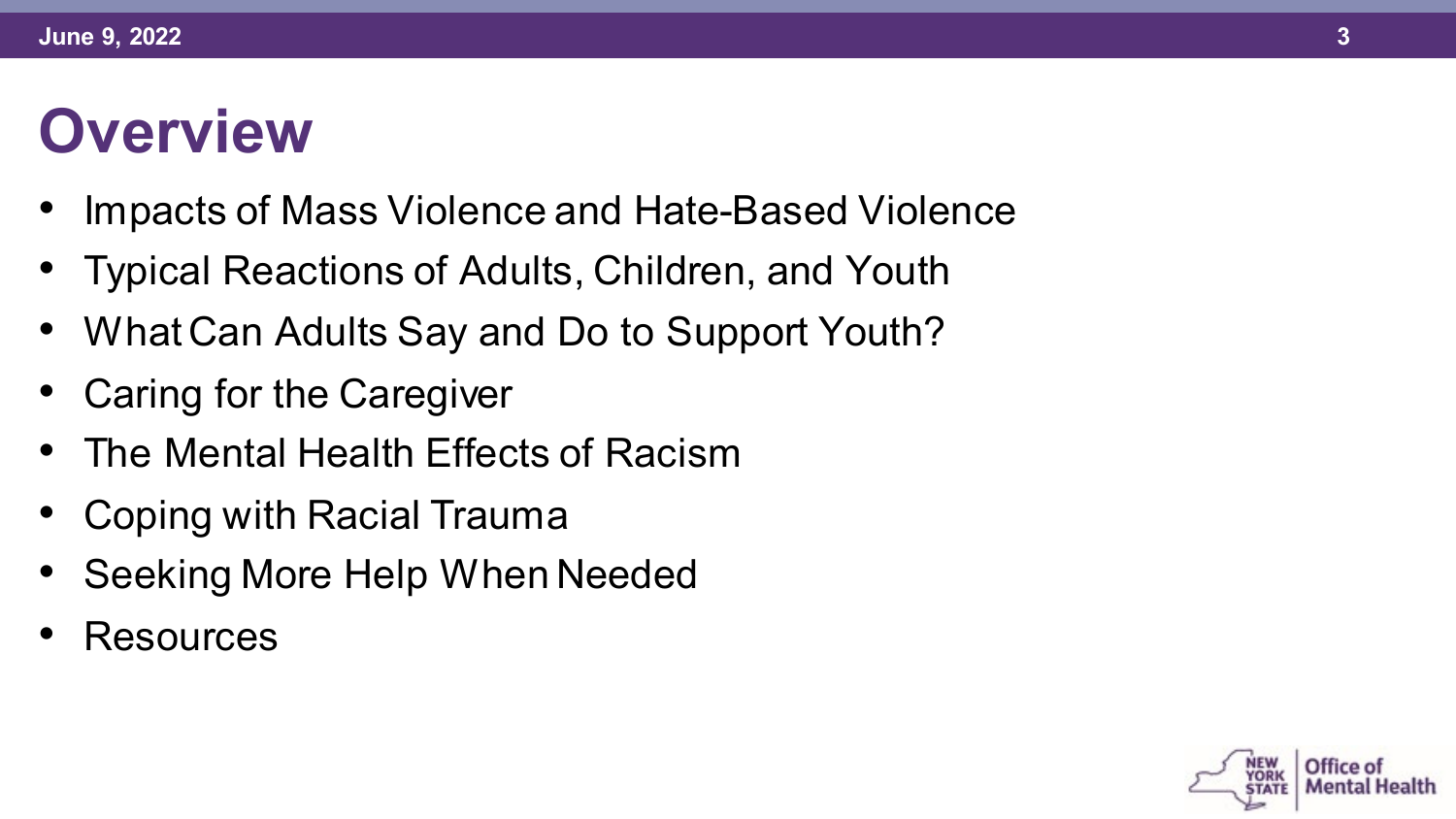#### **Overview**

- Impacts of Mass Violence and Hate-Based Violence
- Typical Reactions of Adults, Children, and Youth
- What Can Adults Say and Do to Support Youth?
- Caring for the Caregiver
- The Mental Health Effects of Racism
- Coping with Racial Trauma
- Seeking More Help When Needed
- Resources

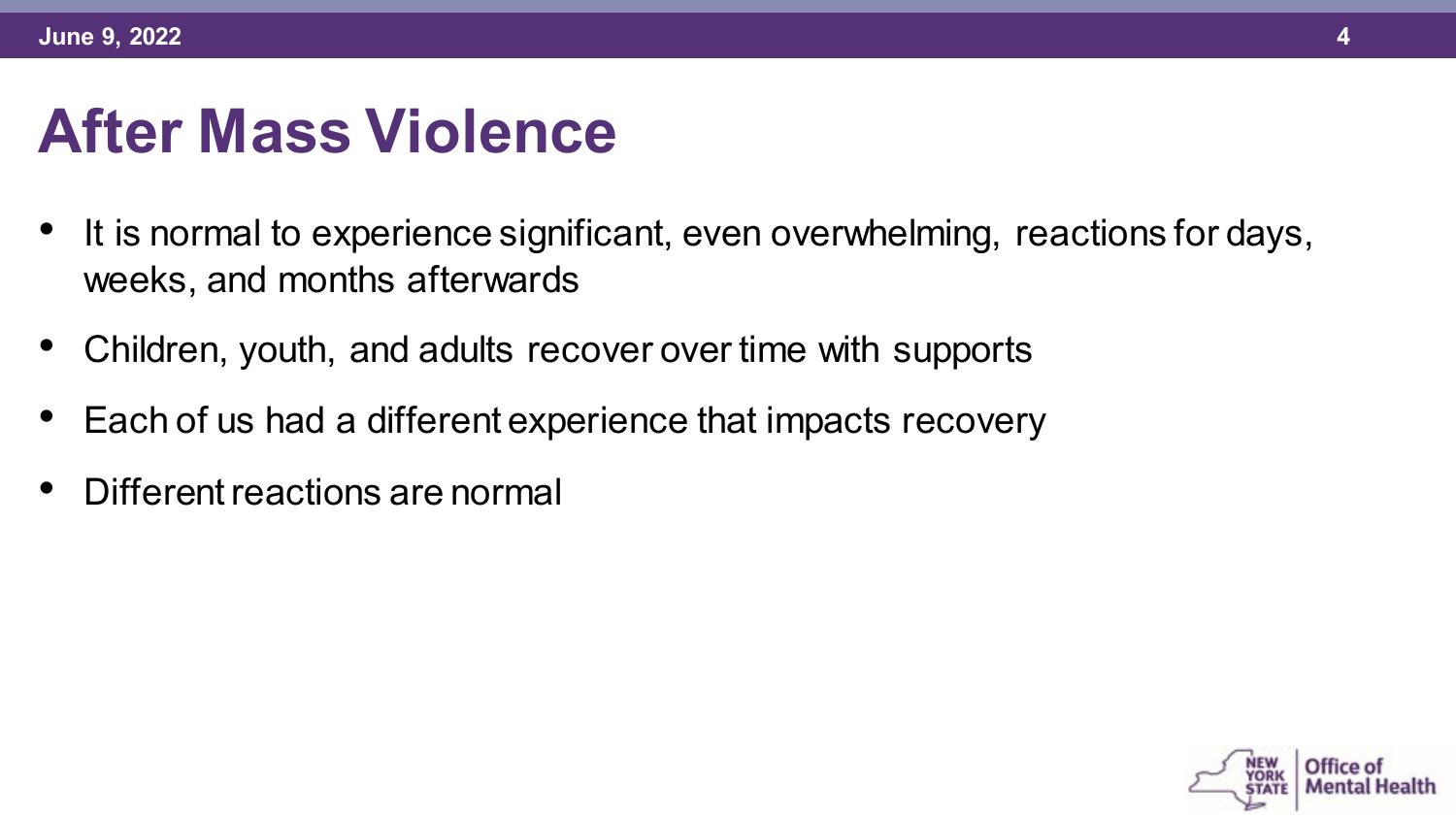#### **After Mass Violence**

- It is normal to experience significant, even overwhelming, reactions for days, weeks, and months afterwards
- Children, youth, and adults recover over time with supports
- Each of us had a different experience that impacts recovery
- Different reactions are normal

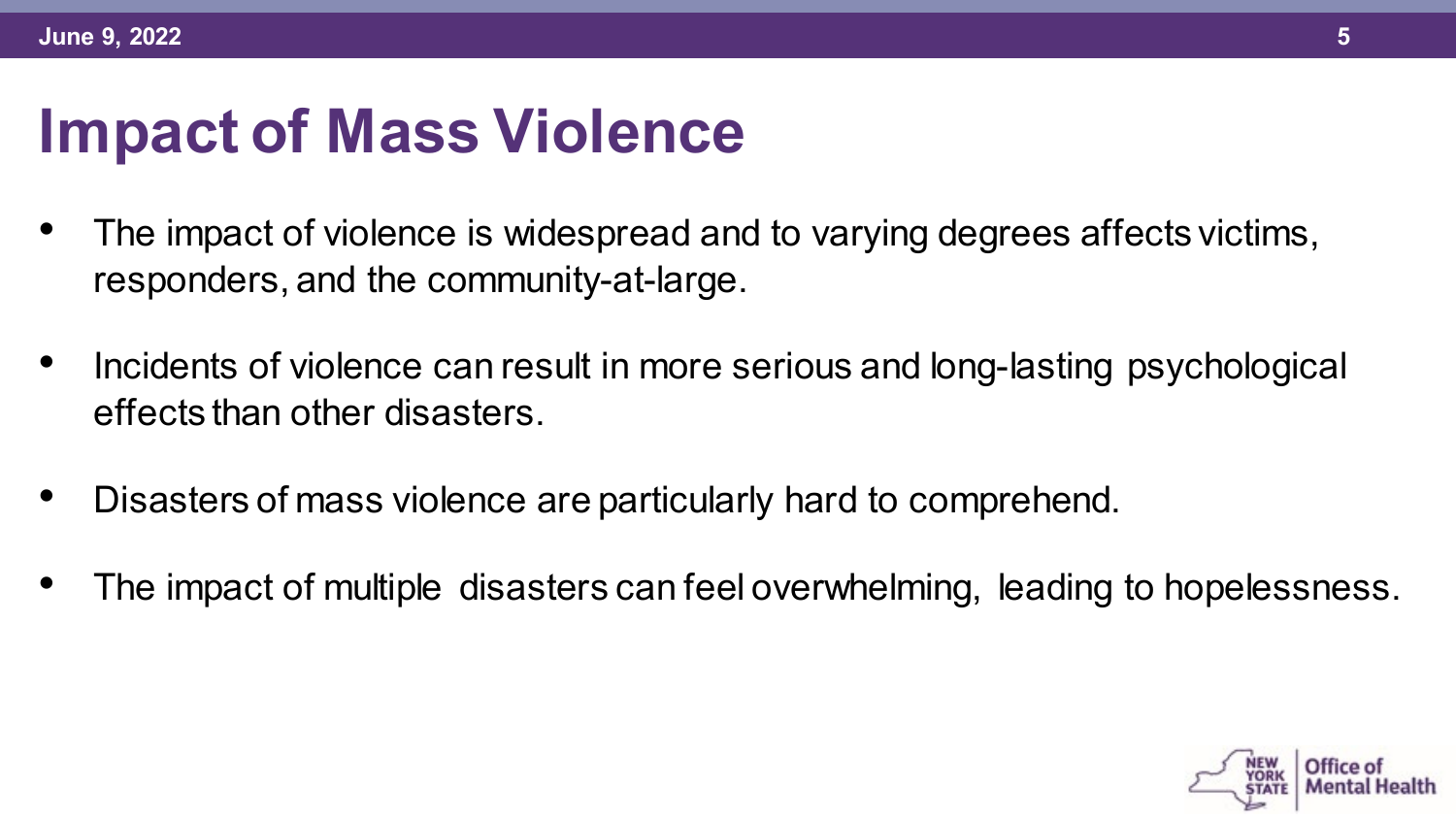#### **Impact of Mass Violence**

- The impact of violence is widespread and to varying degrees affects victims, responders, and the community-at-large.
- Incidents of violence can result in more serious and long-lasting psychological effects than other disasters.
- Disasters of mass violence are particularly hard to comprehend.
- The impact of multiple disasters can feel overwhelming, leading to hopelessness.

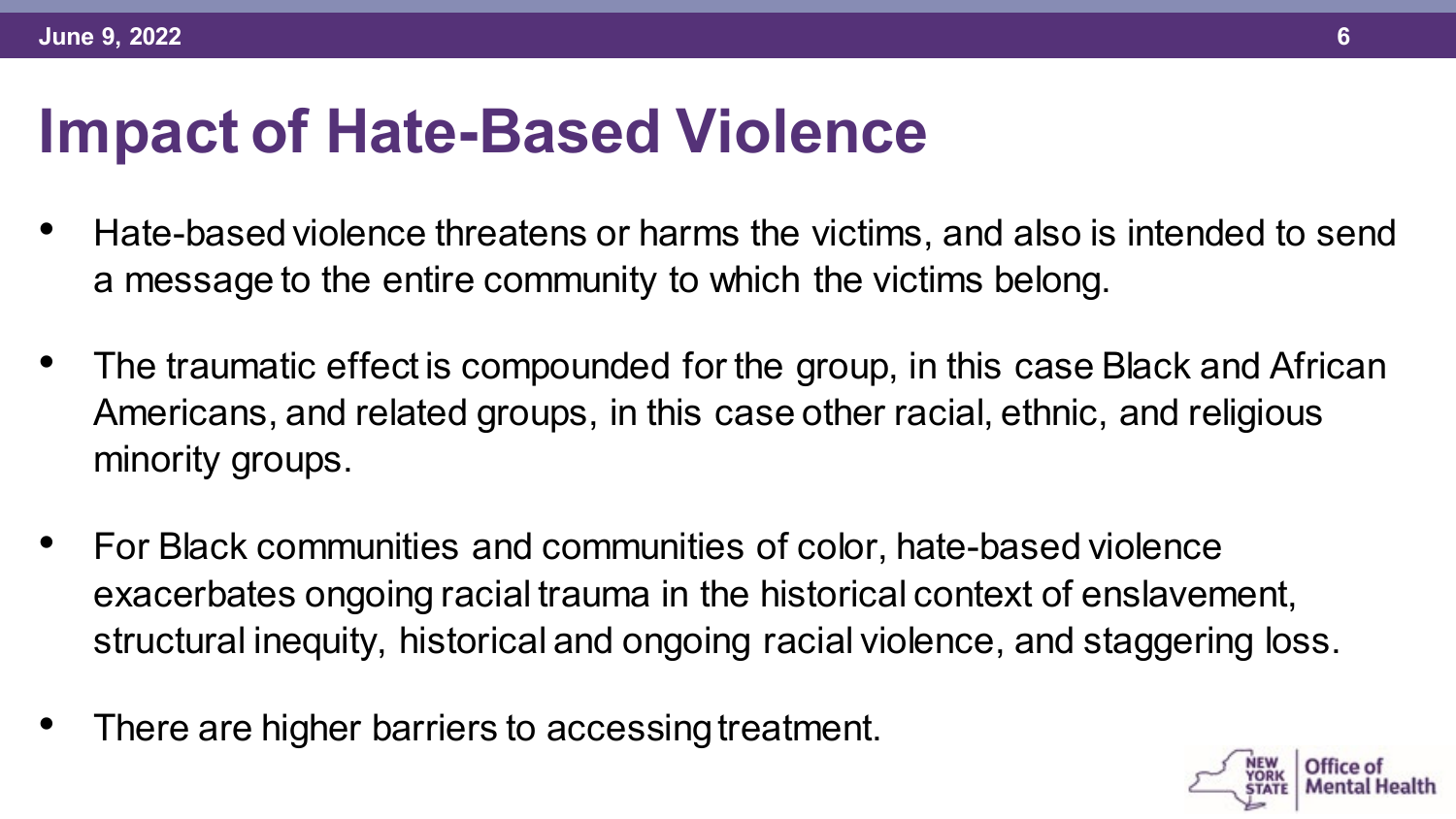#### **Impact of Hate-Based Violence**

- Hate-based violence threatens or harms the victims, and also is intended to send a message to the entire community to which the victims belong.
- The traumatic effect is compounded for the group, in this case Black and African Americans, and related groups, in this case other racial, ethnic, and religious minority groups.
- For Black communities and communities of color, hate-based violence exacerbates ongoing racial trauma in the historical context of enslavement, structural inequity, historical and ongoing racial violence, and staggering loss.
- There are higher barriers to accessing treatment.

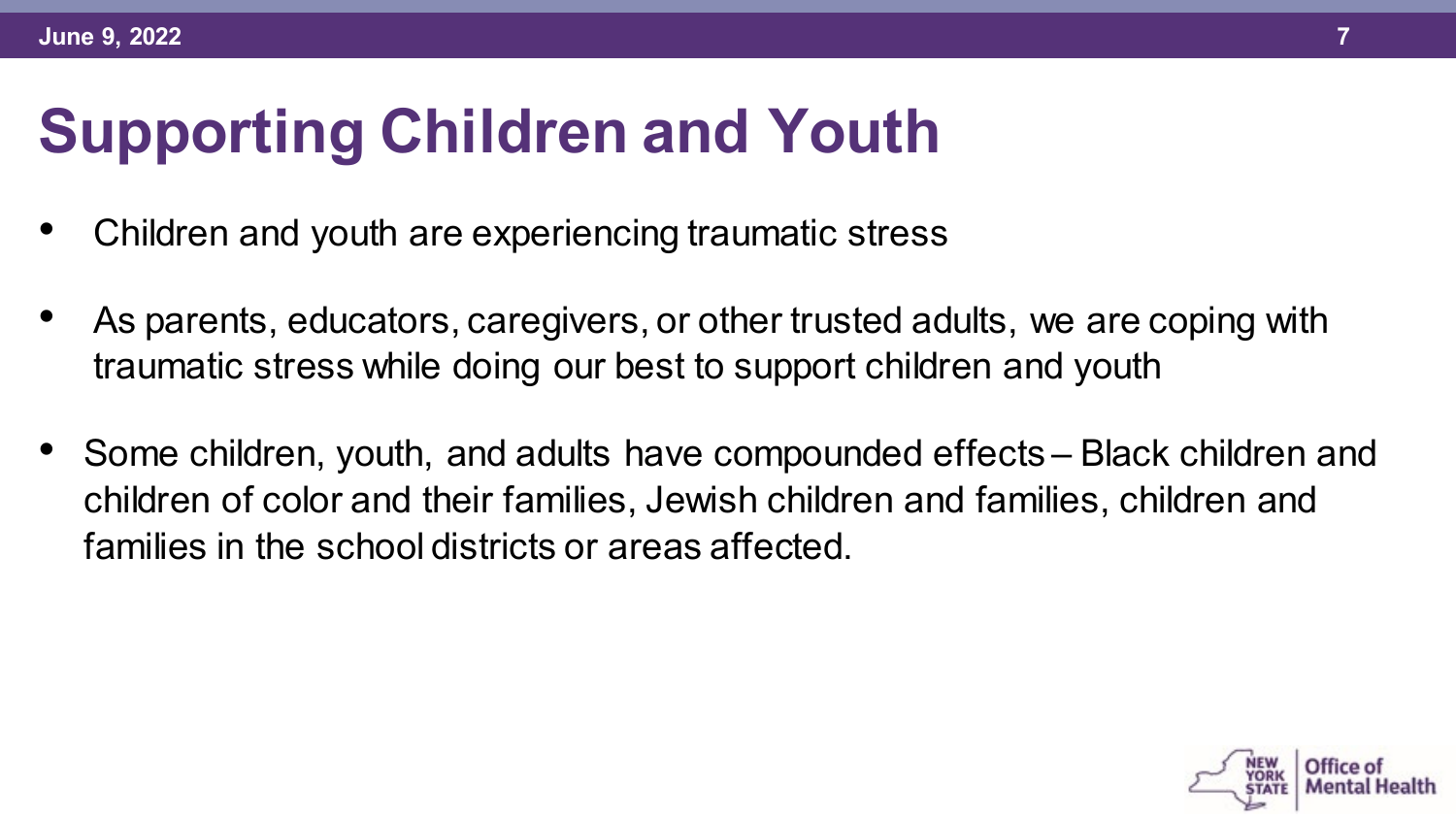# **Supporting Children and Youth**

- Children and youth are experiencing traumatic stress
- As parents, educators, caregivers, or other trusted adults, we are coping with traumatic stress while doing our best to support children and youth
- Some children, youth, and adults have compounded effects Black children and children of color and their families, Jewish children and families, children and families in the school districts or areas affected.

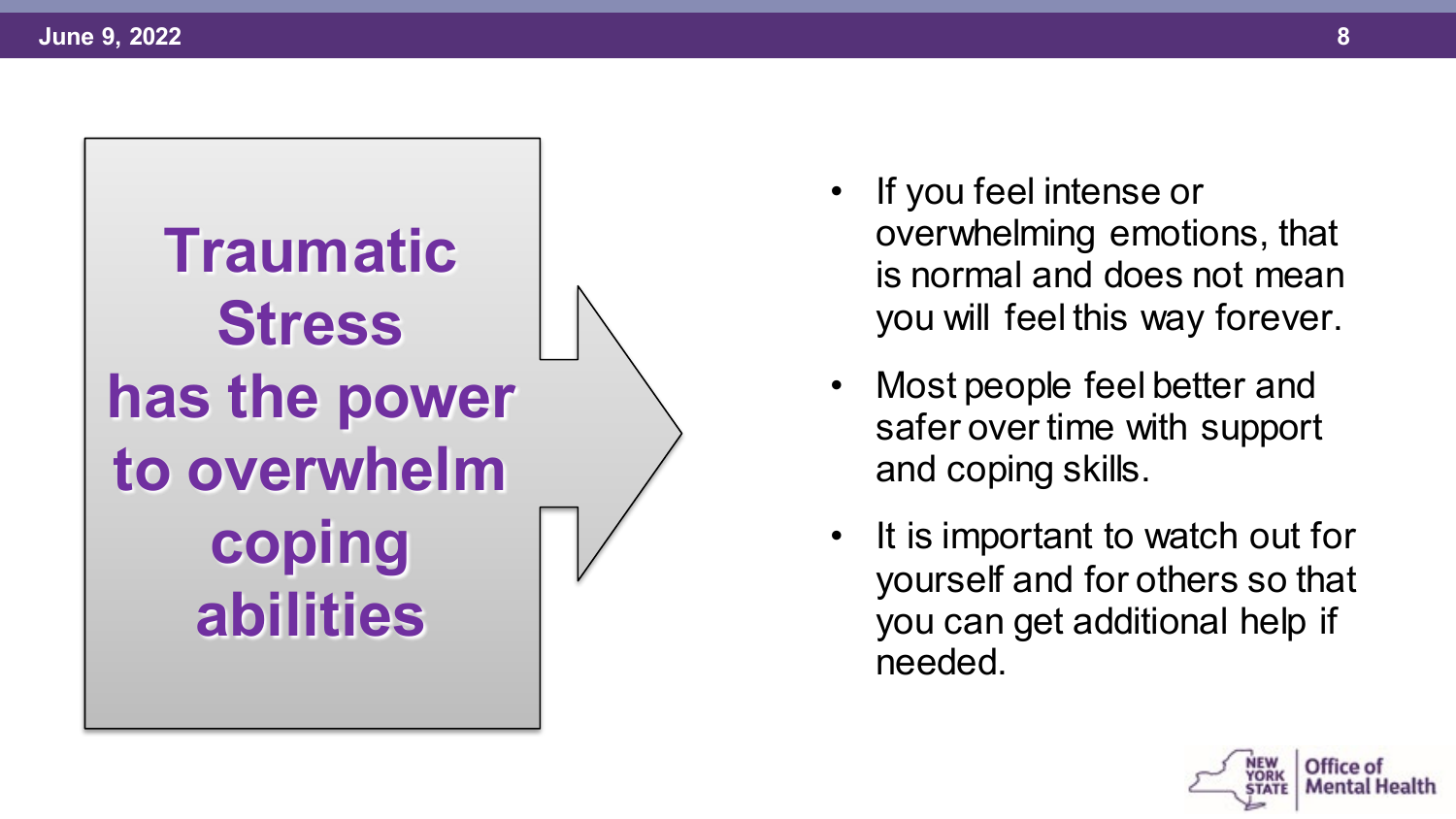

- If you feel intense or overwhelming emotions, that is normal and does not mean you will feel this way forever.
- Most people feel better and safer over time with support and coping skills.
- It is important to watch out for yourself and for others so that you can get additional help if needed.

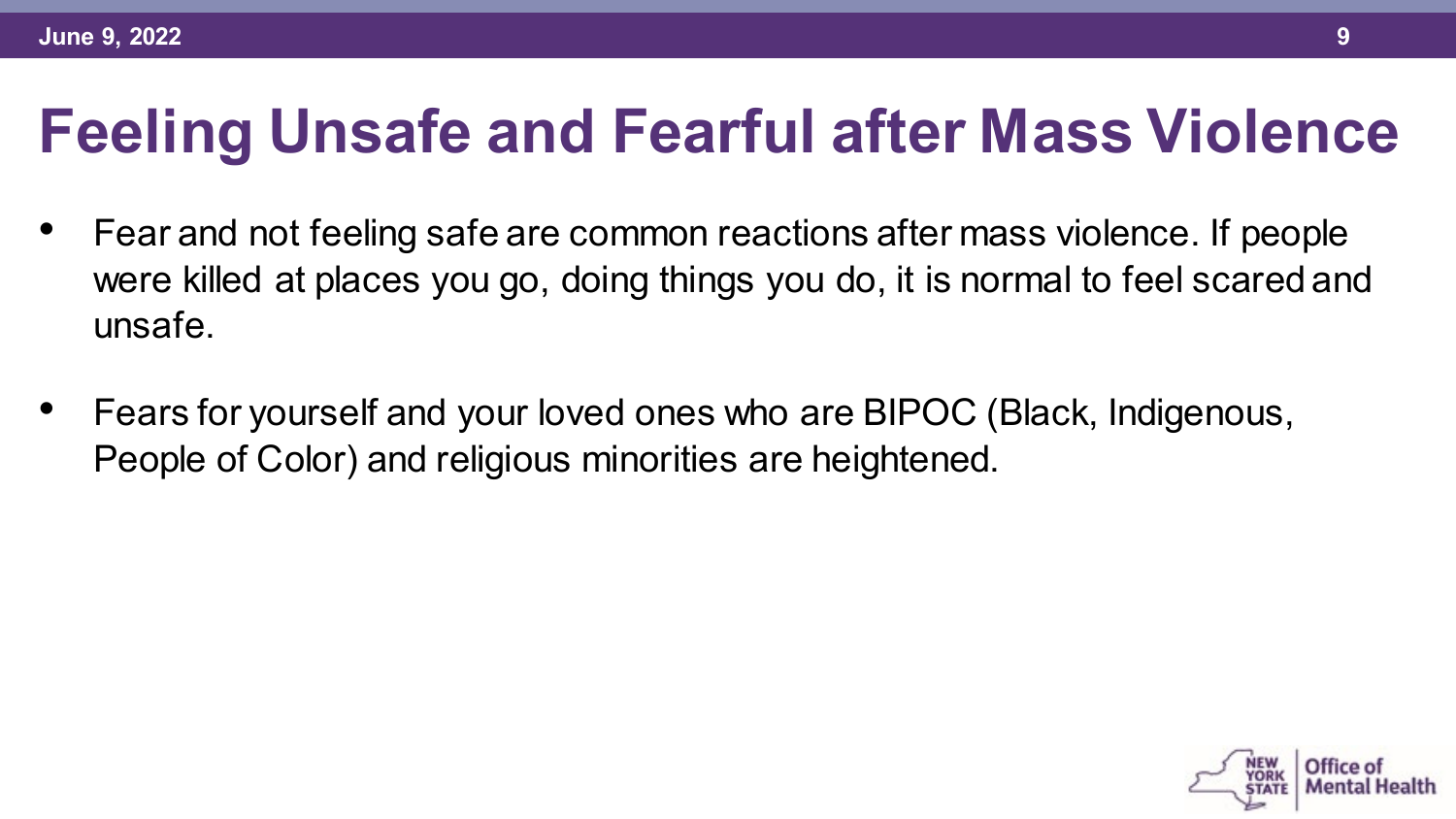## **Feeling Unsafe and Fearful after Mass Violence**

- Fear and not feeling safe are common reactions after mass violence. If people were killed at places you go, doing things you do, it is normal to feel scared and unsafe.
- Fears for yourself and your loved ones who are BIPOC (Black, Indigenous, People of Color) and religious minorities are heightened.

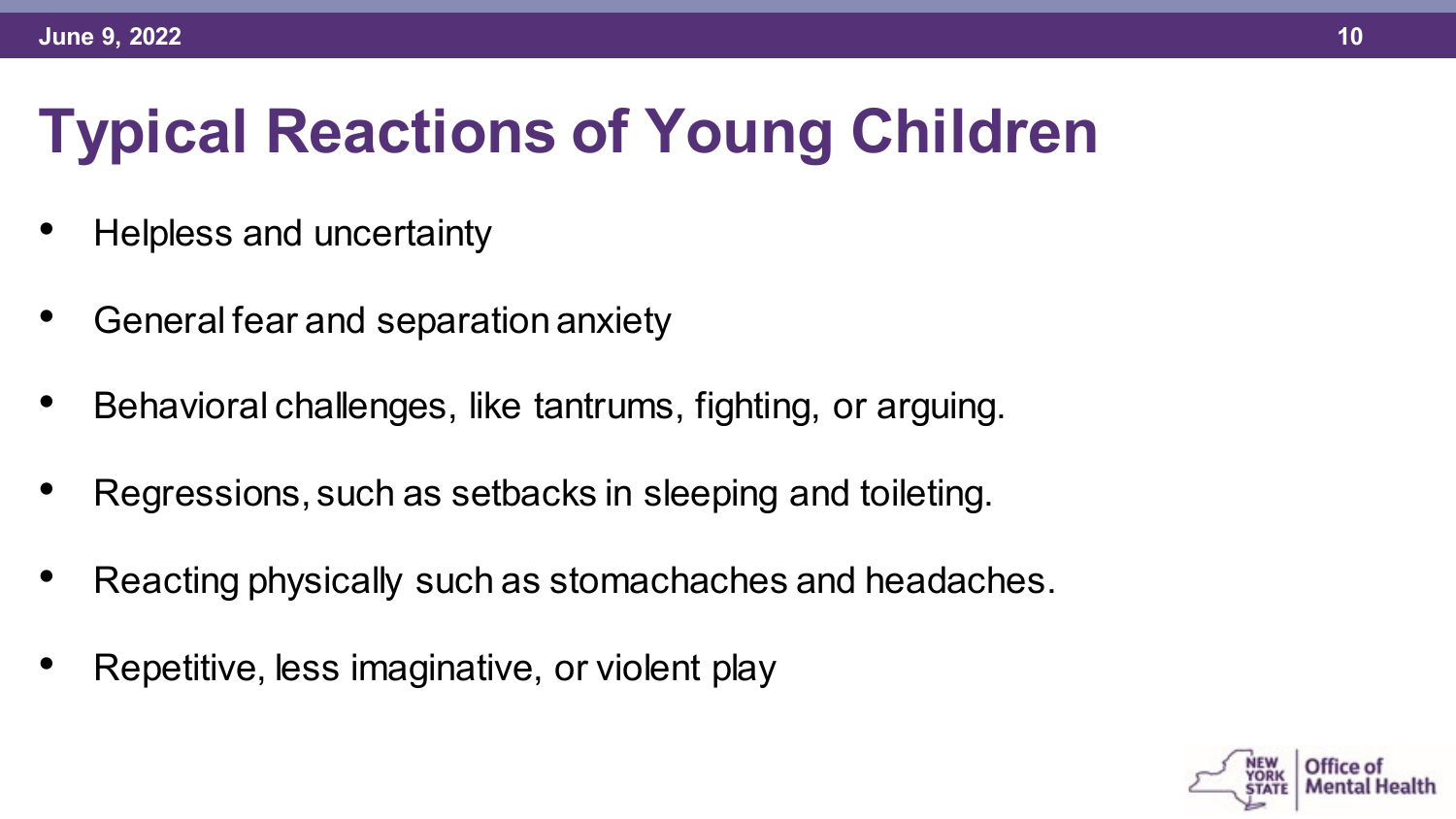# **Typical Reactions of Young Children**

- Helpless and uncertainty
- General fear and separation anxiety
- Behavioral challenges, like tantrums, fighting, or arguing.
- Regressions, such as setbacks in sleeping and toileting.
- Reacting physically such as stomachaches and headaches.
- Repetitive, less imaginative, or violent play

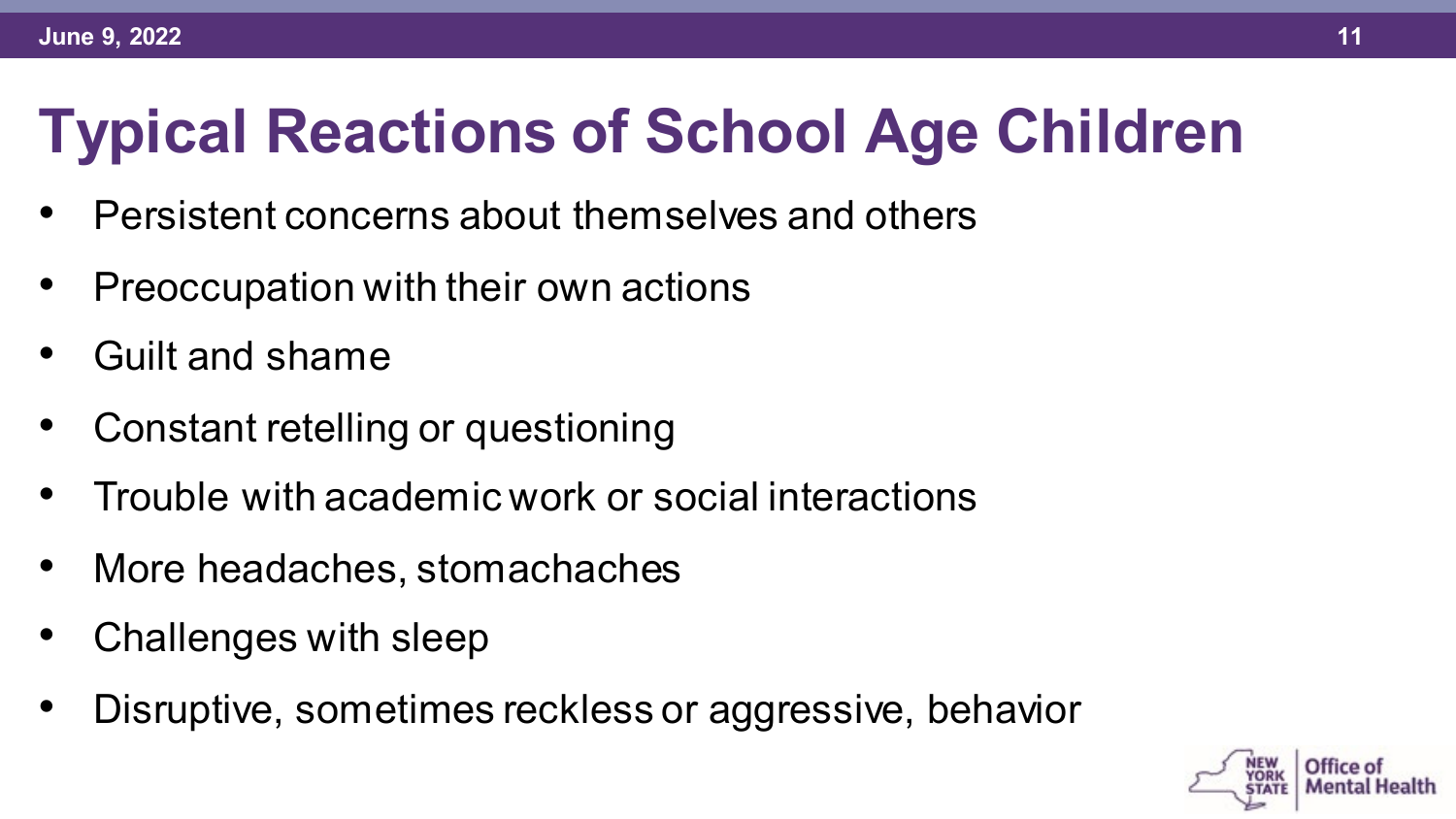# **Typical Reactions of School Age Children**

- Persistent concerns about themselves and others
- Preoccupation with their own actions
- Guilt and shame
- Constant retelling or questioning
- Trouble with academic work or social interactions
- More headaches, stomachaches
- Challenges with sleep
- Disruptive, sometimes reckless or aggressive, behavior

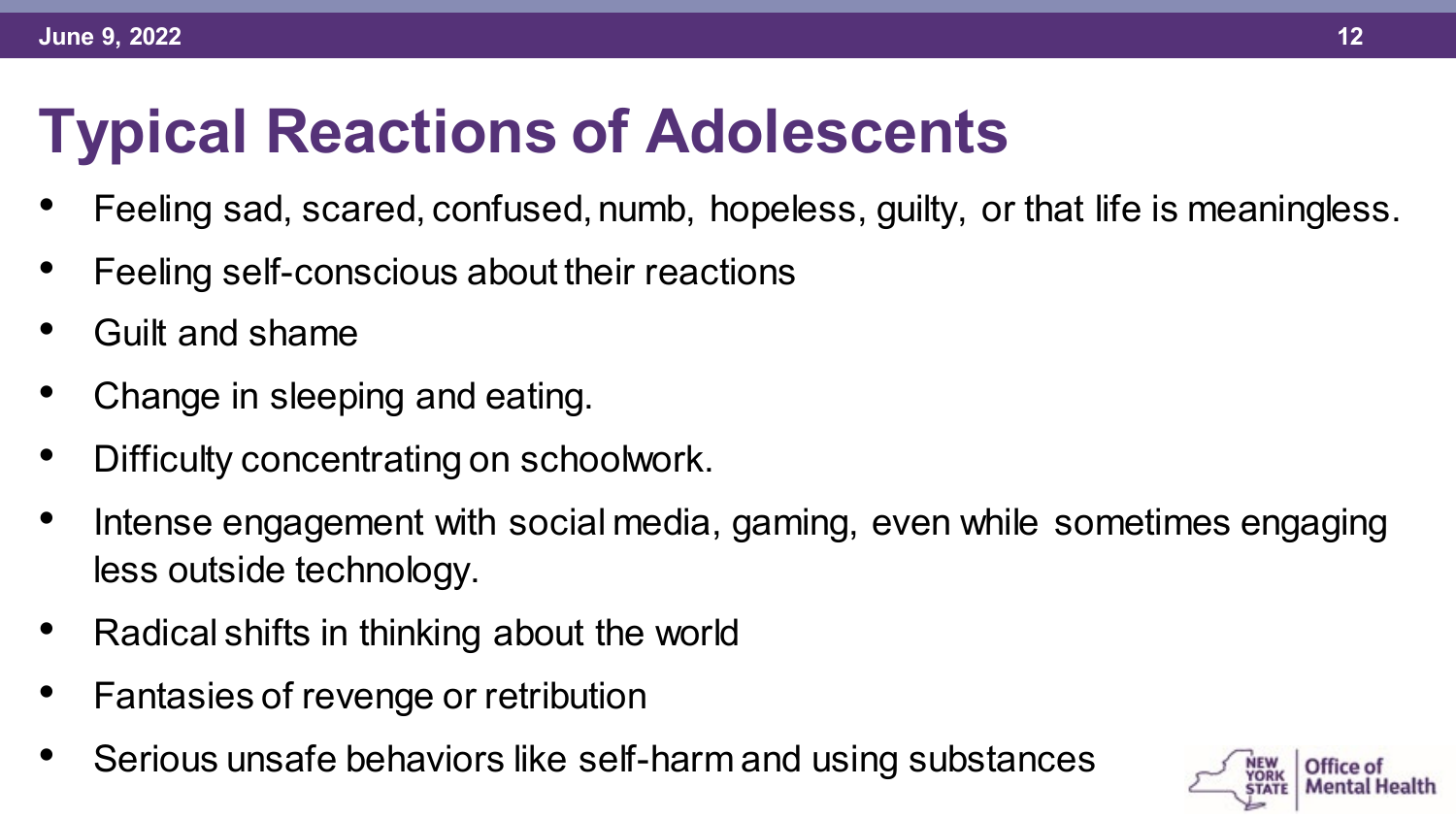# **Typical Reactions of Adolescents**

- Feeling sad, scared, confused, numb, hopeless, guilty, or that life is meaningless.
- Feeling self-conscious about their reactions
- Guilt and shame
- Change in sleeping and eating.
- Difficulty concentrating on schoolwork.
- Intense engagement with social media, gaming, even while sometimes engaging less outside technology.
- Radical shifts in thinking about the world
- Fantasies of revenge or retribution
- Serious unsafe behaviors like self-harm and using substances

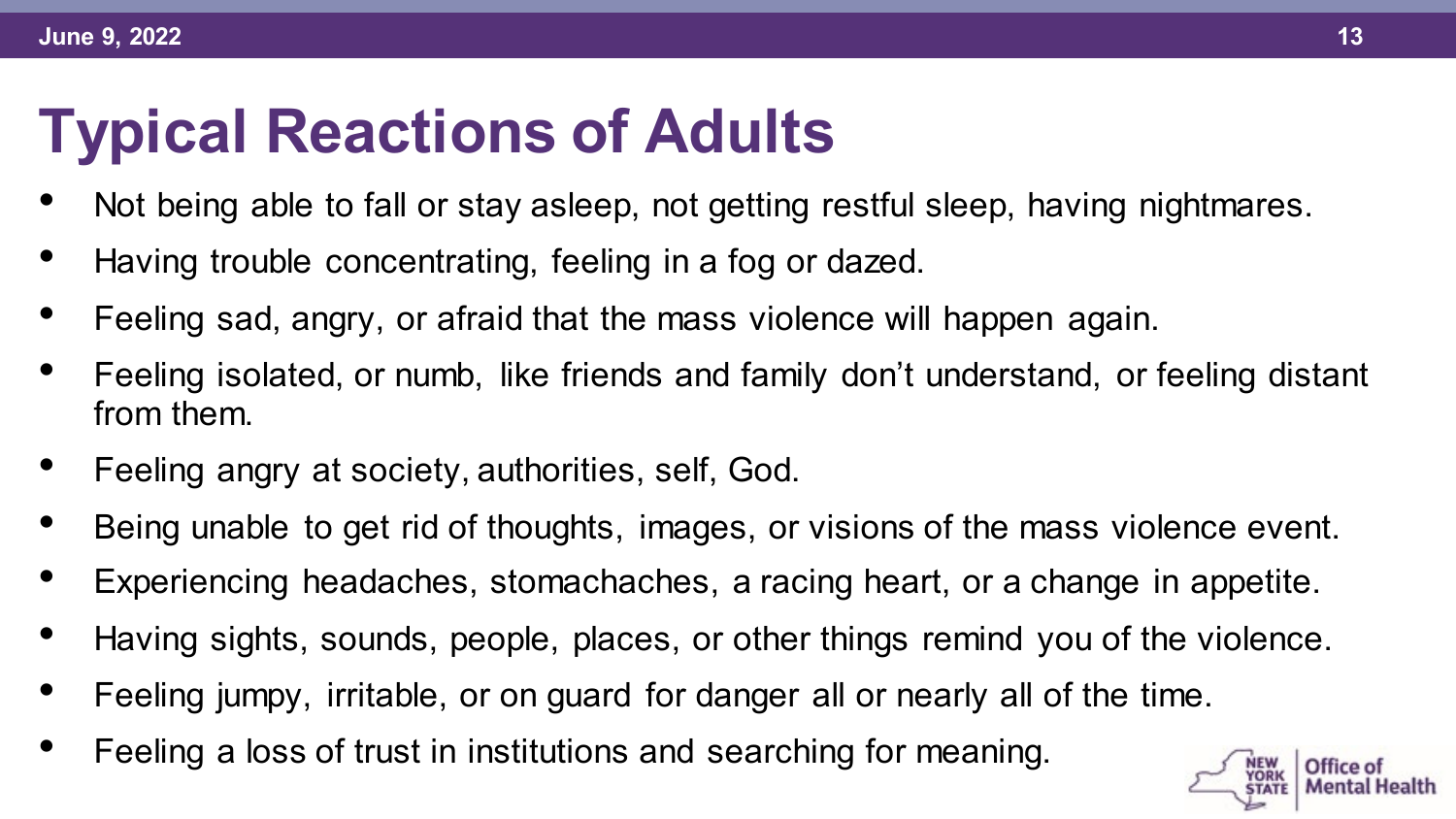## **Typical Reactions of Adults**

- Not being able to fall or stay asleep, not getting restful sleep, having nightmares.
- Having trouble concentrating, feeling in a fog or dazed.
- Feeling sad, angry, or afraid that the mass violence will happen again.
- Feeling isolated, or numb, like friends and family don't understand, or feeling distant from them.
- Feeling angry at society, authorities, self, God.
- Being unable to get rid of thoughts, images, or visions of the mass violence event.
- Experiencing headaches, stomachaches, a racing heart, or a change in appetite.
- Having sights, sounds, people, places, or other things remind you of the violence.
- Feeling jumpy, irritable, or on guard for danger all or nearly all of the time.
- Feeling a loss of trust in institutions and searching for meaning.

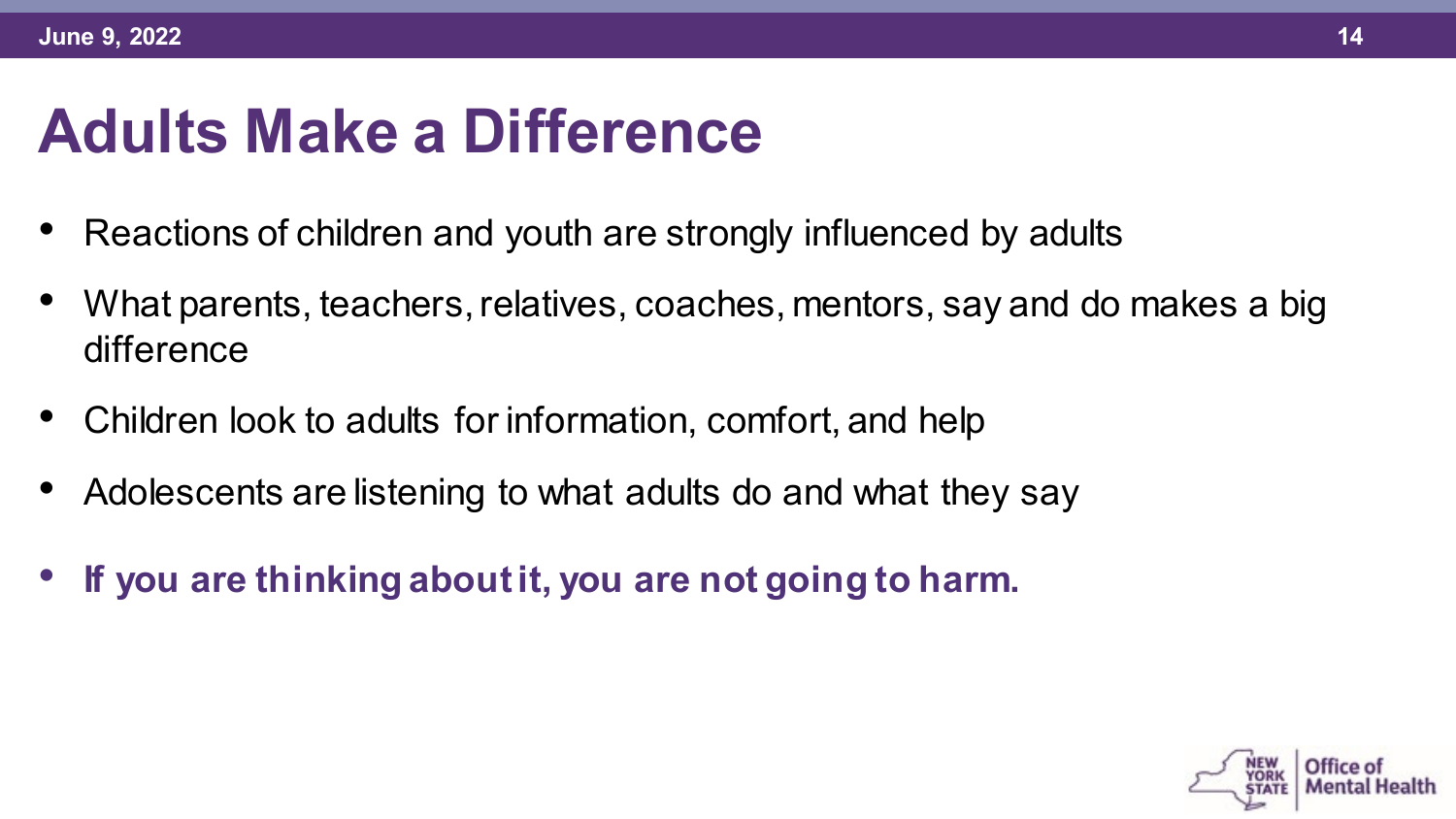#### **Adults Make a Difference**

- Reactions of children and youth are strongly influenced by adults
- What parents, teachers, relatives, coaches, mentors, say and do makes a big difference
- Children look to adults for information, comfort, and help
- Adolescents are listening to what adults do and what they say
- **If you are thinking about it, you are not going to harm.**

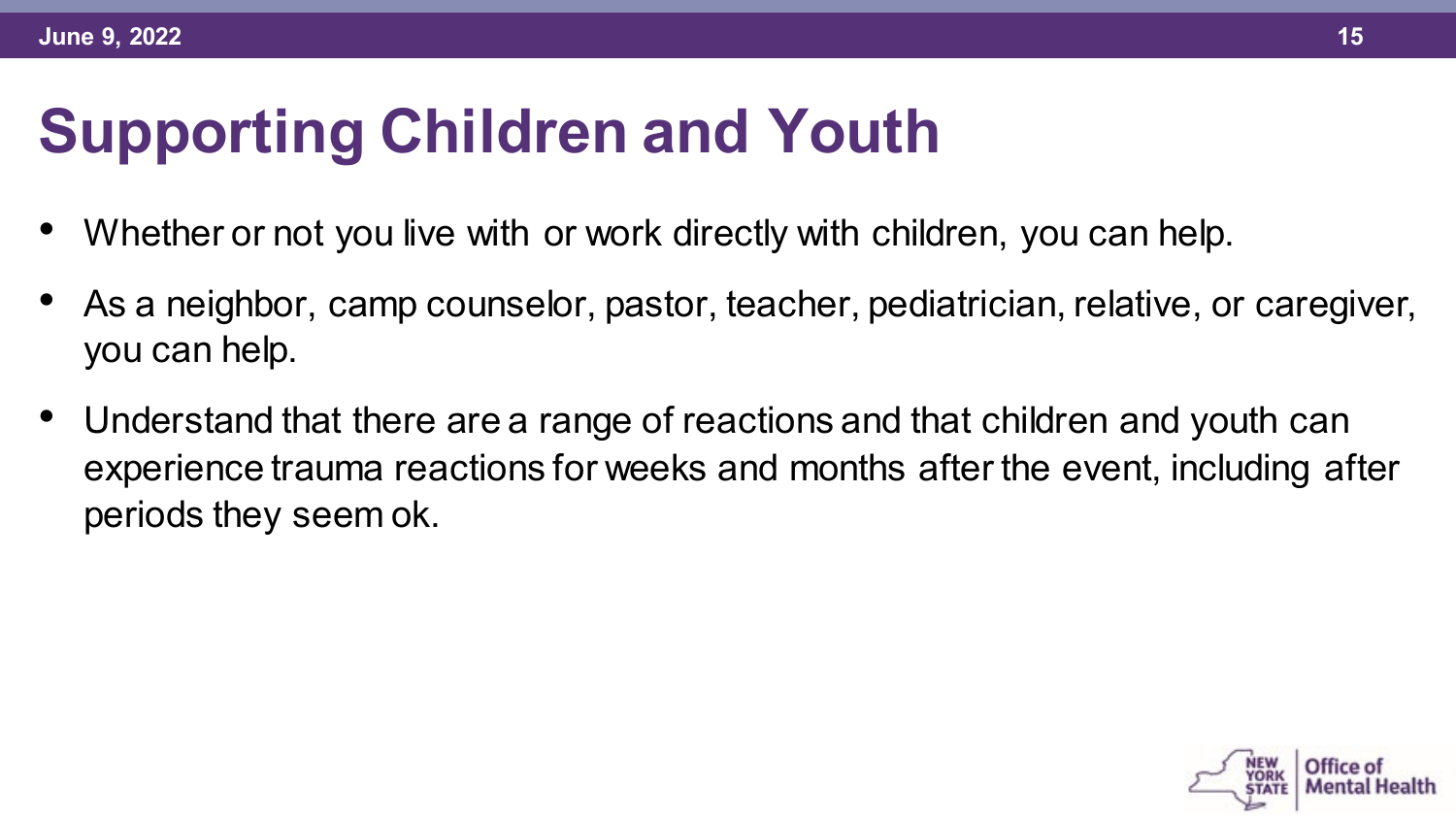# **Supporting Children and Youth**

- Whether or not you live with or work directly with children, you can help.
- As a neighbor, camp counselor, pastor, teacher, pediatrician, relative, or caregiver, you can help.
- Understand that there are a range of reactions and that children and youth can experience trauma reactions for weeks and months after the event, including after periods they seem ok.

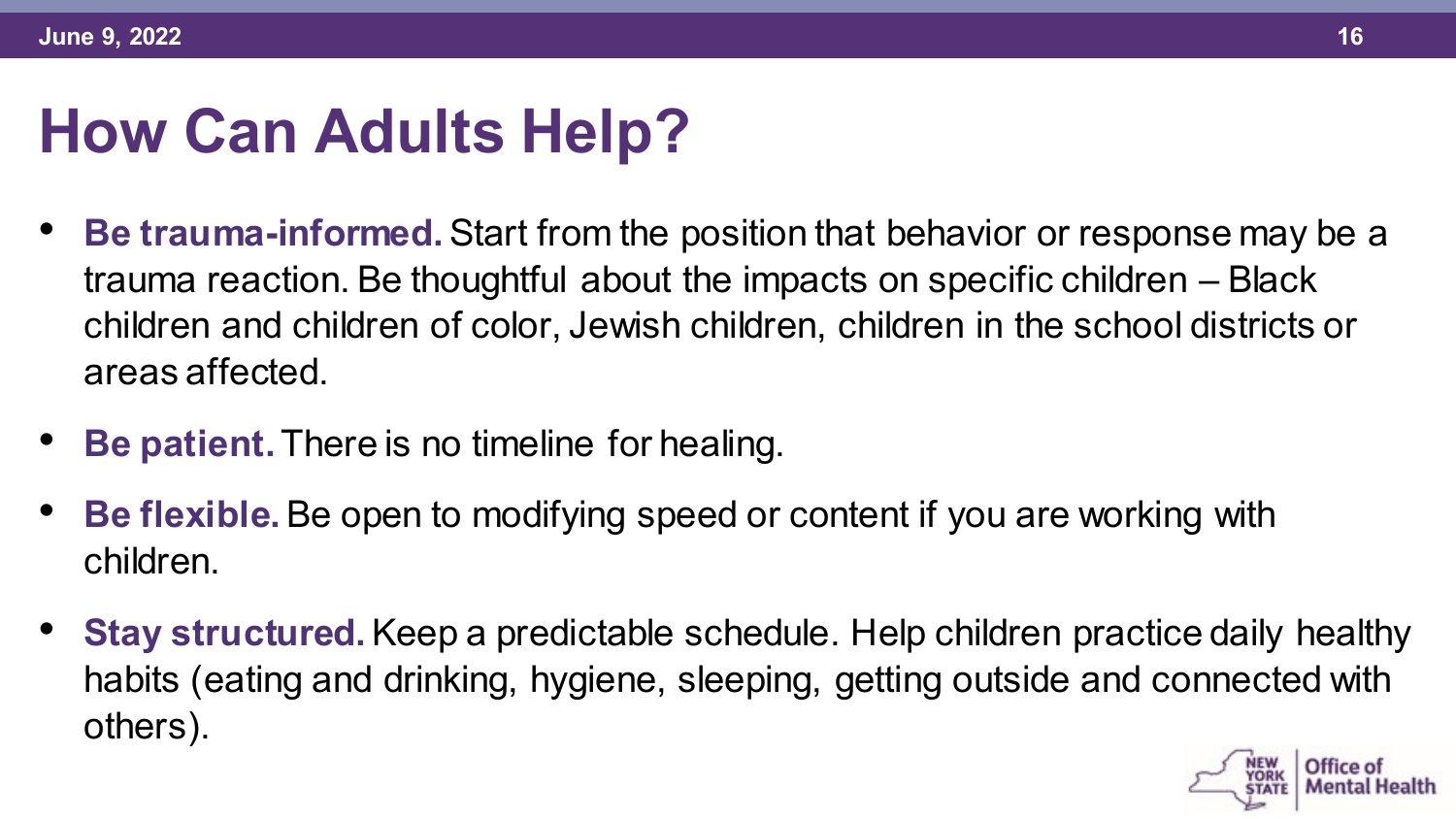#### **How Can Adults Help?**

- **Be trauma-informed.** Start from the position that behavior or response may be a trauma reaction. Be thoughtful about the impacts on specific children – Black children and children of color, Jewish children, children in the school districts or areas affected.
- **Be patient.** There is no timeline for healing.
- **Be flexible.** Be open to modifying speed or content if you are working with children.
- **Stay structured.** Keep a predictable schedule. Help children practice daily healthy habits (eating and drinking, hygiene, sleeping, getting outside and connected with others).

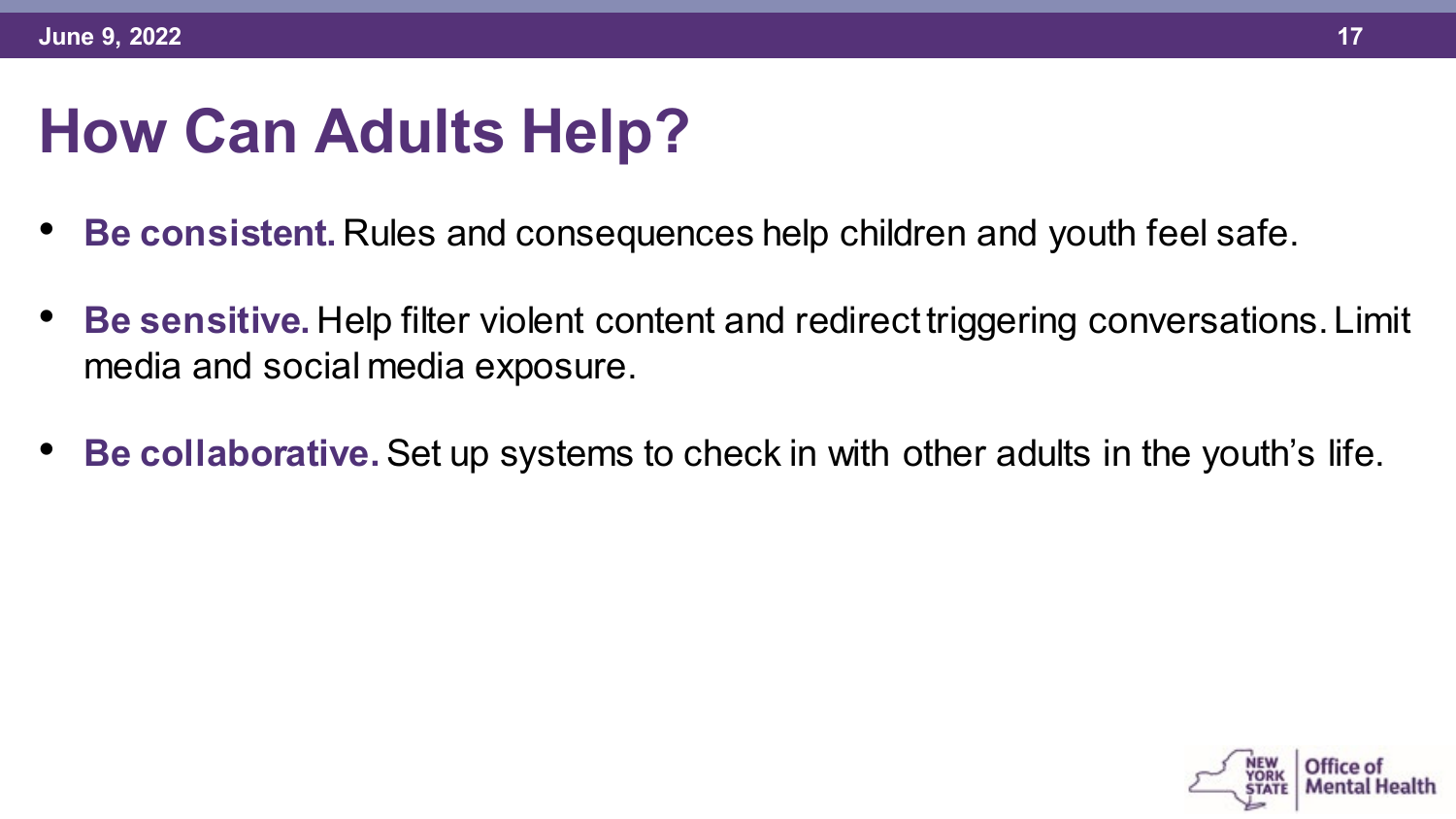## **How Can Adults Help?**

- **Be consistent.** Rules and consequences help children and youth feel safe.
- **Be sensitive.** Help filter violent content and redirect triggering conversations. Limit media and social media exposure.
- **Be collaborative.** Set up systems to check in with other adults in the youth's life.

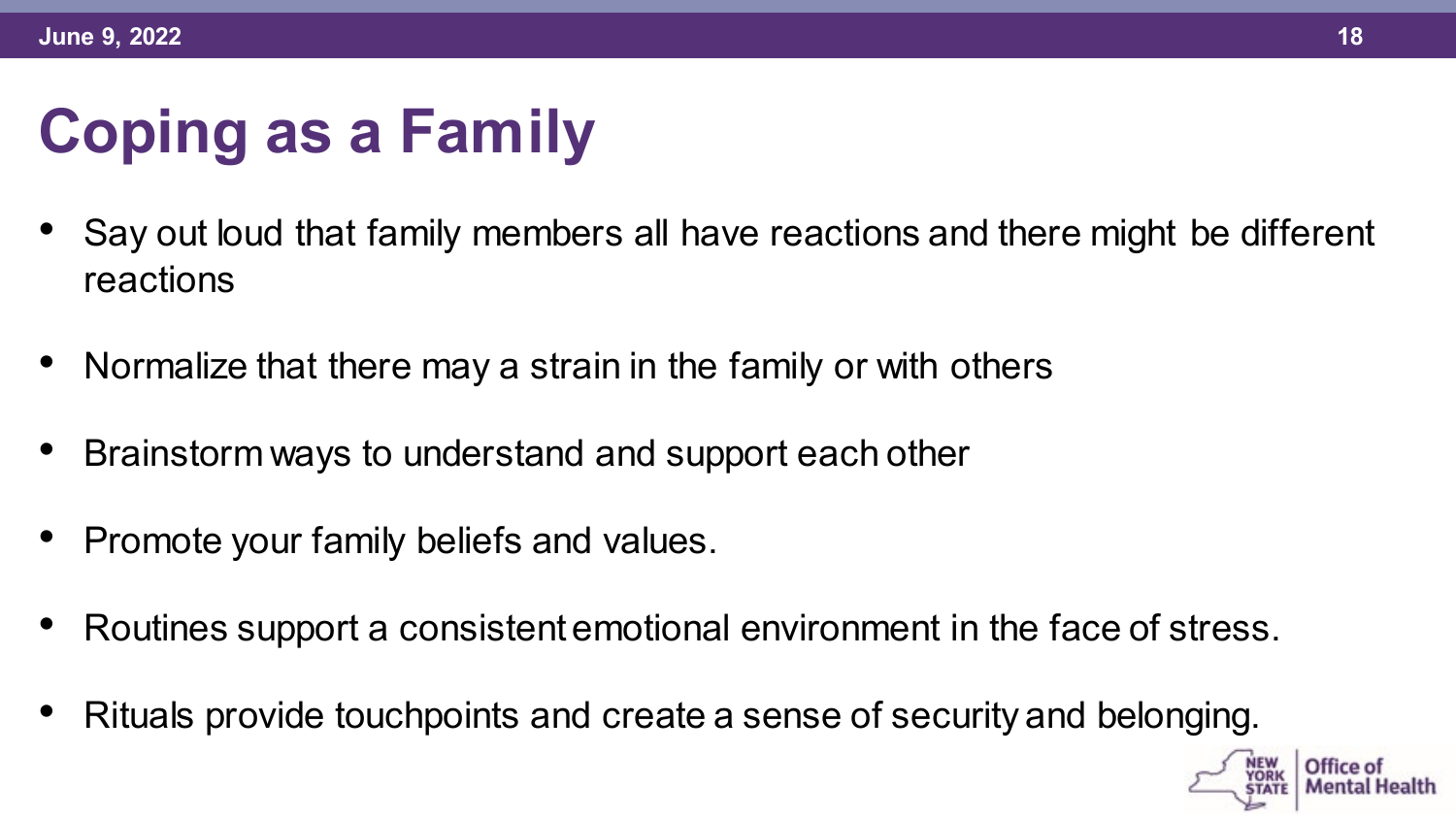# **Coping as a Family**

- Say out loud that family members all have reactions and there might be different reactions
- Normalize that there may a strain in the family or with others
- Brainstorm ways to understand and support each other
- Promote your family beliefs and values.
- Routines support a consistent emotional environment in the face of stress.
- Rituals provide touchpoints and create a sense of security and belonging.

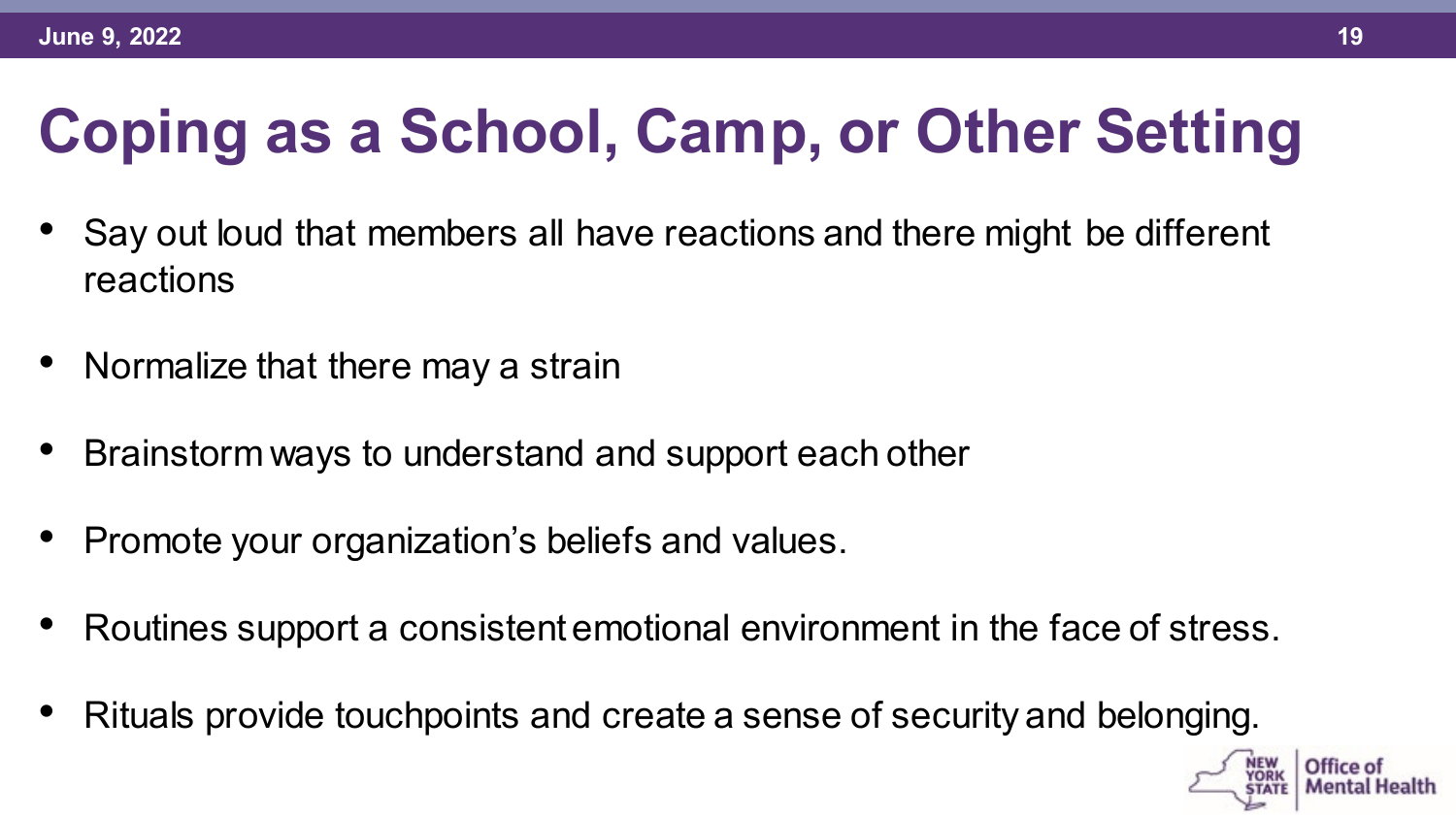# **Coping as a School, Camp, or Other Setting**

- Say out loud that members all have reactions and there might be different reactions
- Normalize that there may a strain
- Brainstorm ways to understand and support each other
- Promote your organization's beliefs and values.
- Routines support a consistent emotional environment in the face of stress.
- Rituals provide touchpoints and create a sense of security and belonging.

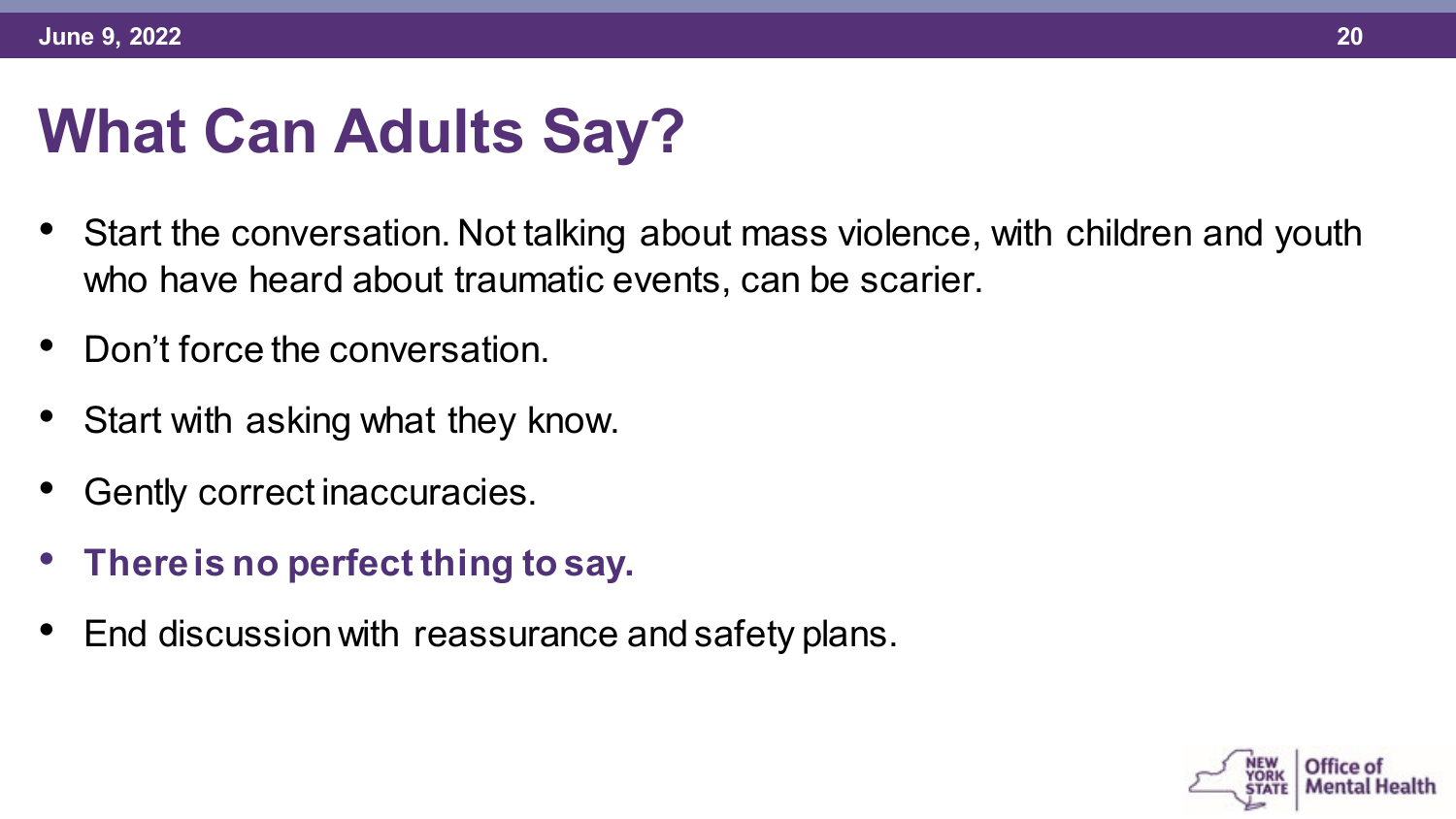#### **What Can Adults Say?**

- Start the conversation. Not talking about mass violence, with children and youth who have heard about traumatic events, can be scarier.
- Don't force the conversation.
- Start with asking what they know.
- Gently correct inaccuracies.
- **There is no perfect thing to say.**
- End discussion with reassurance and safety plans.

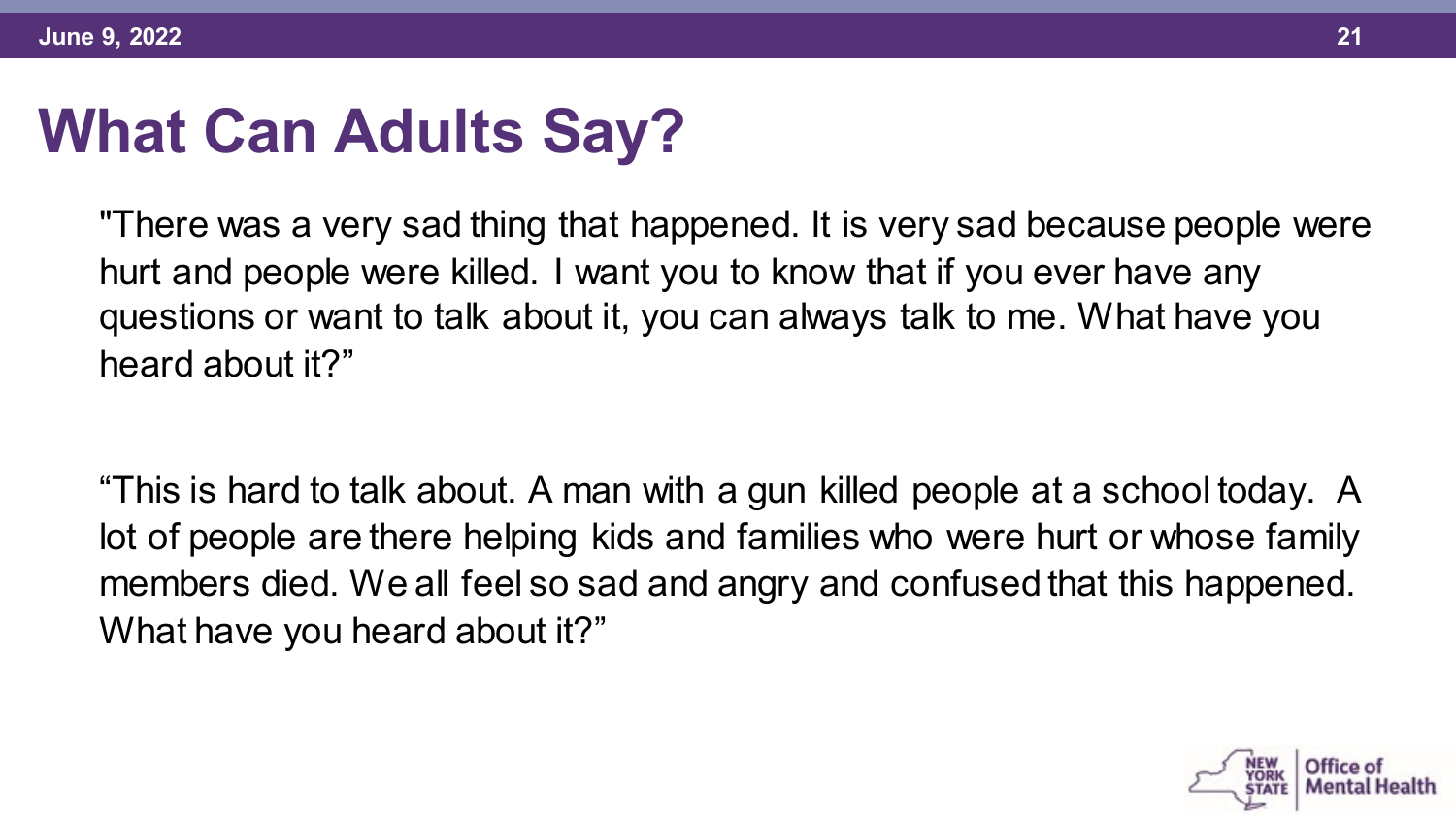# **What Can Adults Say?**

"There was a very sad thing that happened. It is very sad because people were hurt and people were killed. I want you to know that if you ever have any questions or want to talk about it, you can always talk to me. What have you heard about it?"

"This is hard to talk about. A man with a gun killed people at a school today. A lot of people are there helping kids and families who were hurt or whose family members died. We all feel so sad and angry and confused that this happened. What have you heard about it?"

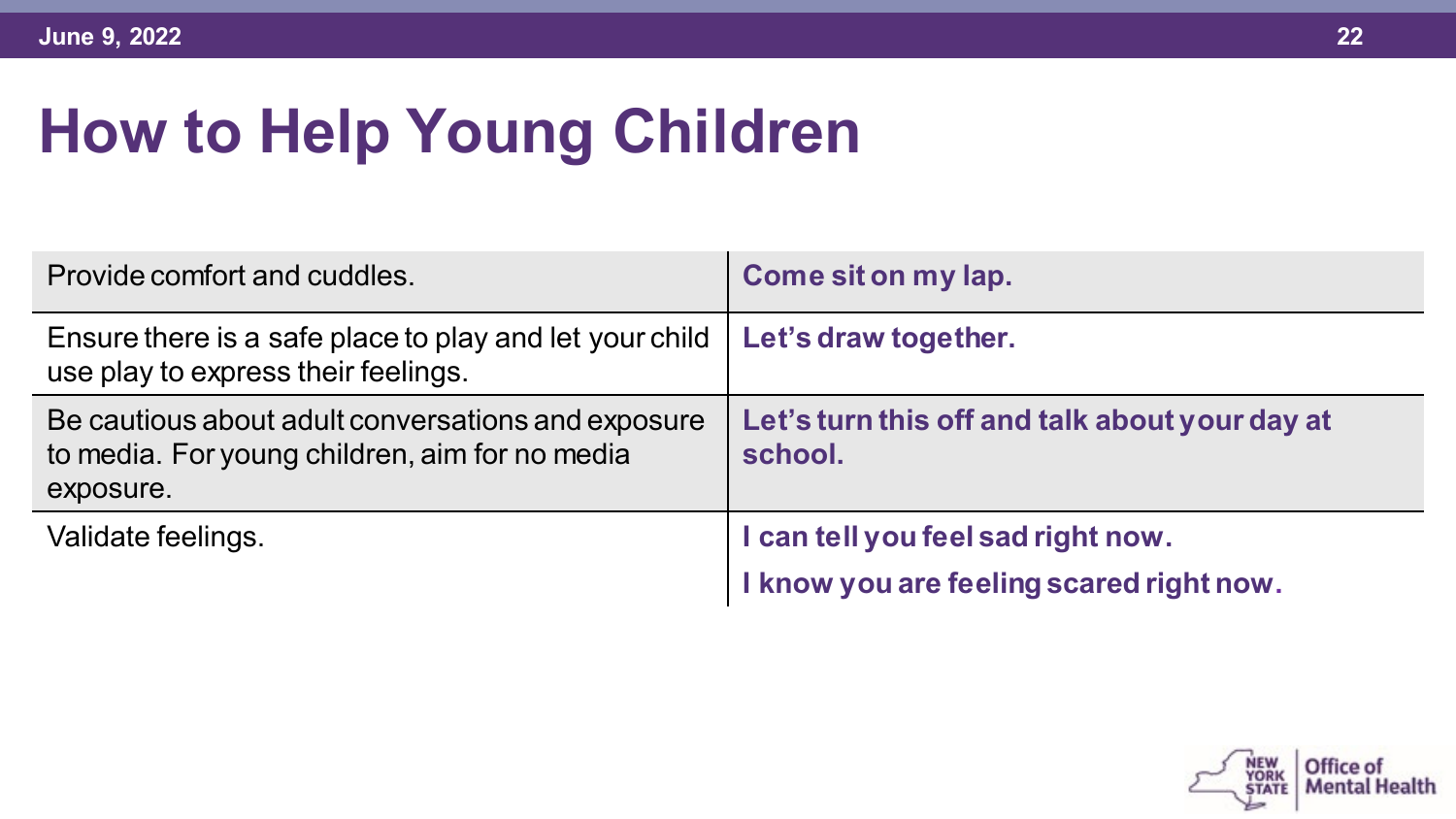# **How to Help Young Children**

| Provide comfort and cuddles.                                                                                      | Come sit on my lap.                                                            |
|-------------------------------------------------------------------------------------------------------------------|--------------------------------------------------------------------------------|
| Ensure there is a safe place to play and let your child<br>use play to express their feelings.                    | Let's draw together.                                                           |
| Be cautious about adult conversations and exposure<br>to media. For young children, aim for no media<br>exposure. | Let's turn this off and talk about your day at<br>school.                      |
| Validate feelings.                                                                                                | I can tell you feel sad right now.<br>I know you are feeling scared right now. |

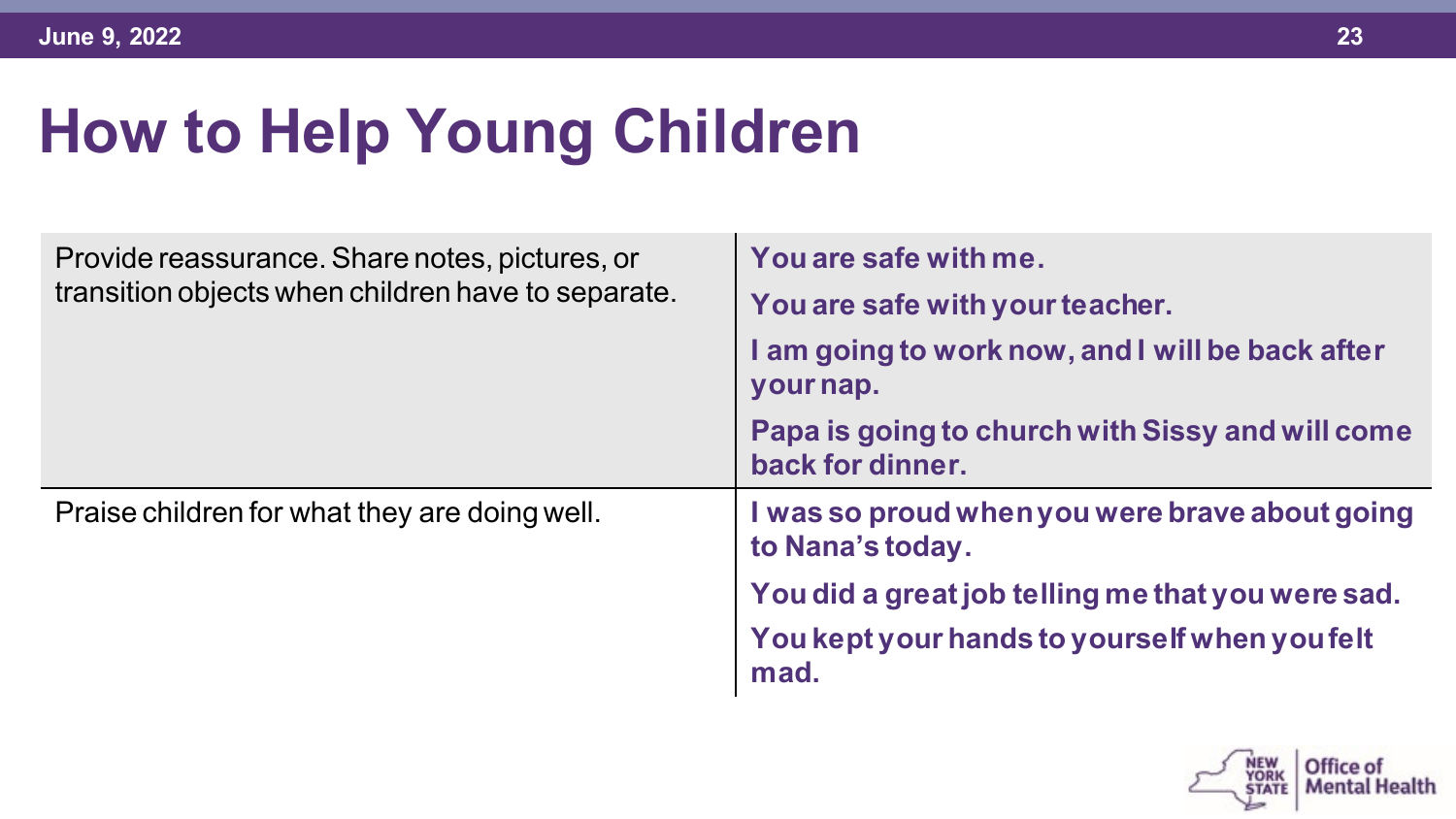# **How to Help Young Children**

| Provide reassurance. Share notes, pictures, or<br>transition objects when children have to separate. | You are safe with me.<br>You are safe with your teacher.<br>I am going to work now, and I will be back after<br>your nap.<br>Papa is going to church with Sissy and will come |
|------------------------------------------------------------------------------------------------------|-------------------------------------------------------------------------------------------------------------------------------------------------------------------------------|
|                                                                                                      | back for dinner.                                                                                                                                                              |
| Praise children for what they are doing well.                                                        | I was so proud when you were brave about going<br>to Nana's today.                                                                                                            |
|                                                                                                      | You did a great job telling me that you were sad.                                                                                                                             |
|                                                                                                      | You kept your hands to yourself when you felt<br>mad.                                                                                                                         |

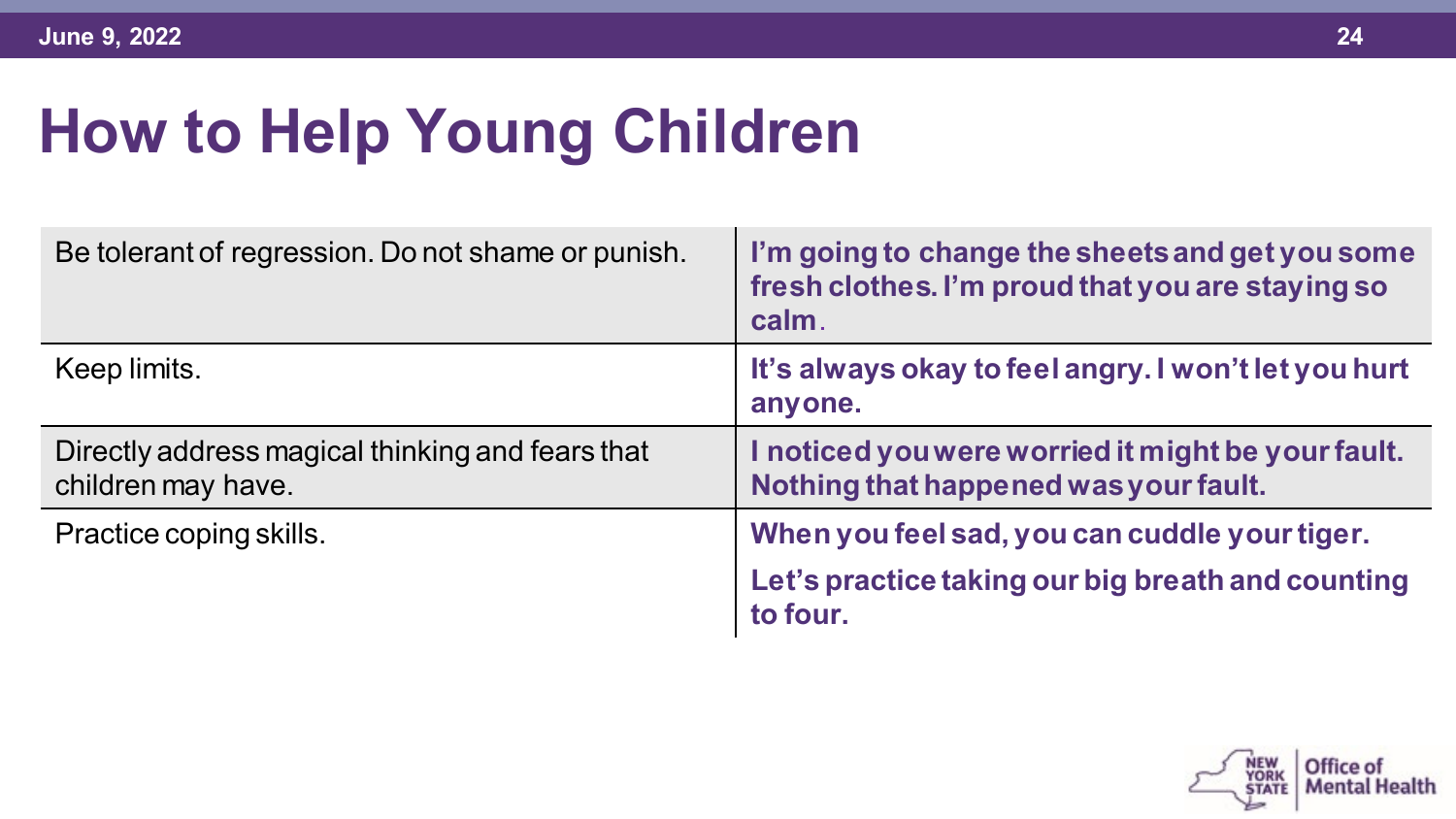# **How to Help Young Children**

| Be tolerant of regression. Do not shame or punish.                     | I'm going to change the sheets and get you some<br>fresh clothes. I'm proud that you are staying so<br>calm. |
|------------------------------------------------------------------------|--------------------------------------------------------------------------------------------------------------|
| Keep limits.                                                           | It's always okay to feel angry. I won't let you hurt<br>anyone.                                              |
| Directly address magical thinking and fears that<br>children may have. | I noticed you were worried it might be your fault.<br>Nothing that happened was your fault.                  |
| Practice coping skills.                                                | When you feel sad, you can cuddle your tiger.                                                                |
|                                                                        | Let's practice taking our big breath and counting<br>to four.                                                |

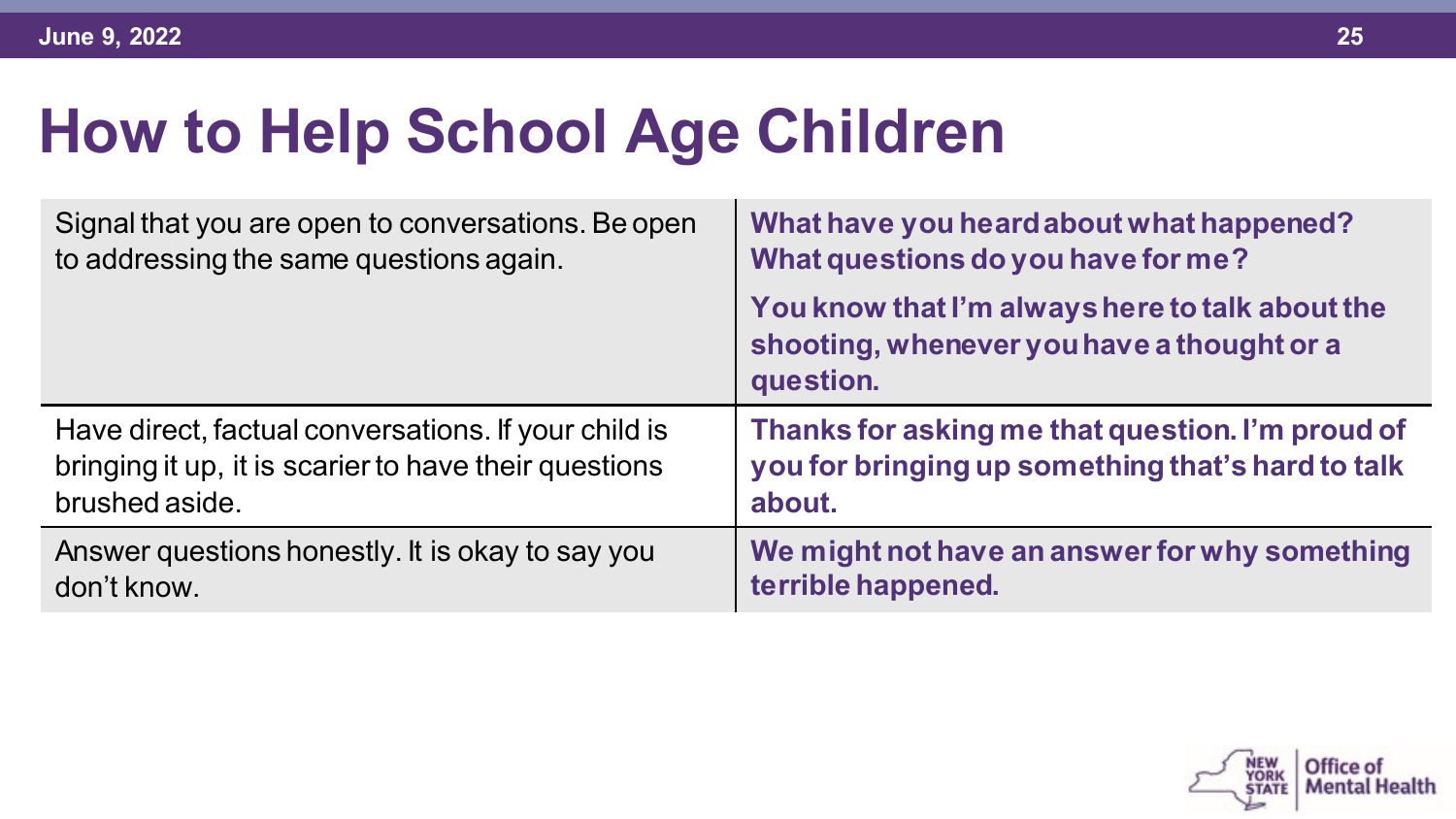| Signal that you are open to conversations. Be open    | What have you heard about what happened?                                                                   |
|-------------------------------------------------------|------------------------------------------------------------------------------------------------------------|
| to addressing the same questions again.               | What questions do you have for me?                                                                         |
|                                                       | You know that I'm always here to talk about the<br>shooting, whenever you have a thought or a<br>question. |
| Have direct, factual conversations. If your child is  | Thanks for asking me that question. I'm proud of                                                           |
| bringing it up, it is scarier to have their questions | you for bringing up something that's hard to talk                                                          |
| brushed aside.                                        | about.                                                                                                     |
| Answer questions honestly. It is okay to say you      | We might not have an answer for why something                                                              |
| don't know.                                           | terrible happened.                                                                                         |

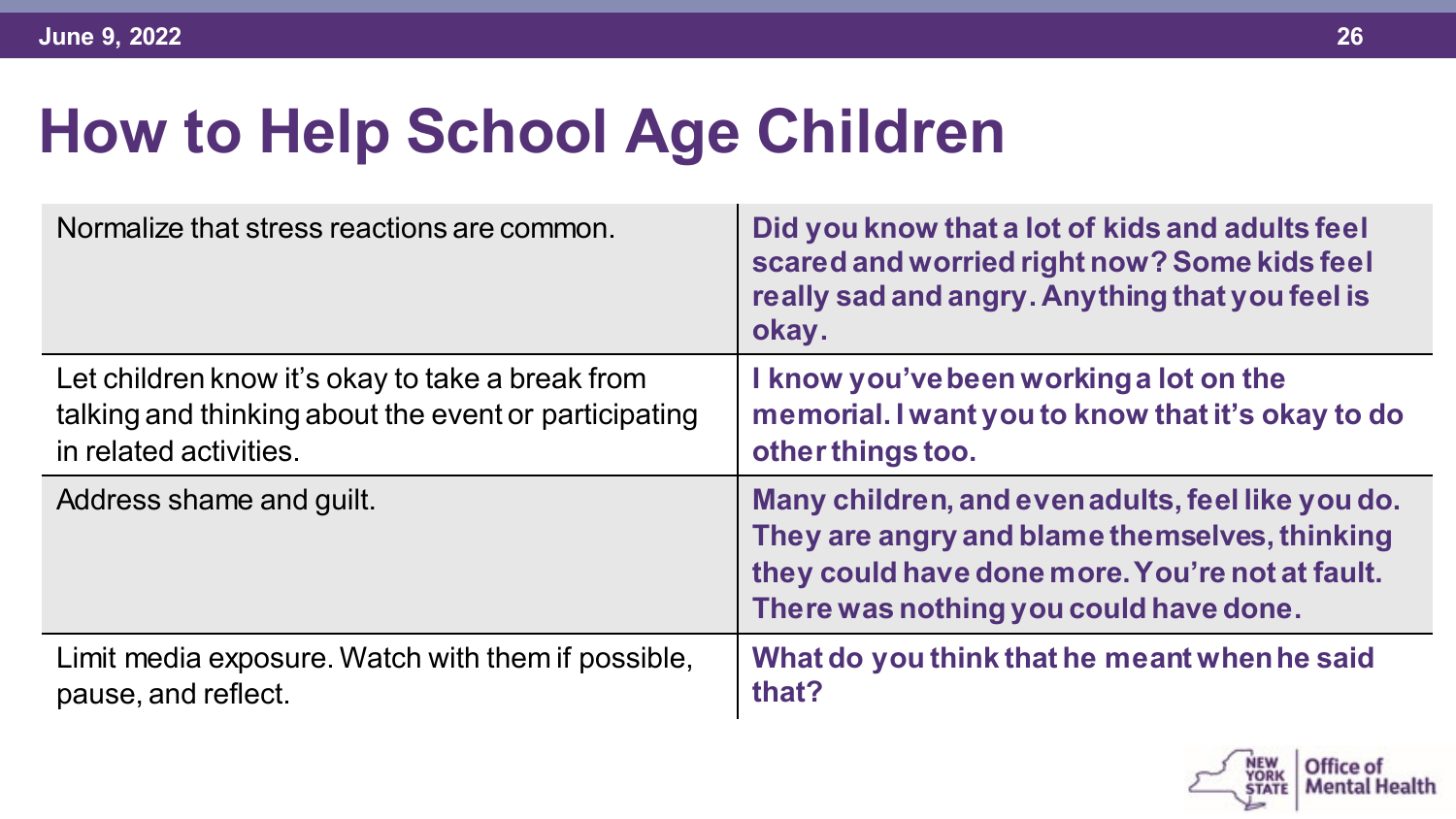| Normalize that stress reactions are common.           | Did you know that a lot of kids and adults feel<br>scared and worried right now? Some kids feel<br>really sad and angry. Anything that you feel is<br>okay.                                     |
|-------------------------------------------------------|-------------------------------------------------------------------------------------------------------------------------------------------------------------------------------------------------|
| Let children know it's okay to take a break from      | I know you've been working a lot on the                                                                                                                                                         |
| talking and thinking about the event or participating | memorial. I want you to know that it's okay to do                                                                                                                                               |
| in related activities.                                | other things too.                                                                                                                                                                               |
| Address shame and guilt.                              | Many children, and even adults, feel like you do.<br>They are angry and blame themselves, thinking<br>they could have done more. You're not at fault.<br>There was nothing you could have done. |
| Limit media exposure. Watch with them if possible,    | What do you think that he meant when he said                                                                                                                                                    |
| pause, and reflect.                                   | that?                                                                                                                                                                                           |

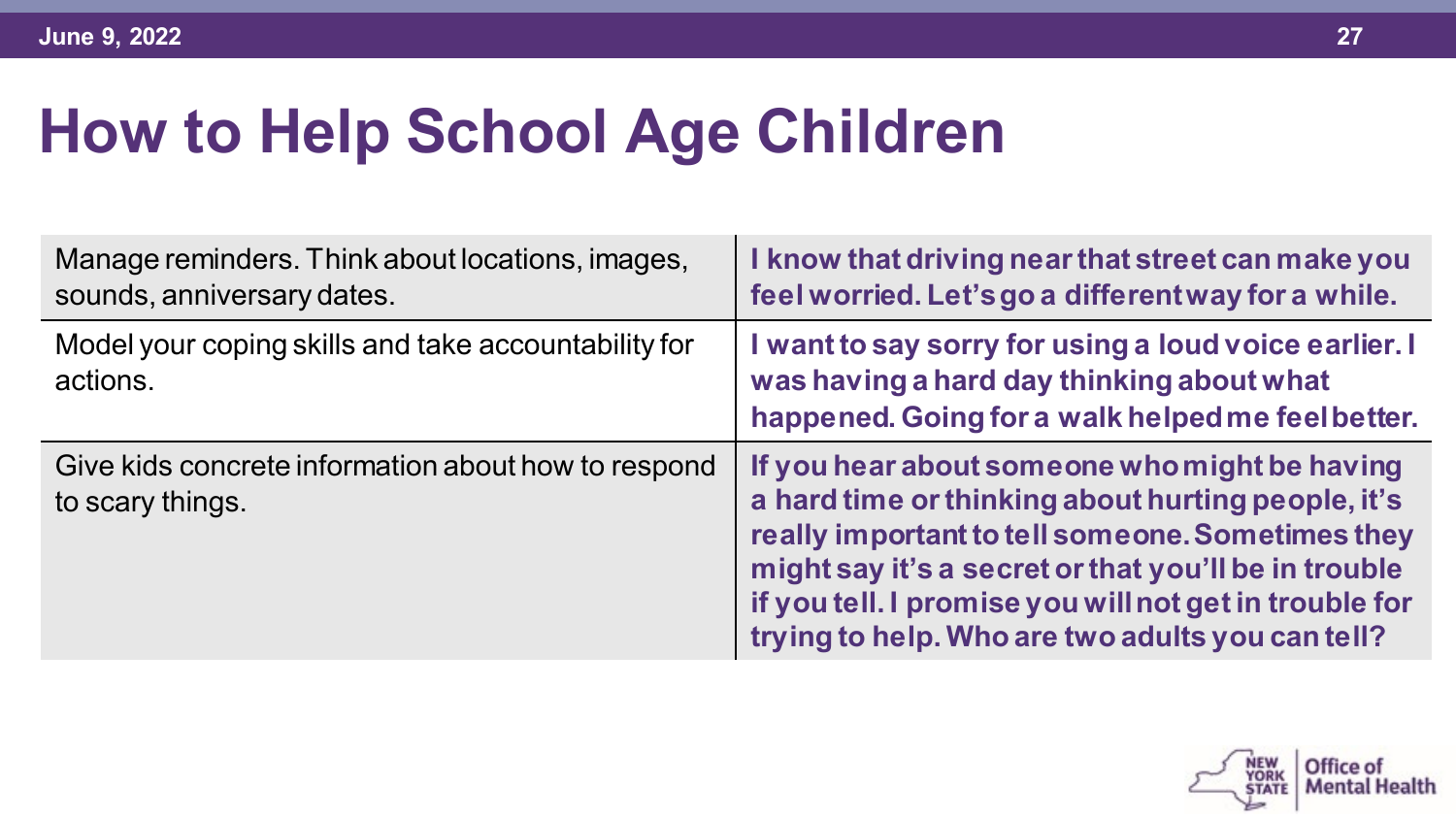| Manage reminders. Think about locations, images,<br>sounds, anniversary dates. | I know that driving near that street can make you<br>feel worried. Let's go a different way for a while.                                                                                                                                                                                                                      |
|--------------------------------------------------------------------------------|-------------------------------------------------------------------------------------------------------------------------------------------------------------------------------------------------------------------------------------------------------------------------------------------------------------------------------|
| Model your coping skills and take accountability for<br>actions.               | I want to say sorry for using a loud voice earlier. I<br>was having a hard day thinking about what<br>happened. Going for a walk helped me feel better.                                                                                                                                                                       |
| Give kids concrete information about how to respond<br>to scary things.        | If you hear about someone who might be having<br>a hard time or thinking about hurting people, it's<br>really important to tell someone. Sometimes they<br>might say it's a secret or that you'll be in trouble<br>if you tell. I promise you will not get in trouble for<br>trying to help. Who are two adults you can tell? |

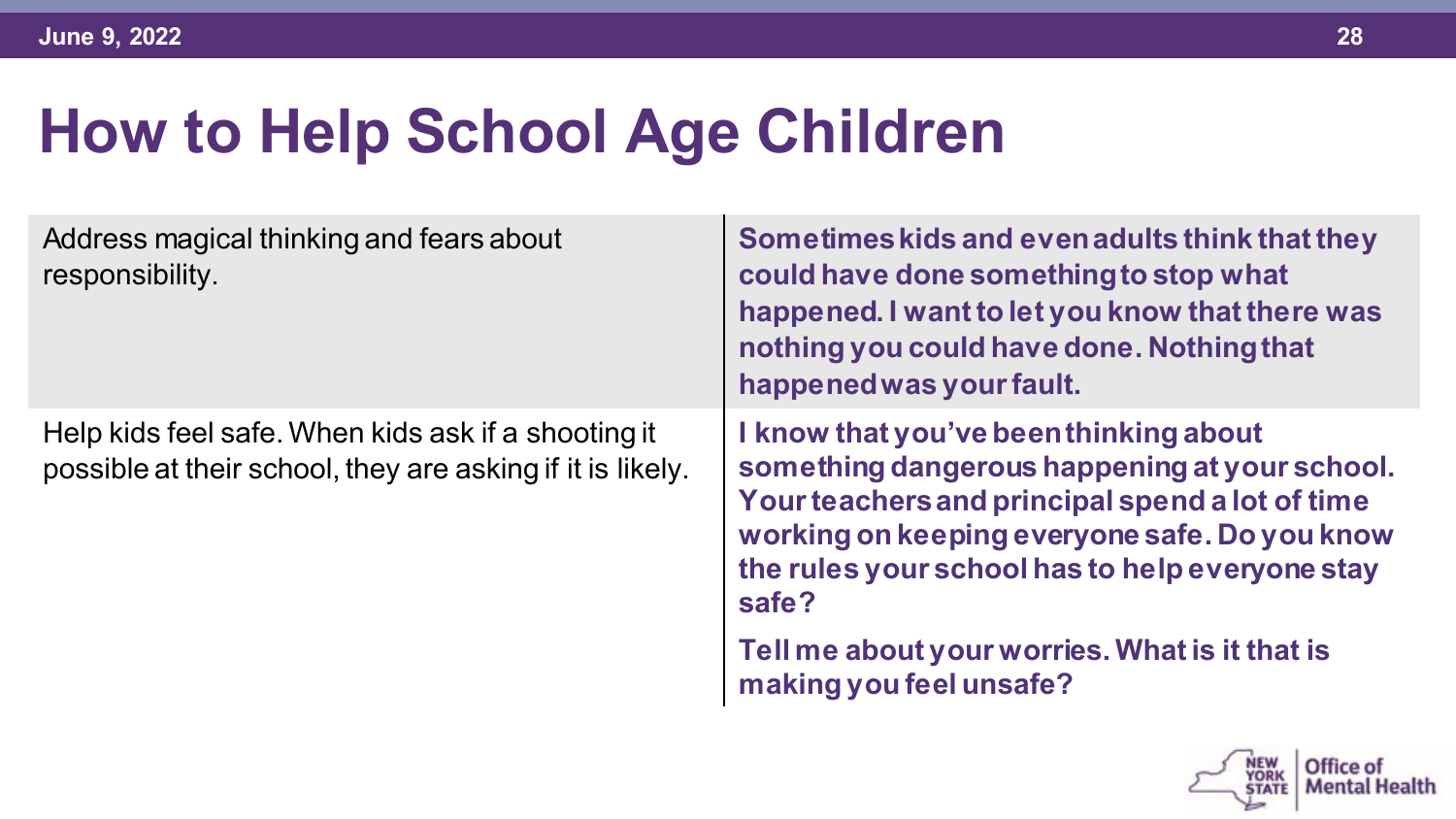| Address magical thinking and fears about<br>responsibility.                                                       | Sometimes kids and even adults think that they<br>could have done something to stop what<br>happened. I want to let you know that there was<br>nothing you could have done. Nothing that<br>happened was your fault.                                    |
|-------------------------------------------------------------------------------------------------------------------|---------------------------------------------------------------------------------------------------------------------------------------------------------------------------------------------------------------------------------------------------------|
| Help kids feel safe. When kids ask if a shooting it<br>possible at their school, they are asking if it is likely. | I know that you've been thinking about<br>something dangerous happening at your school.<br>Your teachers and principal spend a lot of time<br>working on keeping everyone safe. Do you know<br>the rules your school has to help everyone stay<br>safe? |
|                                                                                                                   | Tell me about your worries. What is it that is<br>making you feel unsafe?                                                                                                                                                                               |

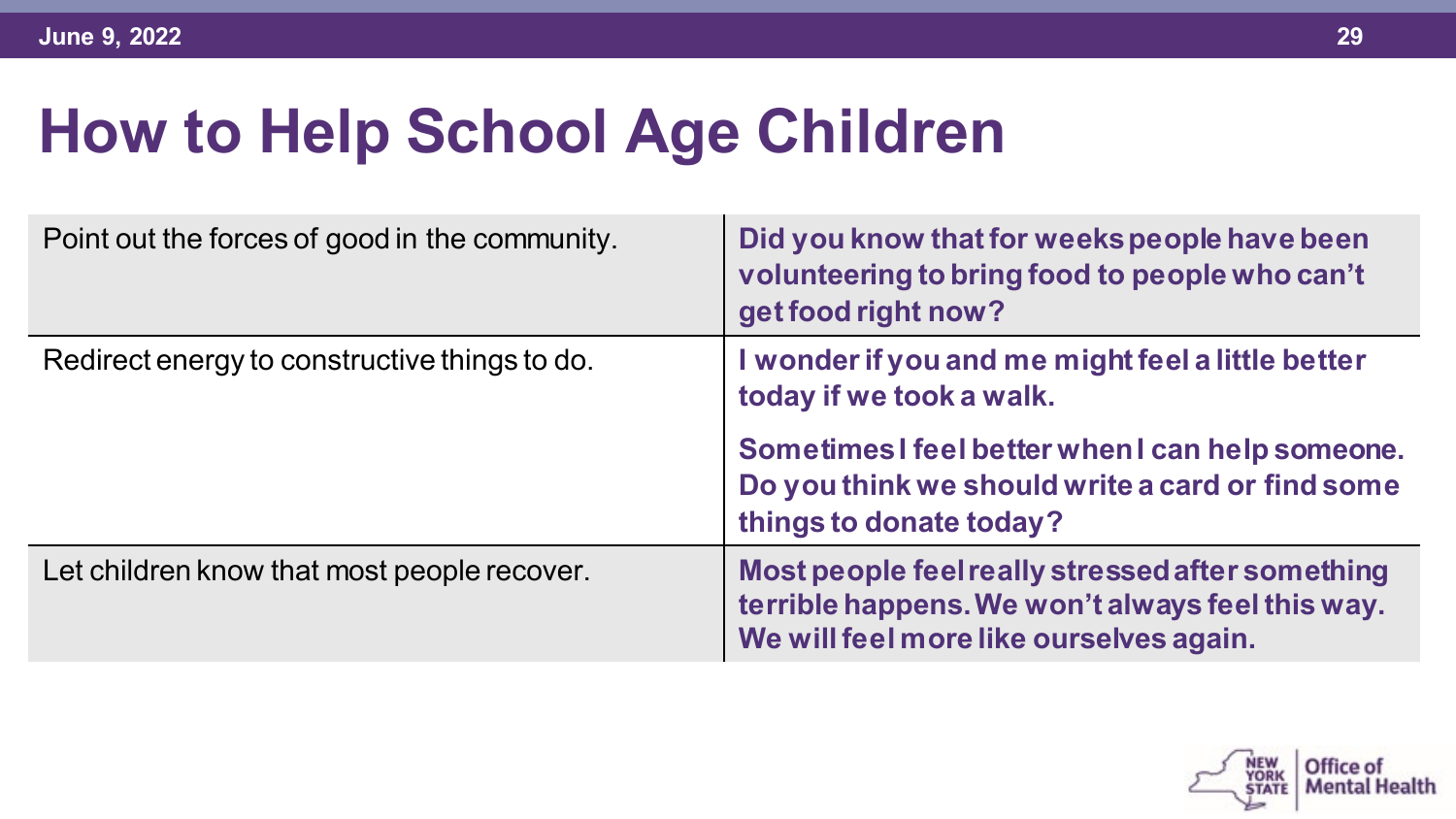| Point out the forces of good in the community. | Did you know that for weeks people have been<br>volunteering to bring food to people who can't<br>get food right now?                           |
|------------------------------------------------|-------------------------------------------------------------------------------------------------------------------------------------------------|
| Redirect energy to constructive things to do.  | I wonder if you and me might feel a little better<br>today if we took a walk.                                                                   |
|                                                | Sometimes I feel better when I can help someone.<br>Do you think we should write a card or find some<br>things to donate today?                 |
| Let children know that most people recover.    | Most people feel really stressed after something<br>terrible happens. We won't always feel this way.<br>We will feel more like ourselves again. |

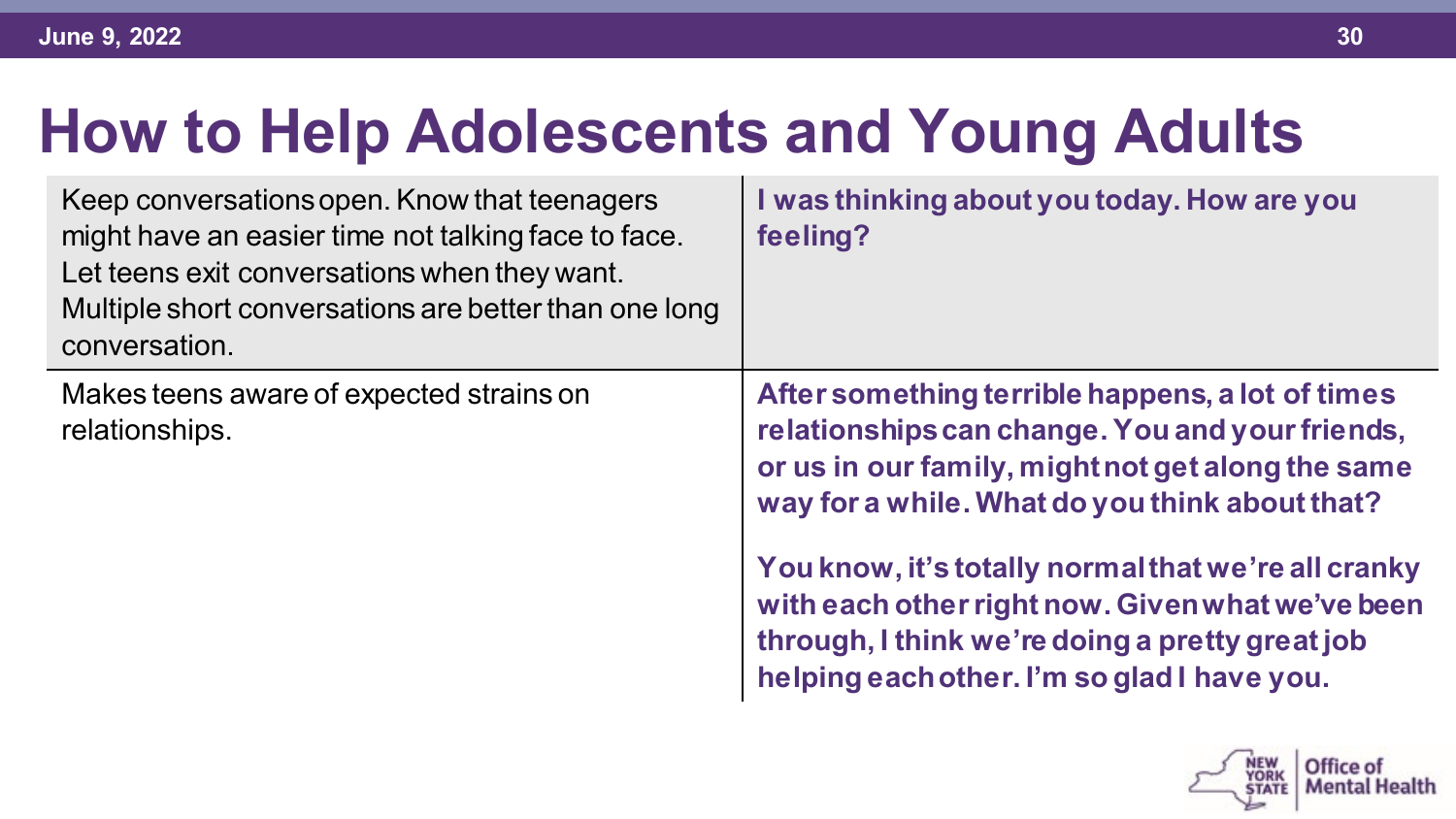| Keep conversations open. Know that teenagers<br>might have an easier time not talking face to face.<br>Let teens exit conversations when they want.<br>Multiple short conversations are better than one long<br>conversation. | I was thinking about you today. How are you<br>feeling?                                                                                                                                                                                                                                                                                                                                                                 |
|-------------------------------------------------------------------------------------------------------------------------------------------------------------------------------------------------------------------------------|-------------------------------------------------------------------------------------------------------------------------------------------------------------------------------------------------------------------------------------------------------------------------------------------------------------------------------------------------------------------------------------------------------------------------|
| Makes teens aware of expected strains on<br>relationships.                                                                                                                                                                    | After something terrible happens, a lot of times<br>relationships can change. You and your friends,<br>or us in our family, might not get along the same<br>way for a while. What do you think about that?<br>You know, it's totally normal that we're all cranky<br>with each other right now. Given what we've been<br>through, I think we're doing a pretty great job<br>helping each other. I'm so glad I have you. |
|                                                                                                                                                                                                                               |                                                                                                                                                                                                                                                                                                                                                                                                                         |

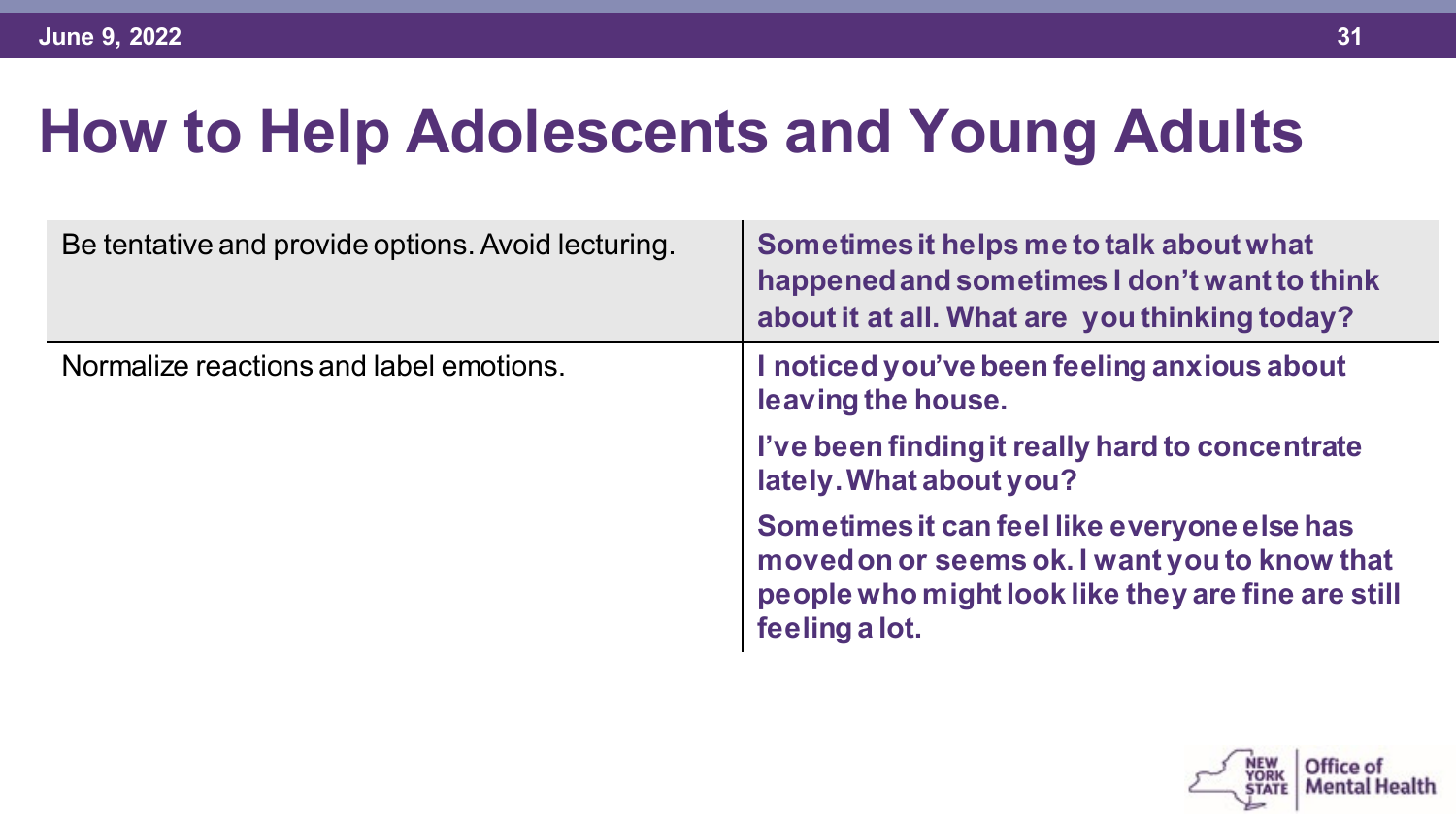| Be tentative and provide options. Avoid lecturing. | Sometimes it helps me to talk about what<br>happened and sometimes I don't want to think<br>about it at all. What are you thinking today?                             |
|----------------------------------------------------|-----------------------------------------------------------------------------------------------------------------------------------------------------------------------|
| Normalize reactions and label emotions.            | I noticed you've been feeling anxious about<br>leaving the house.                                                                                                     |
|                                                    | I've been finding it really hard to concentrate<br>lately. What about you?                                                                                            |
|                                                    | Sometimes it can feel like everyone else has<br>moved on or seems ok. I want you to know that<br>people who might look like they are fine are still<br>feeling a lot. |

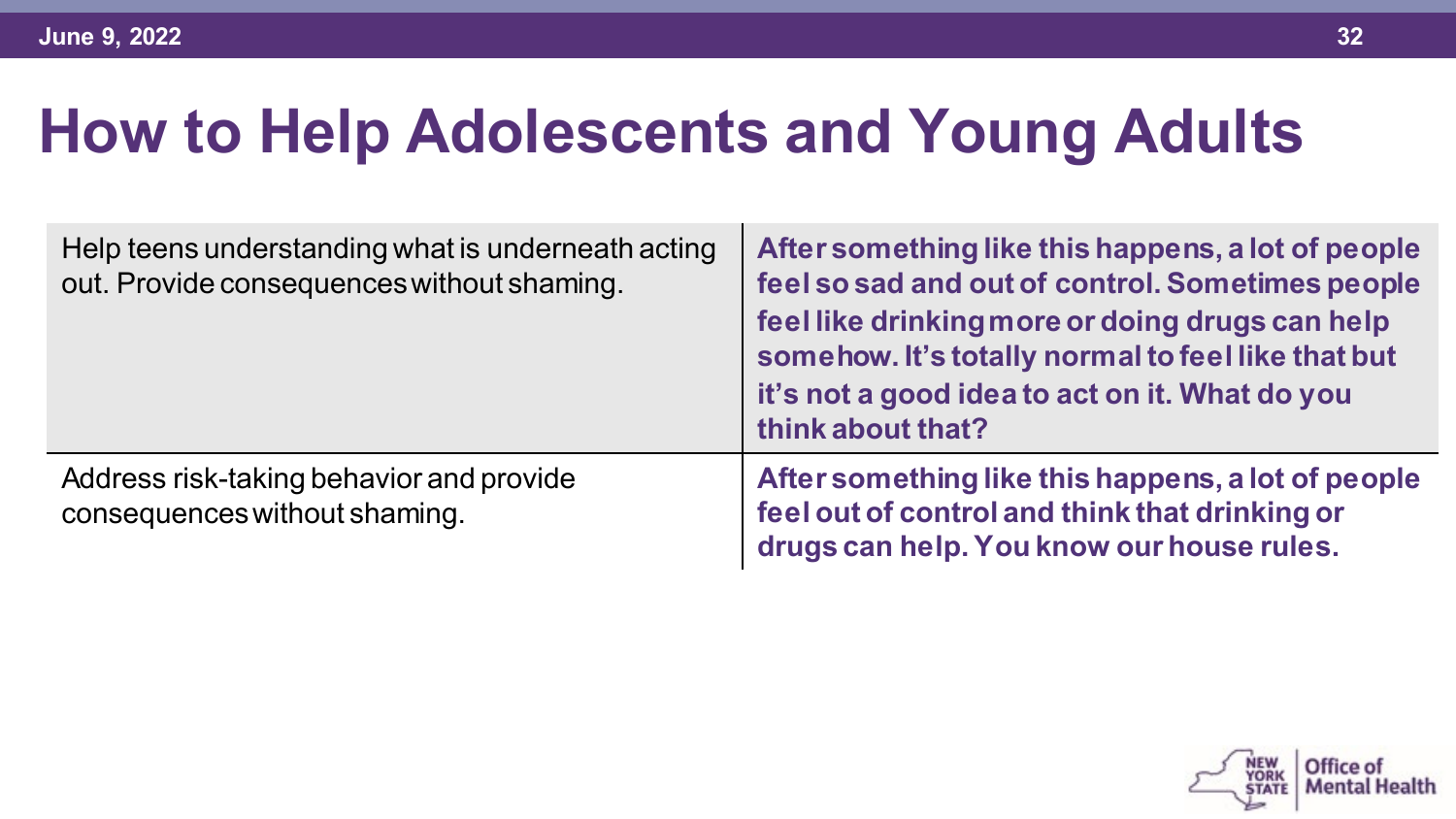| Help teens understanding what is underneath acting<br>out. Provide consequences without shaming. | After something like this happens, a lot of people<br>feel so sad and out of control. Sometimes people<br>feel like drinking more or doing drugs can help<br>somehow. It's totally normal to feel like that but<br>it's not a good idea to act on it. What do you<br>think about that? |
|--------------------------------------------------------------------------------------------------|----------------------------------------------------------------------------------------------------------------------------------------------------------------------------------------------------------------------------------------------------------------------------------------|
| Address risk-taking behavior and provide<br>consequences without shaming.                        | After something like this happens, a lot of people<br>feel out of control and think that drinking or<br>drugs can help. You know our house rules.                                                                                                                                      |

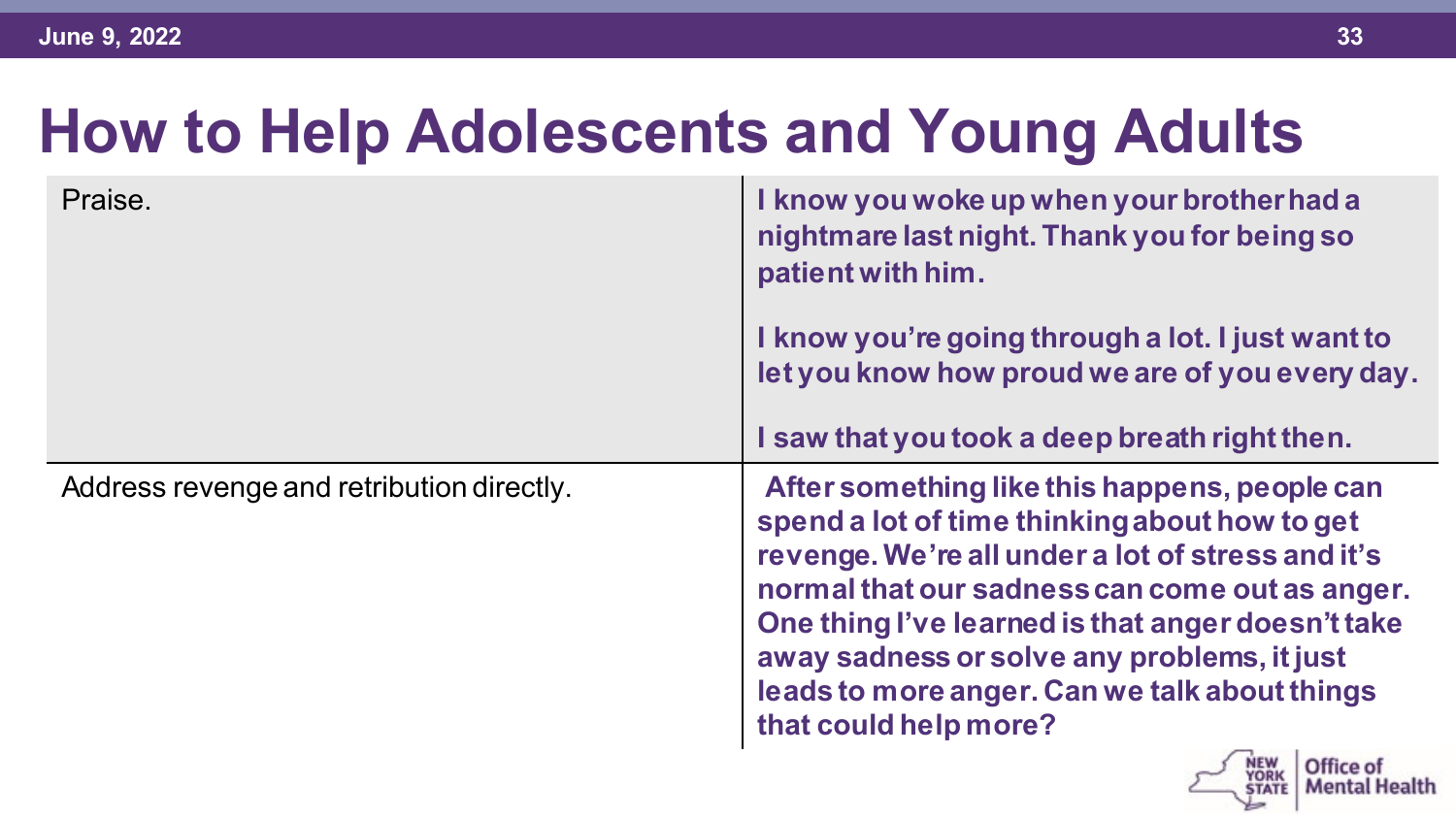| Praise.                                   | I know you woke up when your brother had a<br>nightmare last night. Thank you for being so<br>patient with him.                                                                                                                                                                                                                                                                     |
|-------------------------------------------|-------------------------------------------------------------------------------------------------------------------------------------------------------------------------------------------------------------------------------------------------------------------------------------------------------------------------------------------------------------------------------------|
|                                           | I know you're going through a lot. I just want to<br>let you know how proud we are of you every day.                                                                                                                                                                                                                                                                                |
|                                           | I saw that you took a deep breath right then.                                                                                                                                                                                                                                                                                                                                       |
| Address revenge and retribution directly. | After something like this happens, people can<br>spend a lot of time thinking about how to get<br>revenge. We're all under a lot of stress and it's<br>normal that our sadness can come out as anger.<br>One thing I've learned is that anger doesn't take<br>away sadness or solve any problems, it just<br>leads to more anger. Can we talk about things<br>that could help more? |
|                                           | Mental Health                                                                                                                                                                                                                                                                                                                                                                       |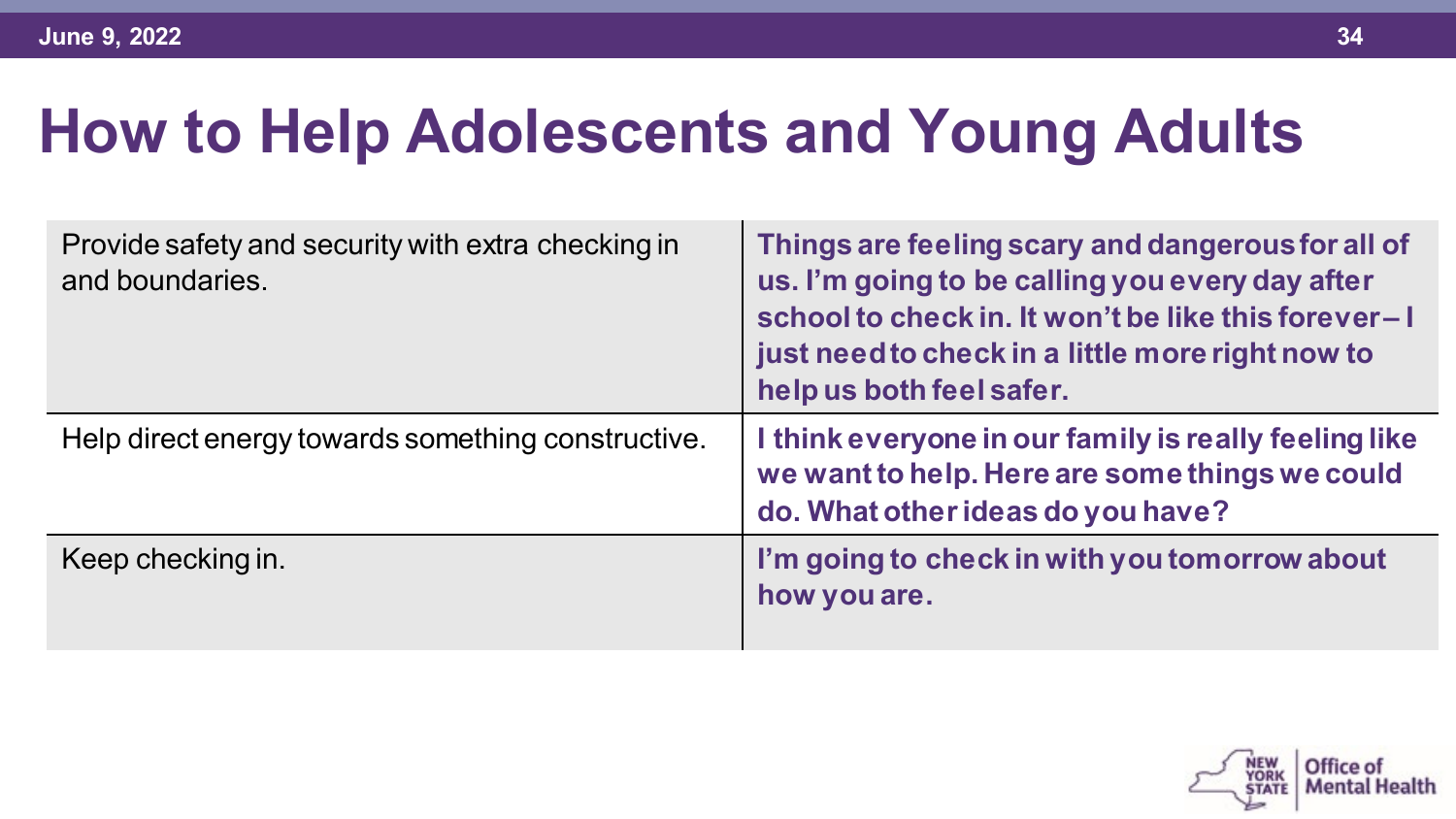| Provide safety and security with extra checking in<br>and boundaries. | Things are feeling scary and dangerous for all of<br>us. I'm going to be calling you every day after<br>school to check in. It won't be like this forever-I<br>just need to check in a little more right now to<br>help us both feel safer. |
|-----------------------------------------------------------------------|---------------------------------------------------------------------------------------------------------------------------------------------------------------------------------------------------------------------------------------------|
| Help direct energy towards something constructive.                    | I think everyone in our family is really feeling like<br>we want to help. Here are some things we could<br>do. What other ideas do you have?                                                                                                |
| Keep checking in.                                                     | I'm going to check in with you tomorrow about<br>how you are.                                                                                                                                                                               |

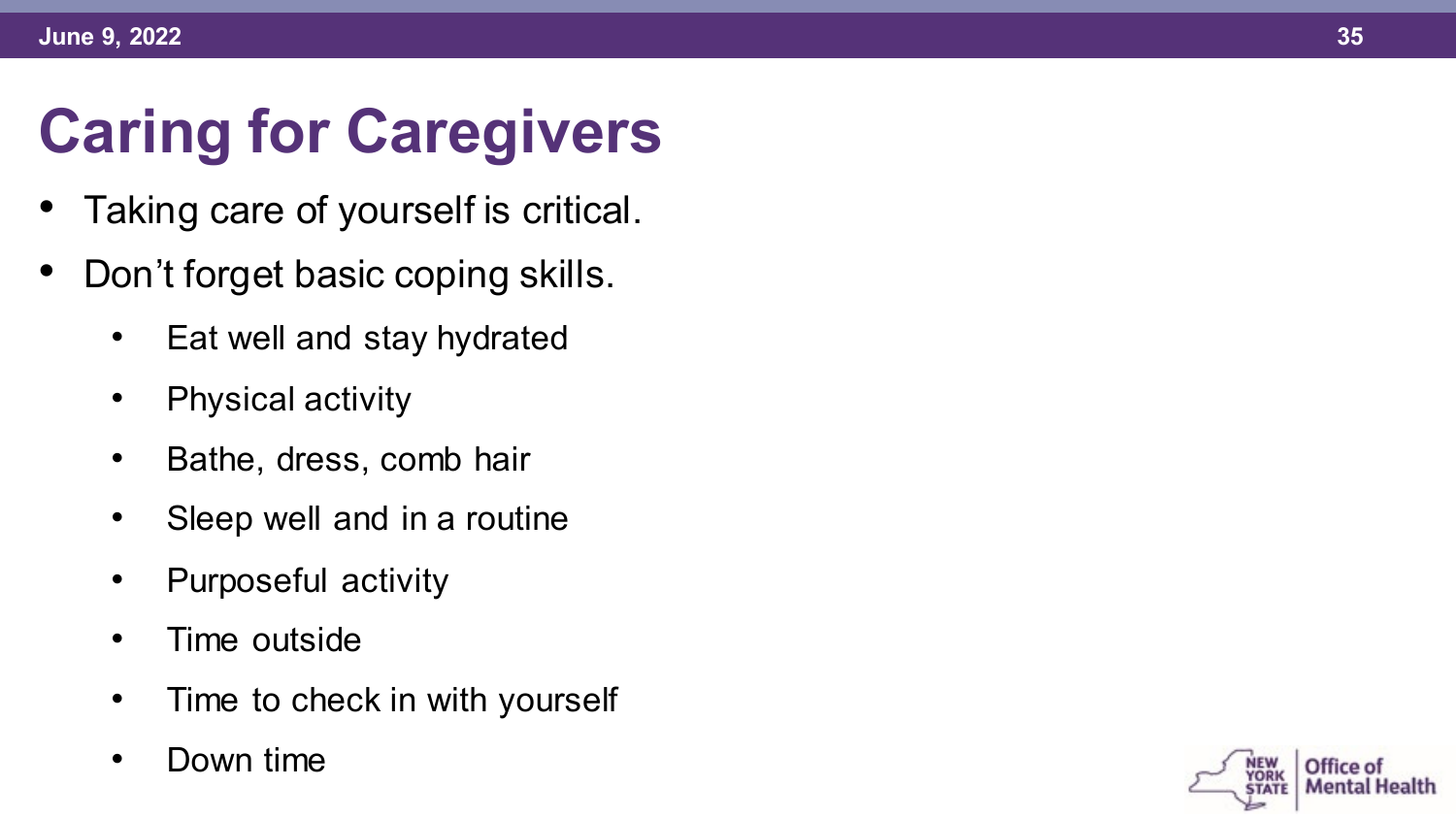# **Caring for Caregivers**

- 
- Taking care of yourself is critical. Don't forget basic coping skills. Eat well and stay hydrated
	-
	- Physical activity
	- Bathe, dress, comb hair
	- Sleep well and in a routine
	- Purposeful activity
	- Time outside
	- Time to check in with yourself
	- Down time

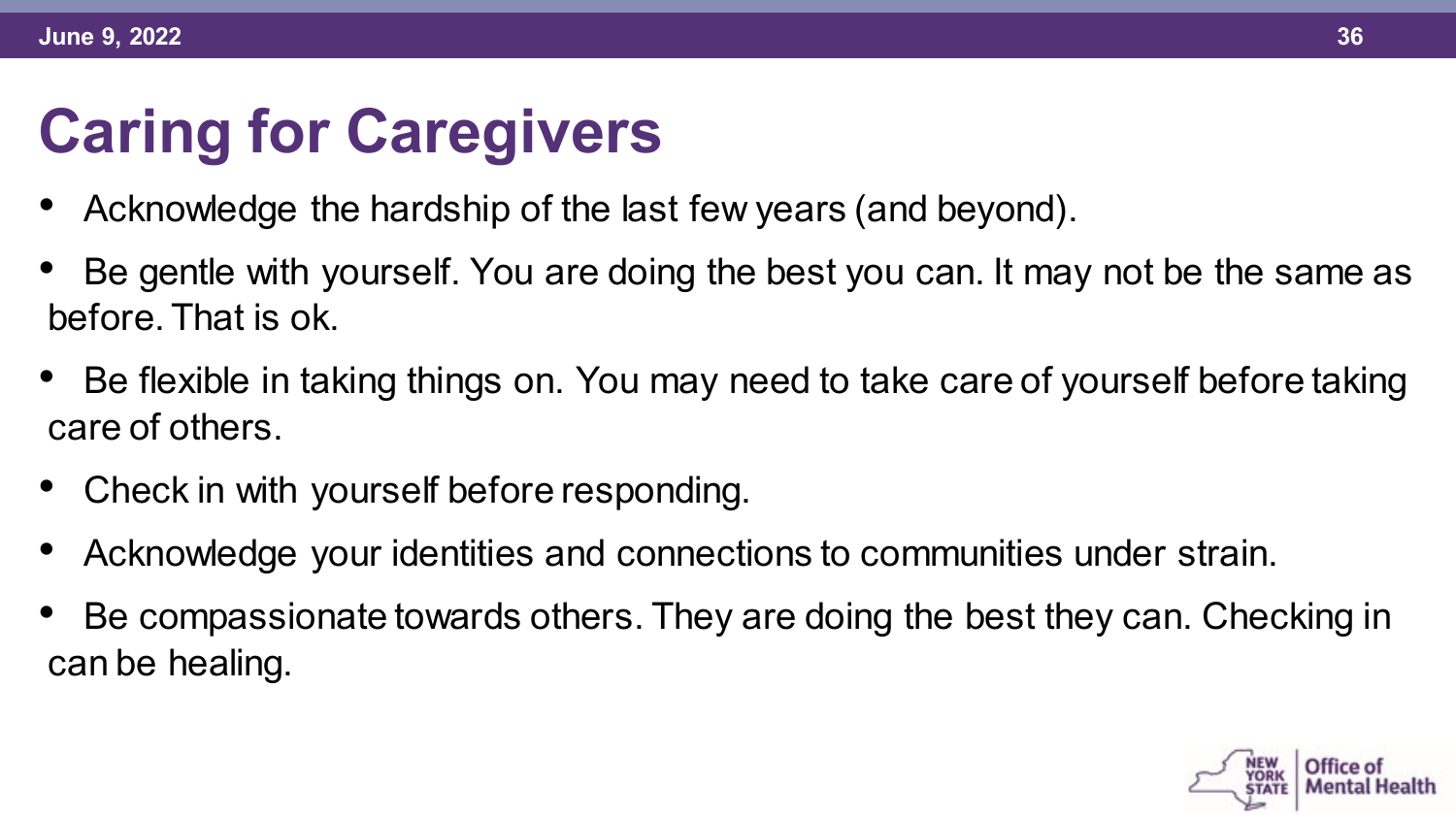# **Caring for Caregivers**

- Acknowledge the hardship of the last few years (and beyond).
- Be gentle with yourself. You are doing the best you can. It may not be the same as before. That is ok.
- Be flexible in taking things on. You may need to take care of yourself before taking care of others.
- Check in with yourself before responding.
- Acknowledge your identities and connections to communities under strain.
- Be compassionate towards others. They are doing the best they can. Checking in can be healing.

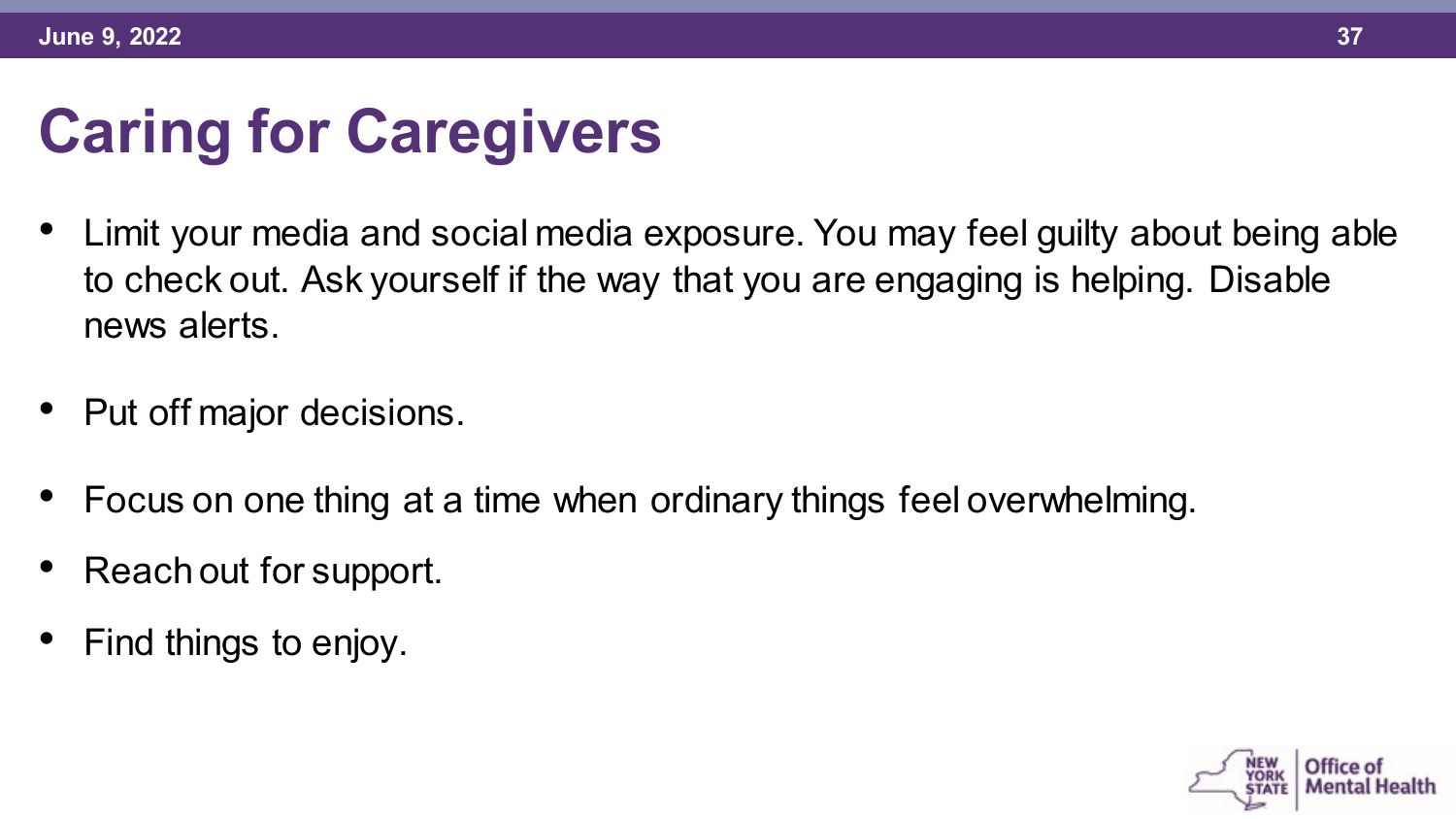#### **Caring for Caregivers**

- Limit your media and social media exposure. You may feel guilty about being able to check out. Ask yourself if the way that you are engaging is helping. Disable news alerts.
- Put off major decisions.
- Focus on one thing at a time when ordinary things feel overwhelming.
- Reach out for support.
- Find things to enjoy.

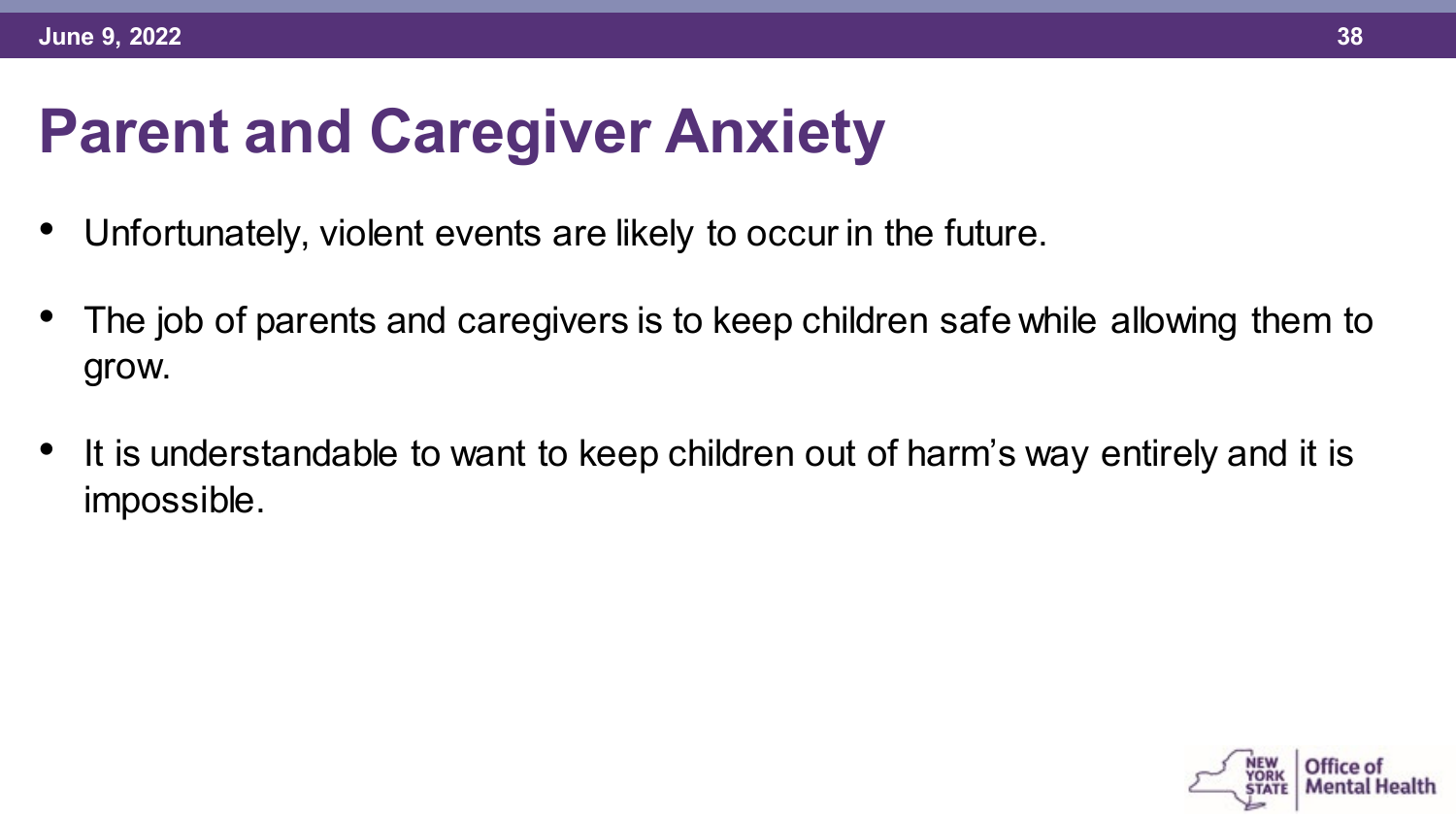#### **Parent and Caregiver Anxiety**

- Unfortunately, violent events are likely to occur in the future.
- The job of parents and caregivers is to keep children safe while allowing them to grow.
- It is understandable to want to keep children out of harm's way entirely and it is impossible.

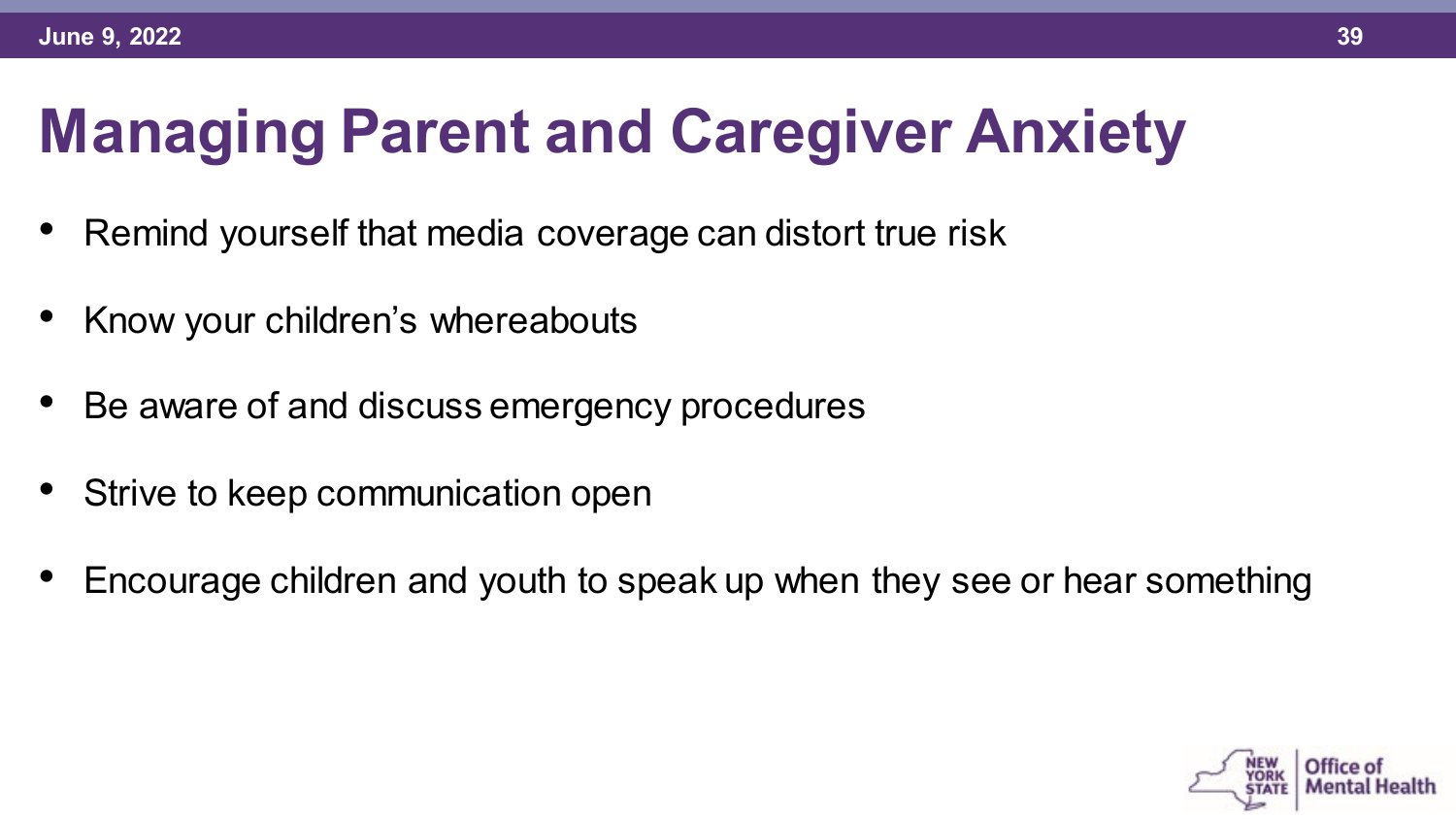# **Managing Parent and Caregiver Anxiety**

- Remind yourself that media coverage can distort true risk
- Know your children's whereabouts
- Be aware of and discuss emergency procedures
- Strive to keep communication open
- Encourage children and youth to speak up when they see or hear something

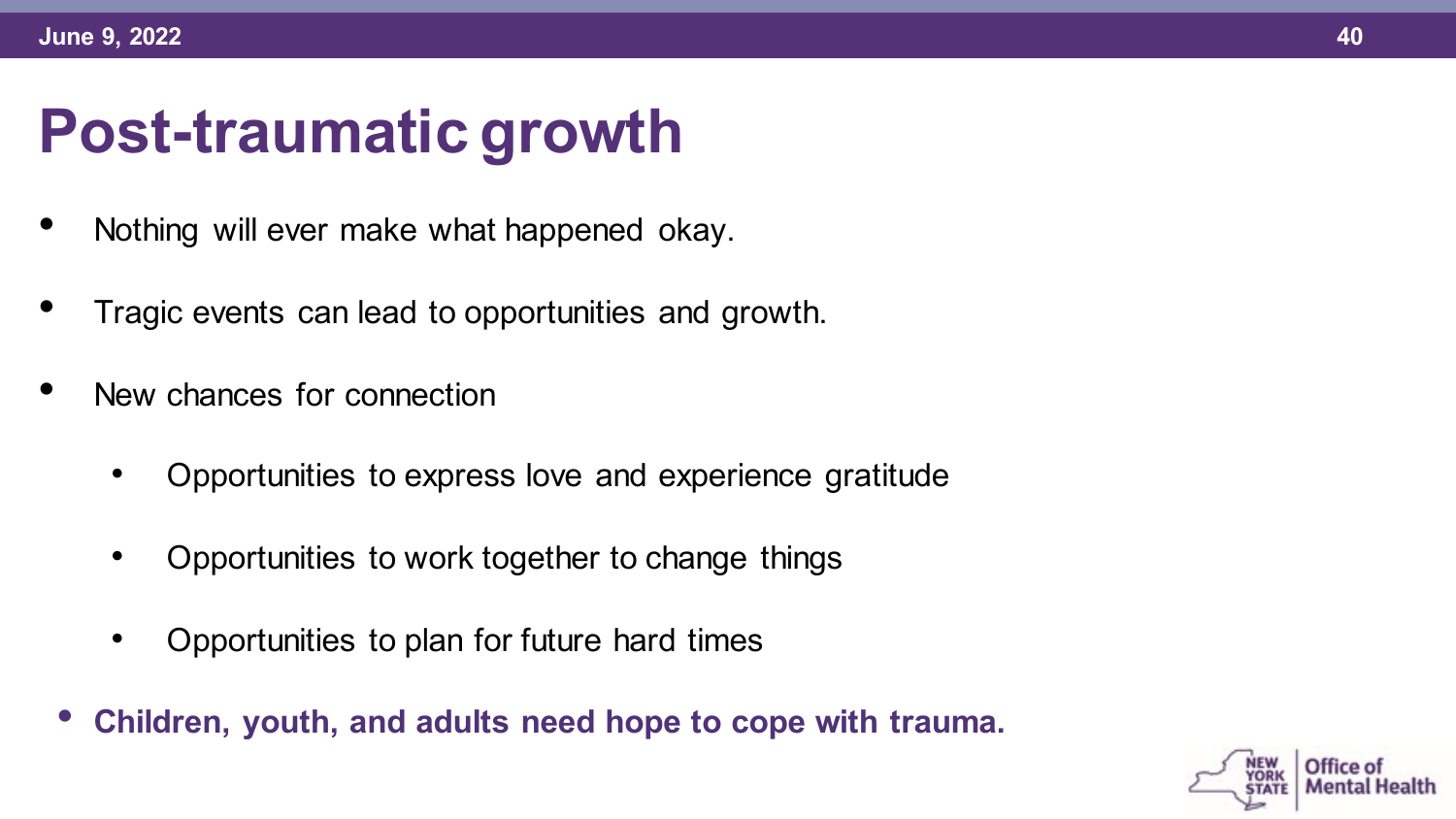## **Post-traumatic growth**

- Nothing will ever make what happened okay.
- Tragic events can lead to opportunities and growth.
- New chances for connection
	- Opportunities to express love and experience gratitude
	- Opportunities to work together to change things
	- Opportunities to plan for future hard times
	- **Children, youth, and adults need hope to cope with trauma.**

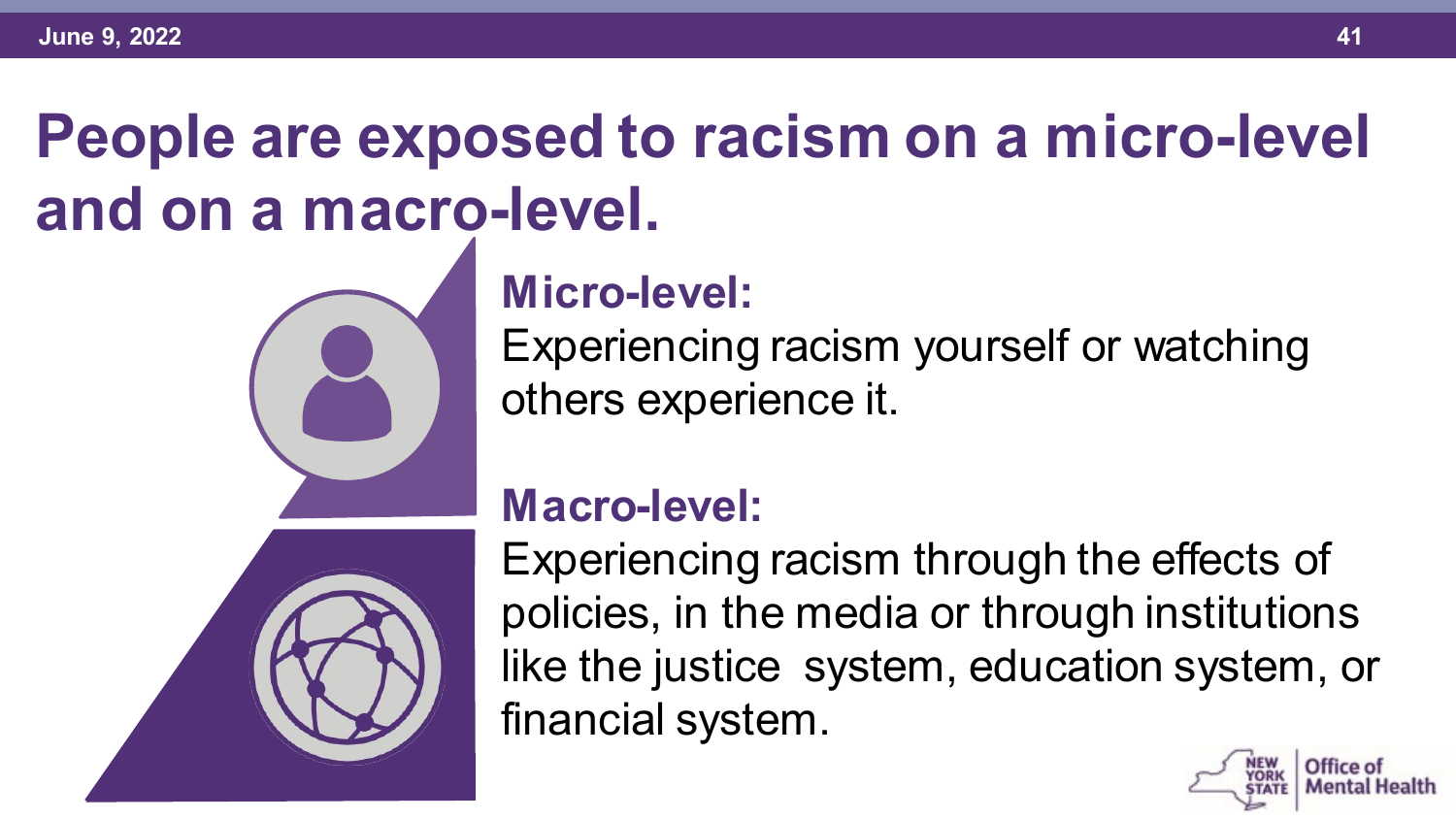# **People are exposed to racism on a micro-level and on a macro-level.**



#### **Micro-level:**

Experiencing racism yourself or watching others experience it.

#### **Macro-level:**

Experiencing racism through the effects of policies, in the media or through institutions like the justice system, education system, or financial system.

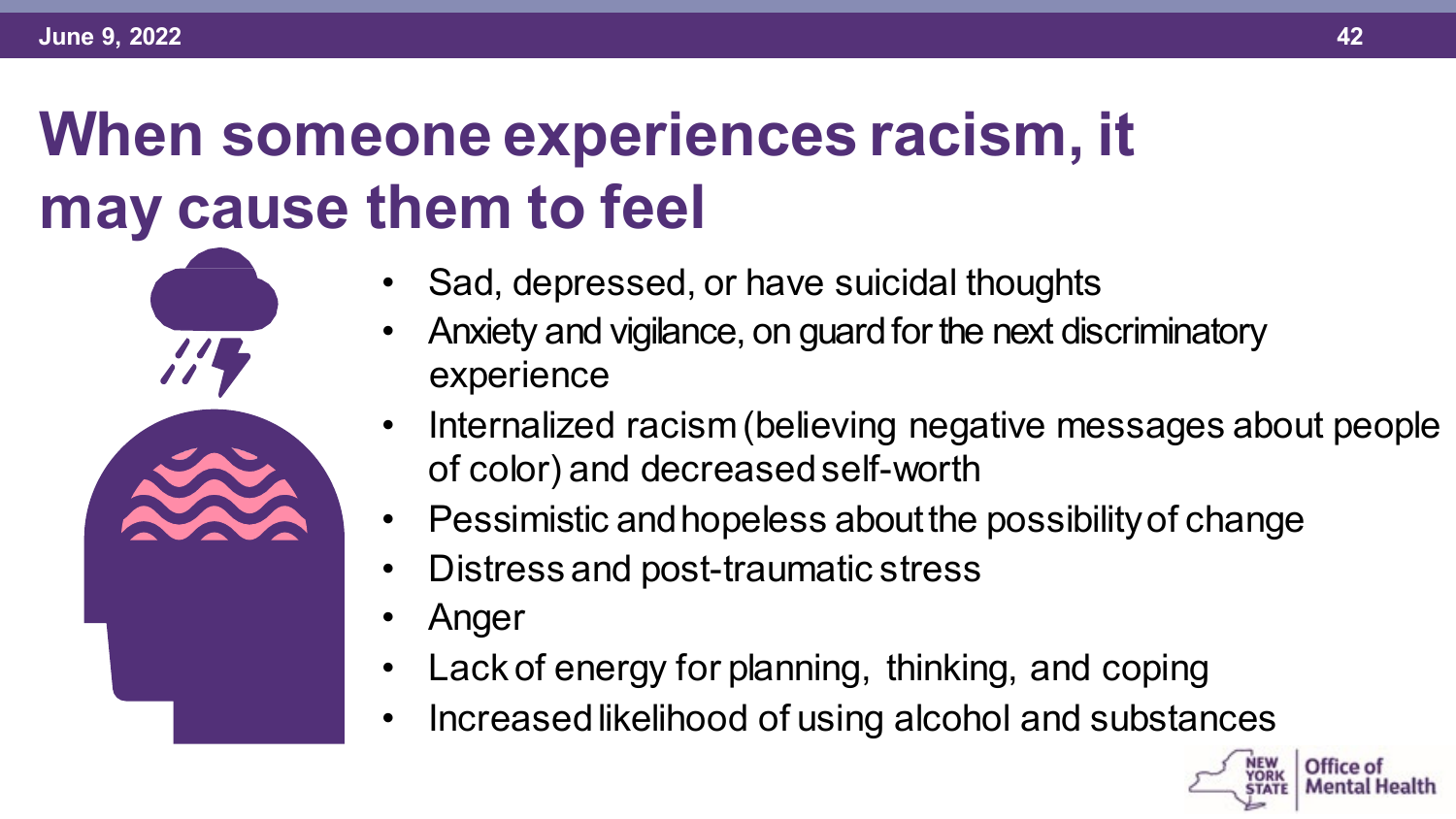## **When someone experiences racism, it may cause them to feel**

- Sad, depressed, or have suicidal thoughts
	- Anxiety and vigilance, on guard forthe next discriminatory experience
	- Internalized racism(believing negative messages about people of color) and decreased self-worth
	- Pessimistic andhopeless aboutthe possibilityof change
	- Distress and post-traumatic stress
	- Anger
	- Lack of energy for planning, thinking, and coping
	- Increased likelihood of using alcohol and substances

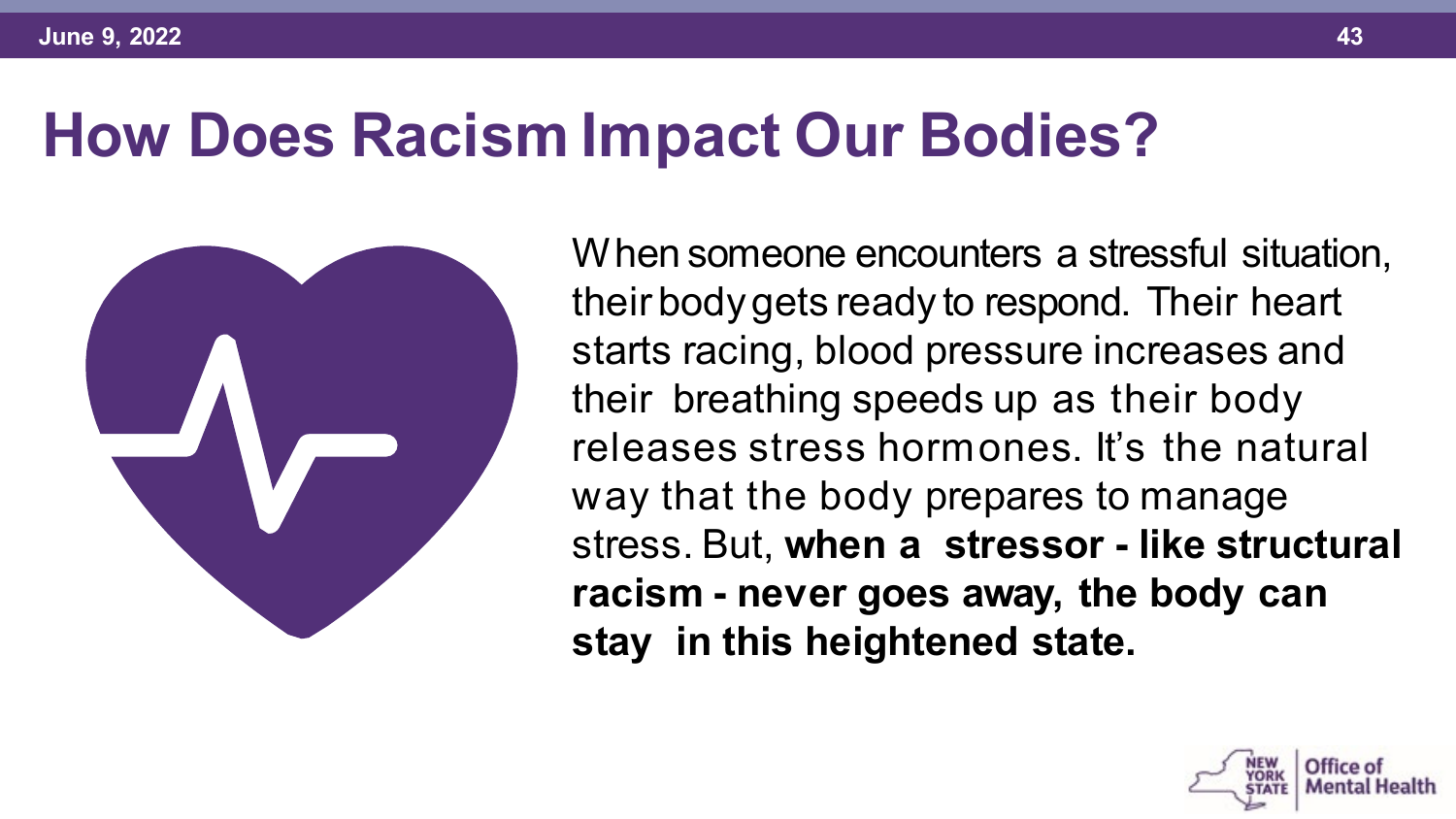#### **How Does Racism Impact Our Bodies?**



When someone encounters a stressful situation, their body gets ready to respond. Their heart starts racing, blood pressure increases and their breathing speeds up as their body releases stress hormones. It's the natural way that the body prepares to manage stress. But, **when a stressor - like structural racism - never goes away, the body can stay in this heightened state.**

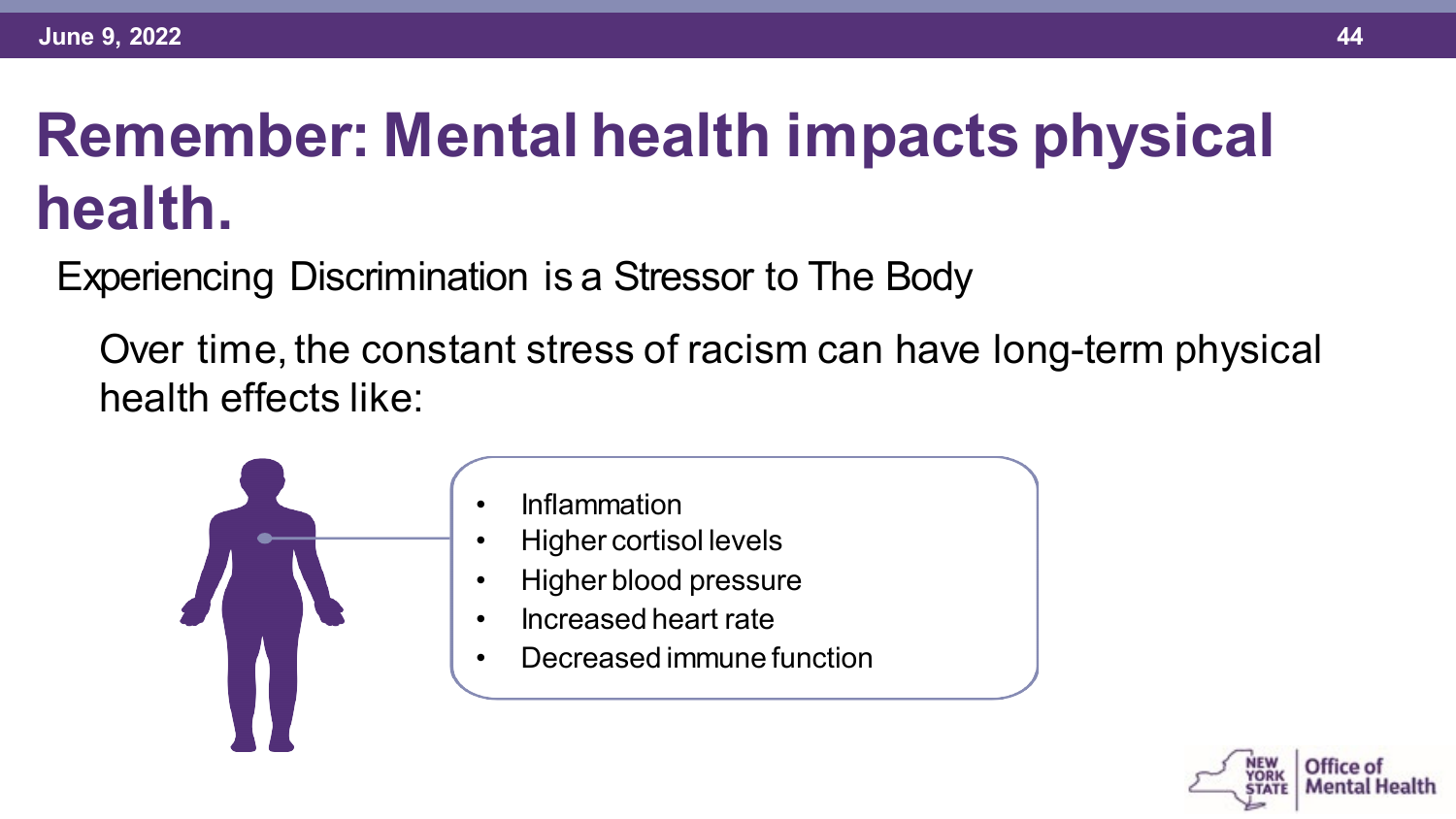# **Remember: Mental health impacts physical health.**

Experiencing Discrimination is a Stressor to The Body

Over time, the constant stress of racism can have long-term physical health effects like:



- Inflammation
- Higher cortisol levels
- Higher blood pressure
- Increased heart rate
- Decreased immune function

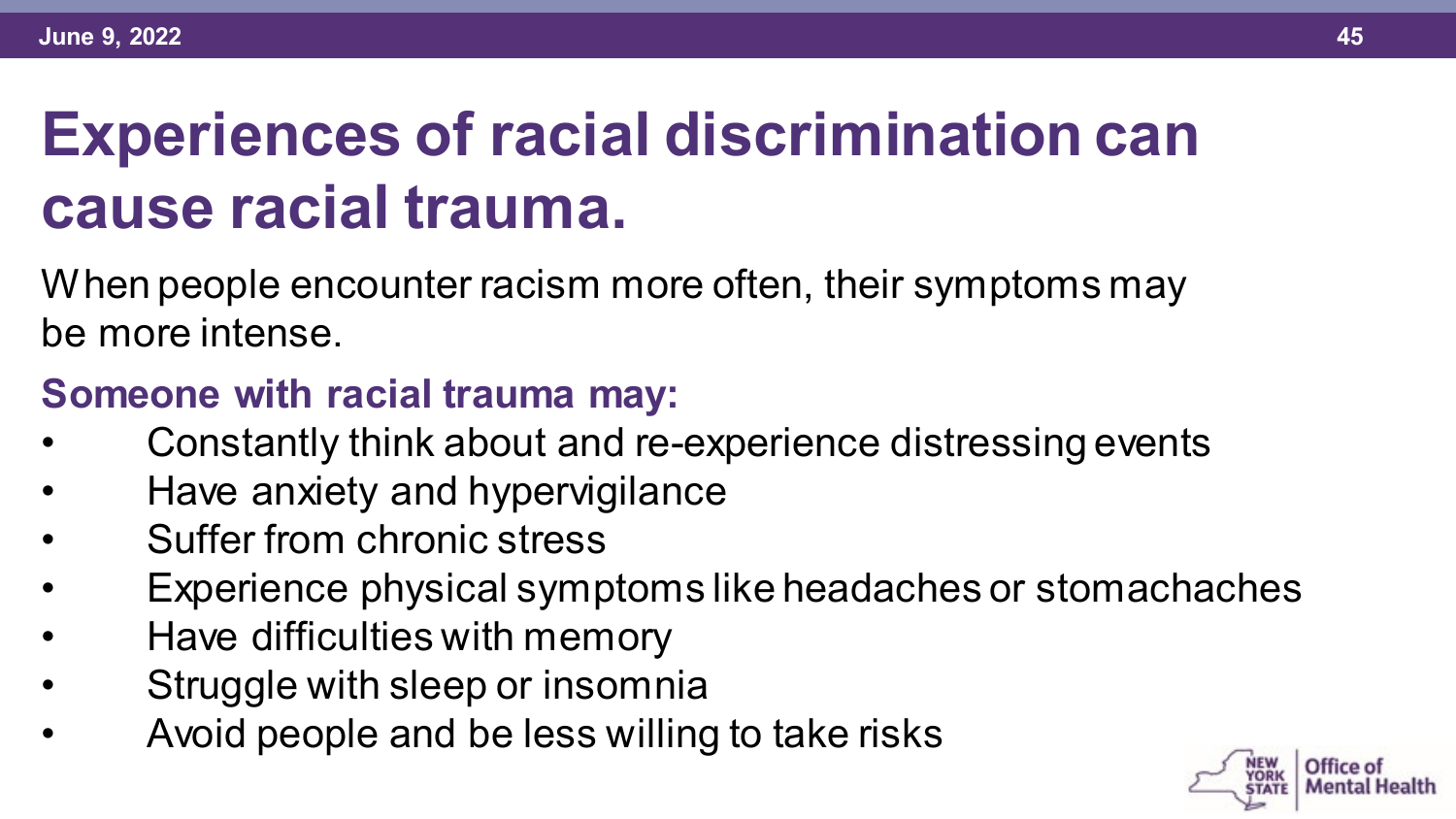# **Experiences of racial discrimination can cause racial trauma.**

When people encounter racism more often, their symptoms may be more intense.

#### **Someone with racial trauma may:**

- Constantly think about and re-experience distressing events
- Have anxiety and hypervigilance
- Suffer from chronic stress
- Experience physical symptoms like headaches or stomachaches
- Have difficulties with memory
- Struggle with sleep or insomnia
- Avoid people and be less willing to take risks

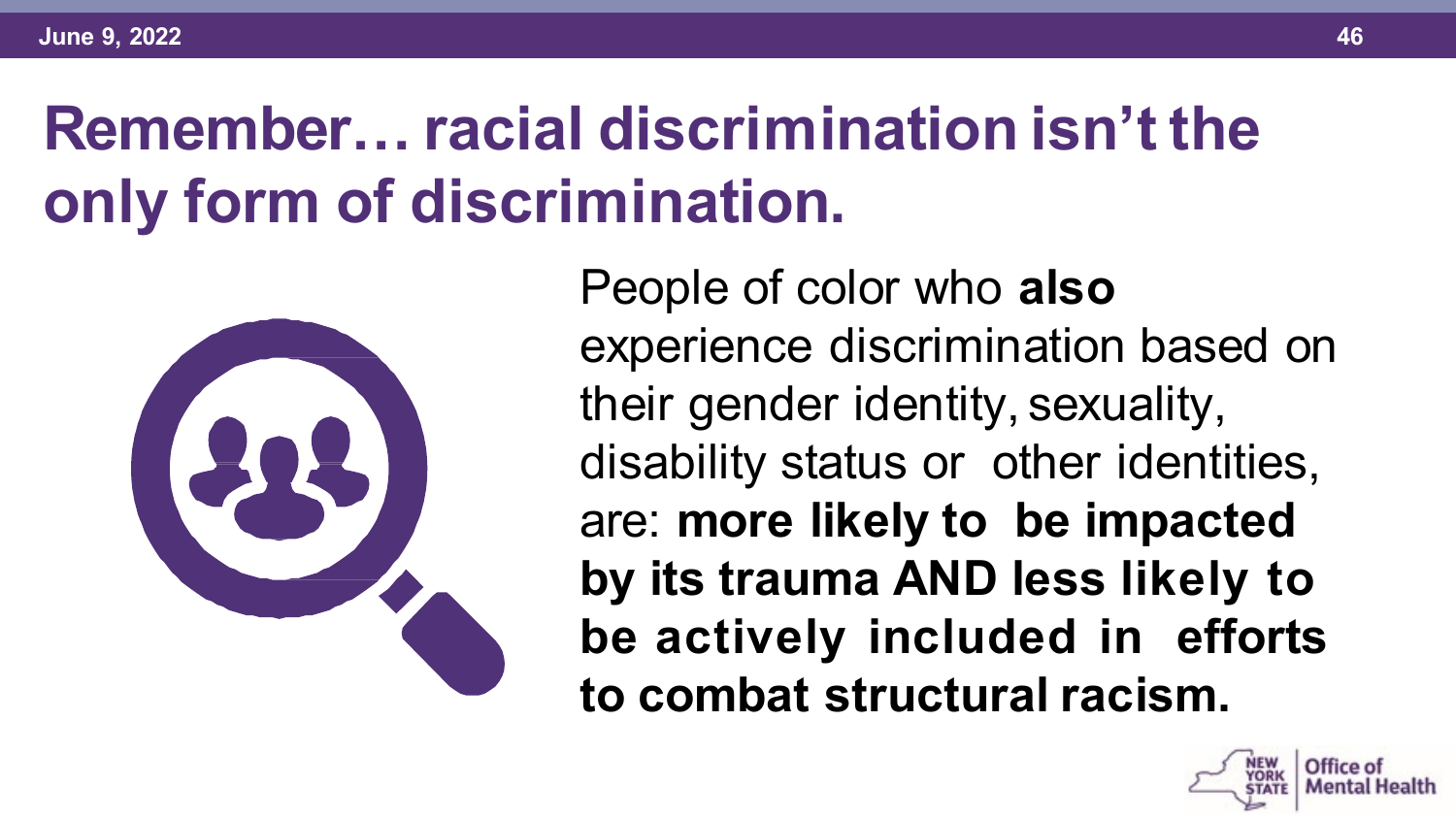#### **Remember… racial discrimination isn't the only form of discrimination.**



People of color who **also**  experience discrimination based on their gender identity, sexuality, disability status or other identities, are: **more likely to be impacted by its trauma AND less likely to be actively included in efforts to combat structural racism.**

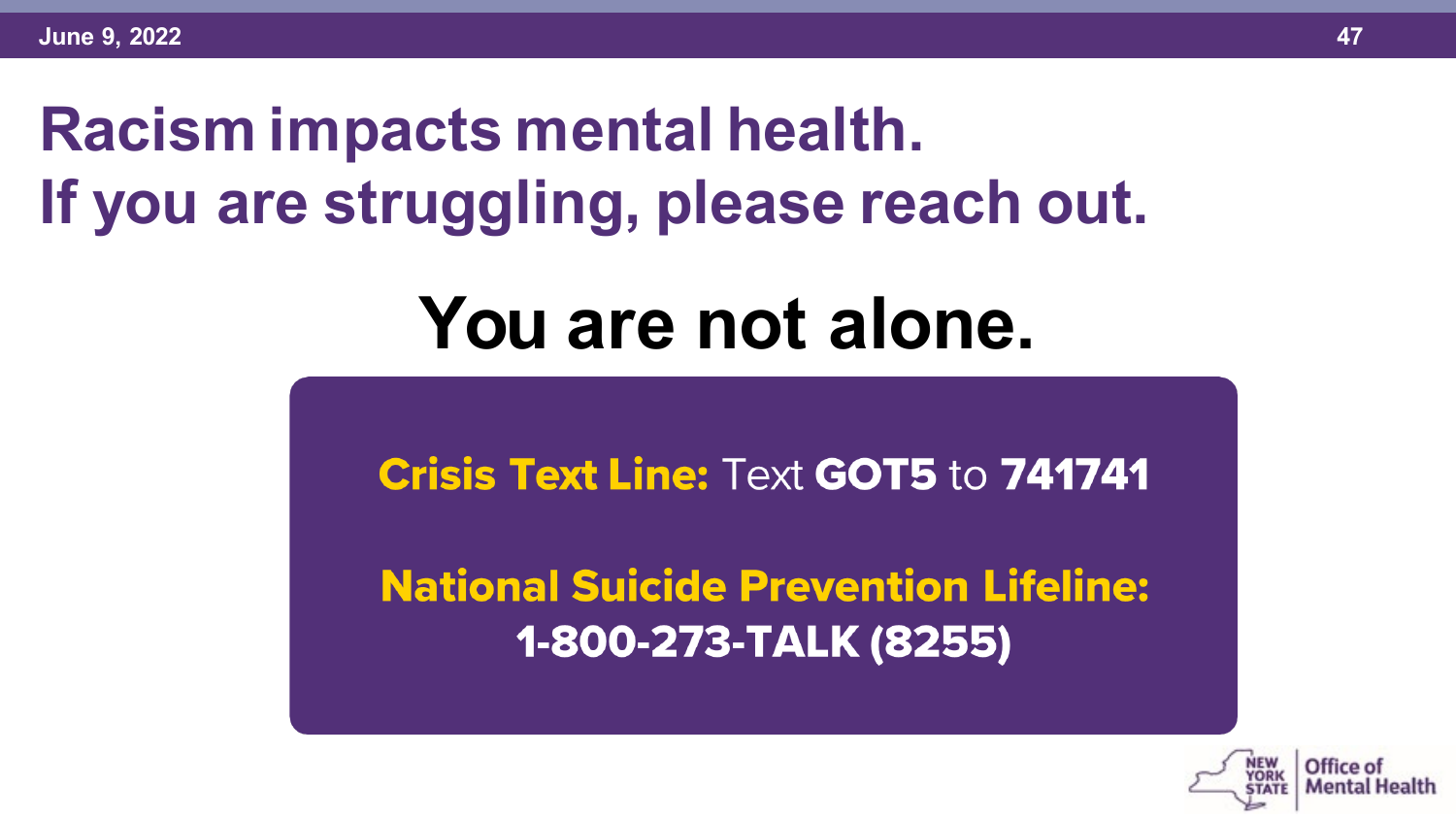# **Racism impacts mental health. If you are struggling, please reach out.**

# **You are not alone.**

**Crisis Text Line: Text GOT5 to 741741** 

**National Suicide Prevention Lifeline:** 1-800-273-TALK (8255)

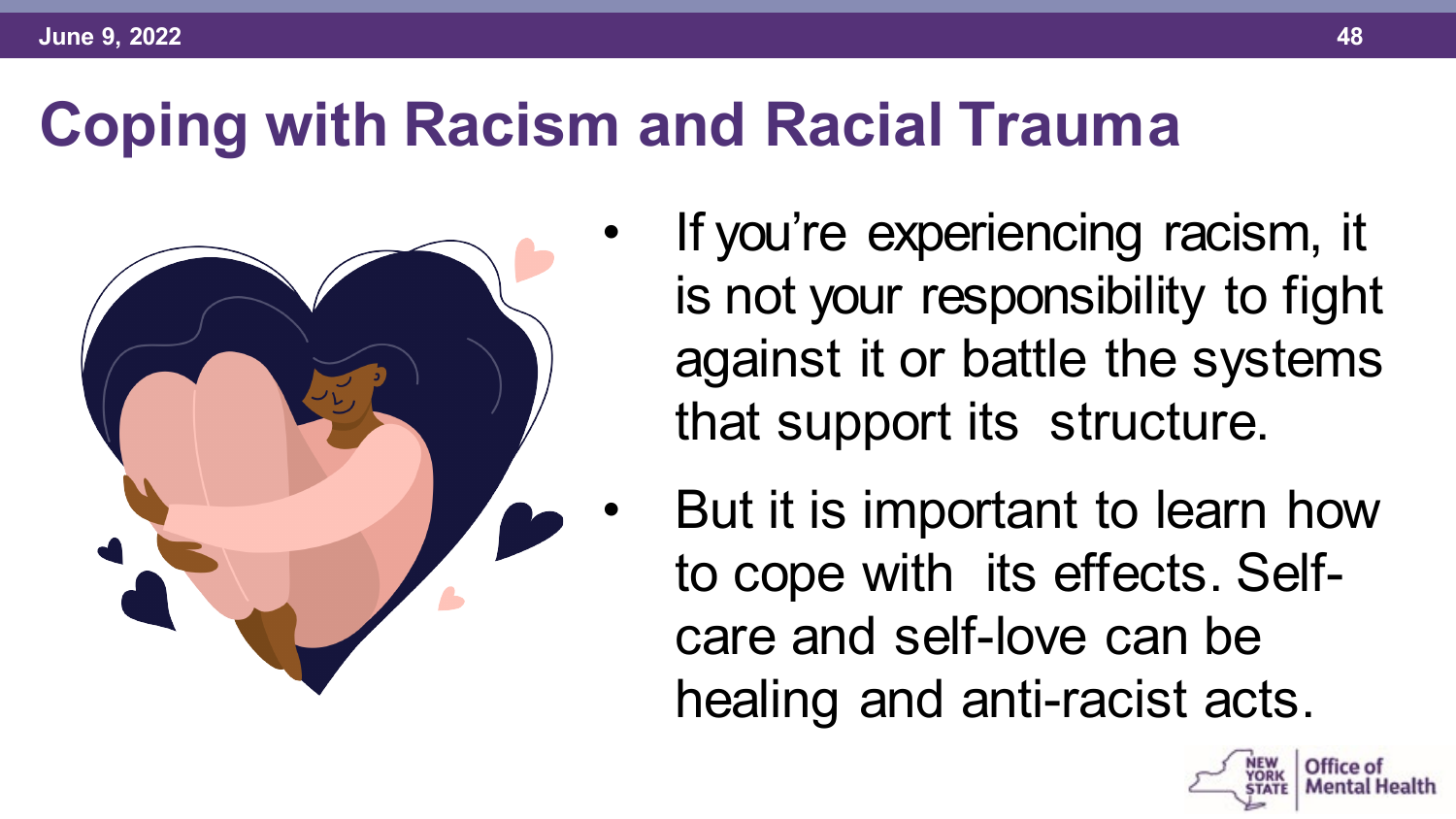

- If you're experiencing racism, it is not your responsibility to fight against it or battle the systems that support its structure.
- But it is important to learn how to cope with its effects. Selfcare and self-love can be healing and anti-racist acts.

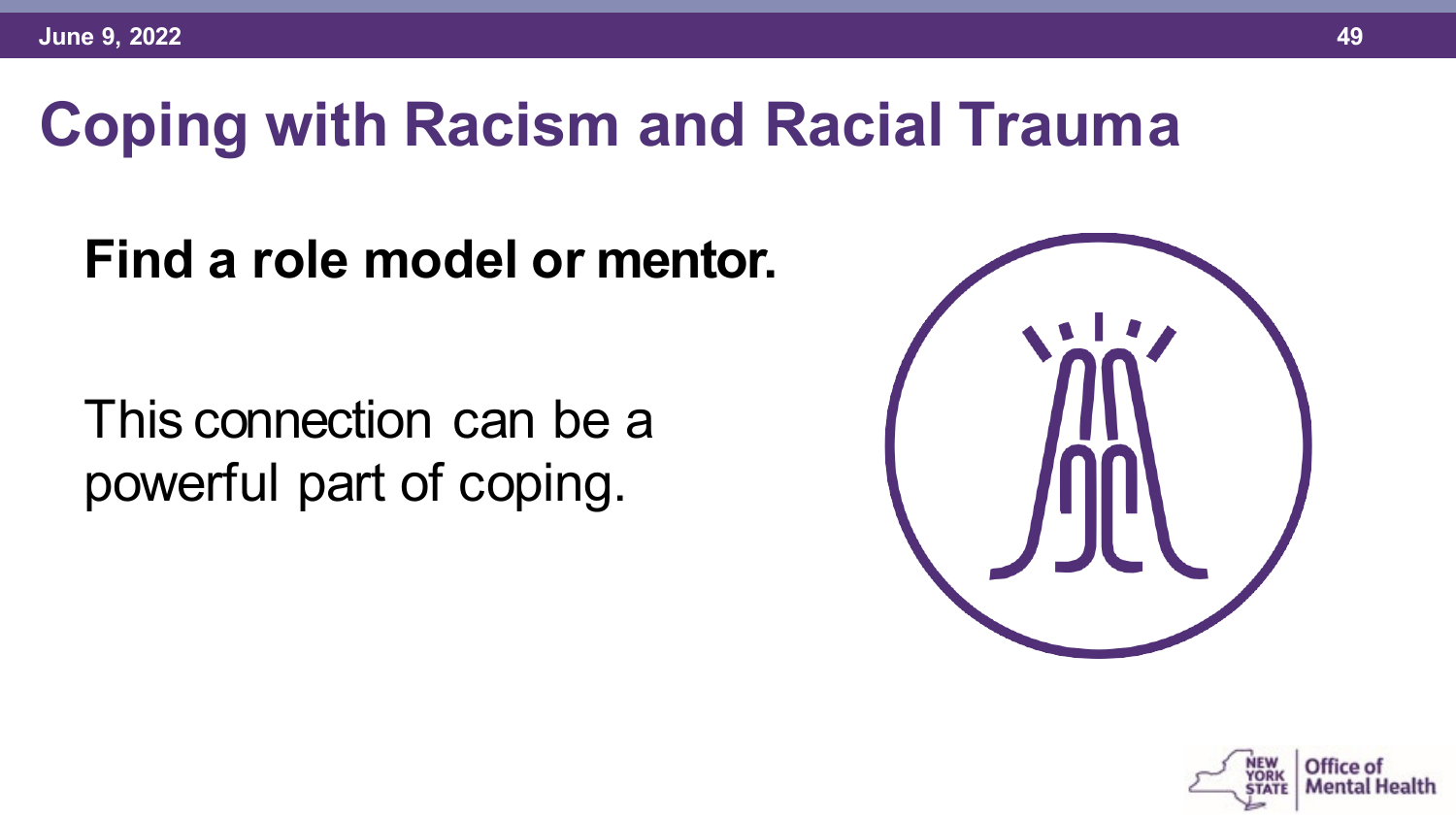#### **Find a role model or mentor.**

This connection can be a powerful part of coping.



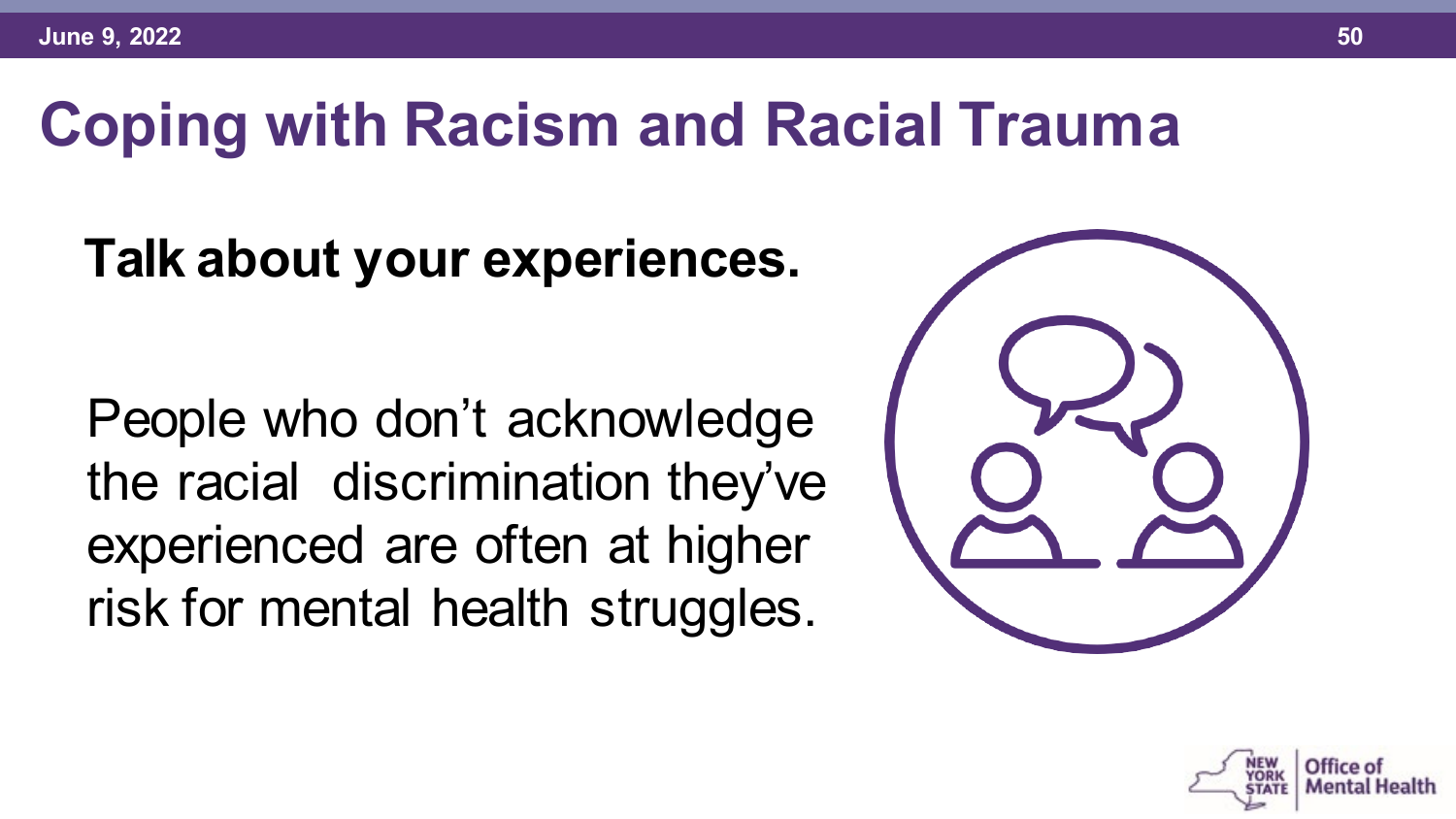#### **Talk about your experiences.**

People who don't acknowledge the racial discrimination they've experienced are often at higher risk for mental health struggles.



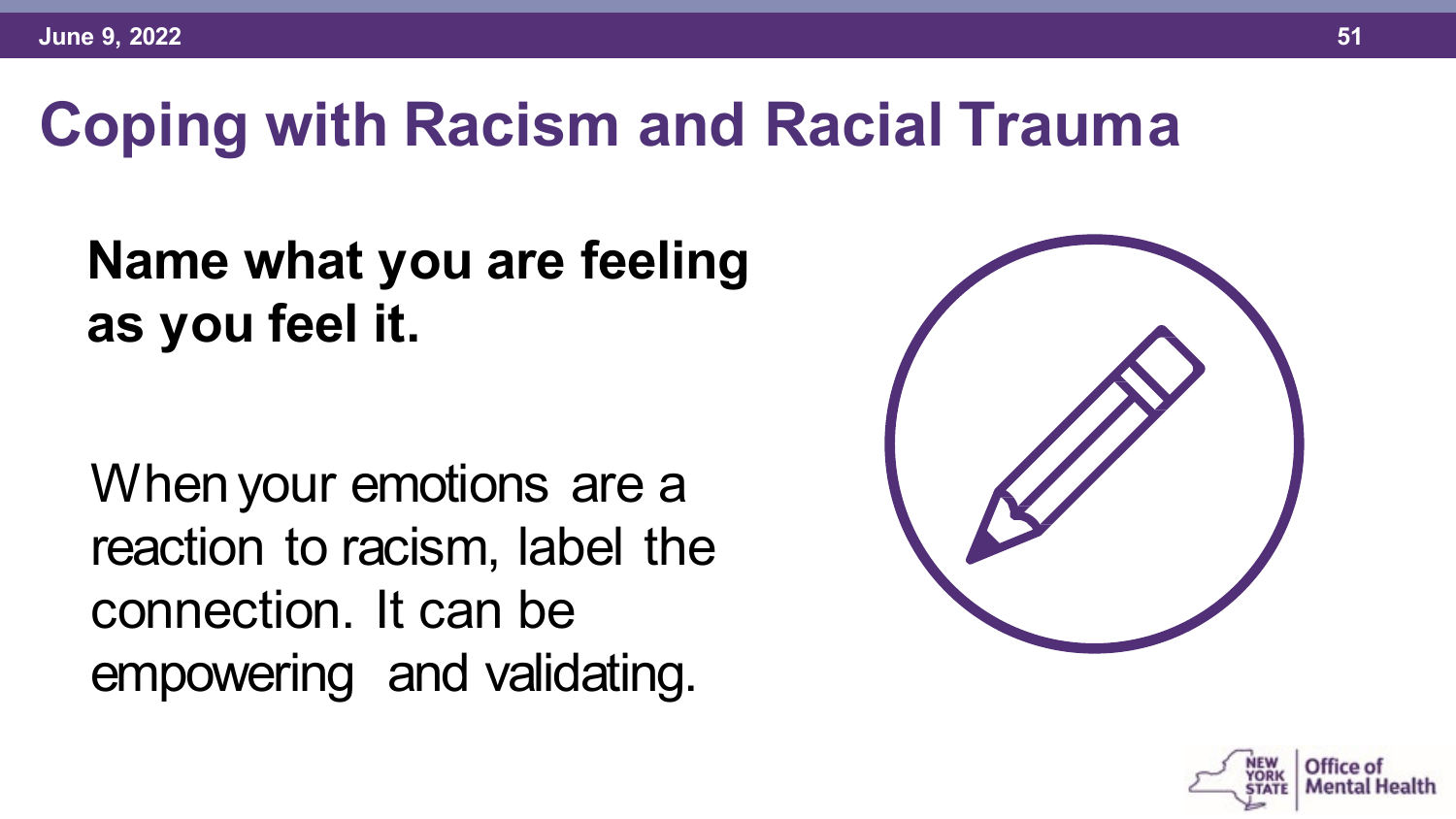#### **Name what you are feeling as you feel it.**

When your emotions are a reaction to racism, label the connection. It can be empowering and validating.



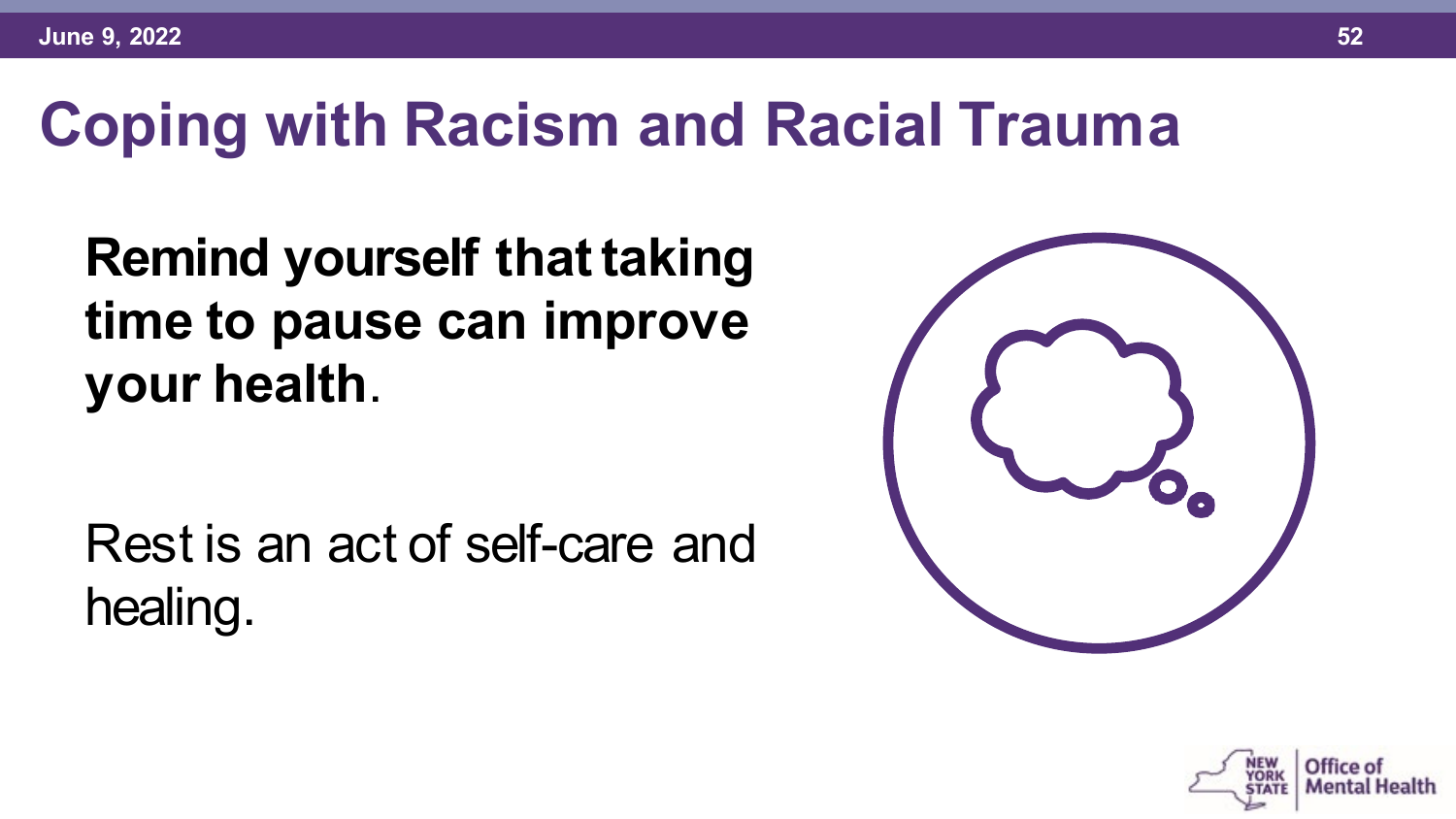#### **Remind yourself that taking time to pause can improve your health**.

Rest is an act of self-care and healing.



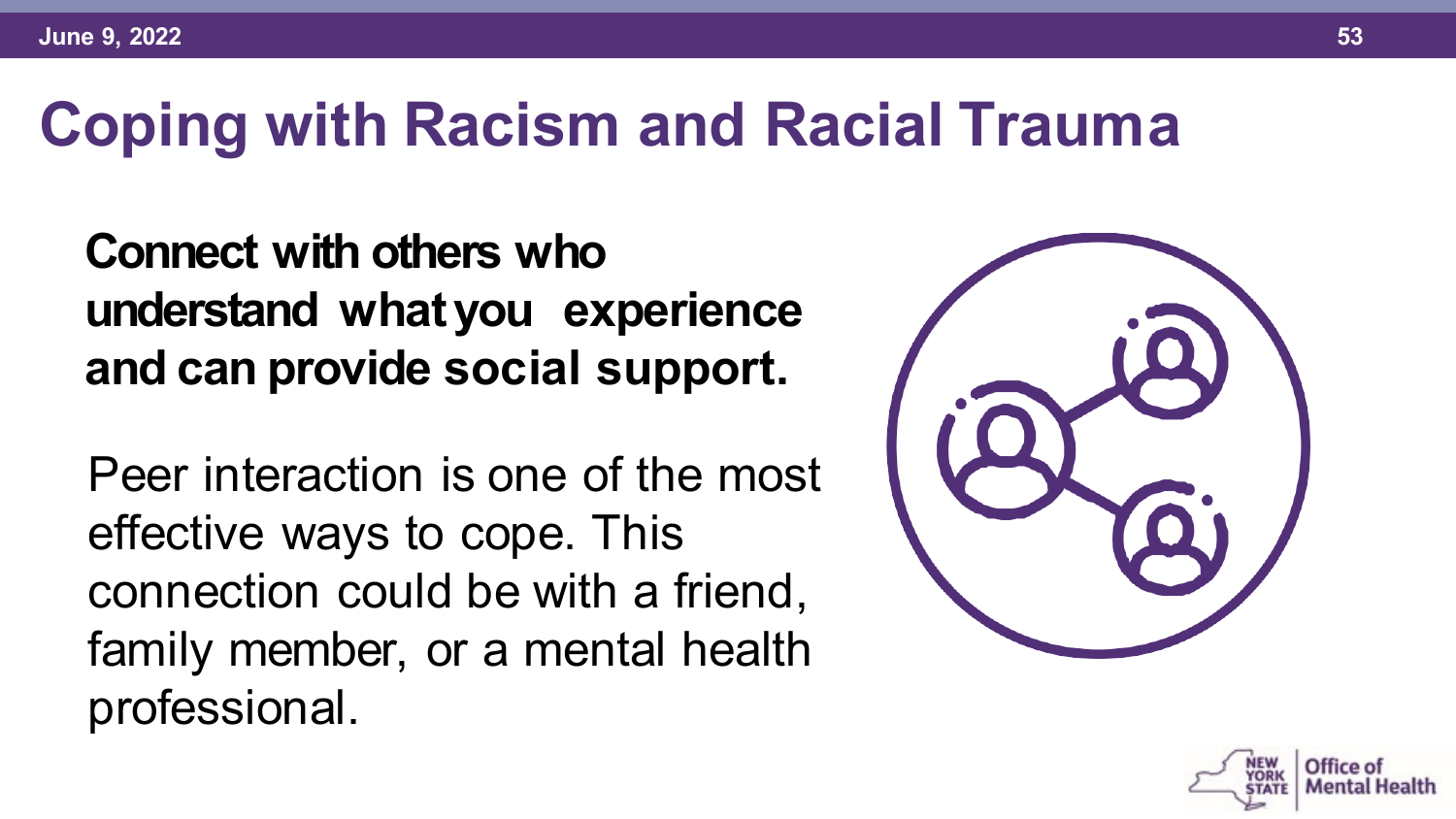**Connect with others who understand whatyou experience and can provide social support.**

Peer interaction is one of the most effective ways to cope. This connection could be with a friend, family member, or a mental health professional.



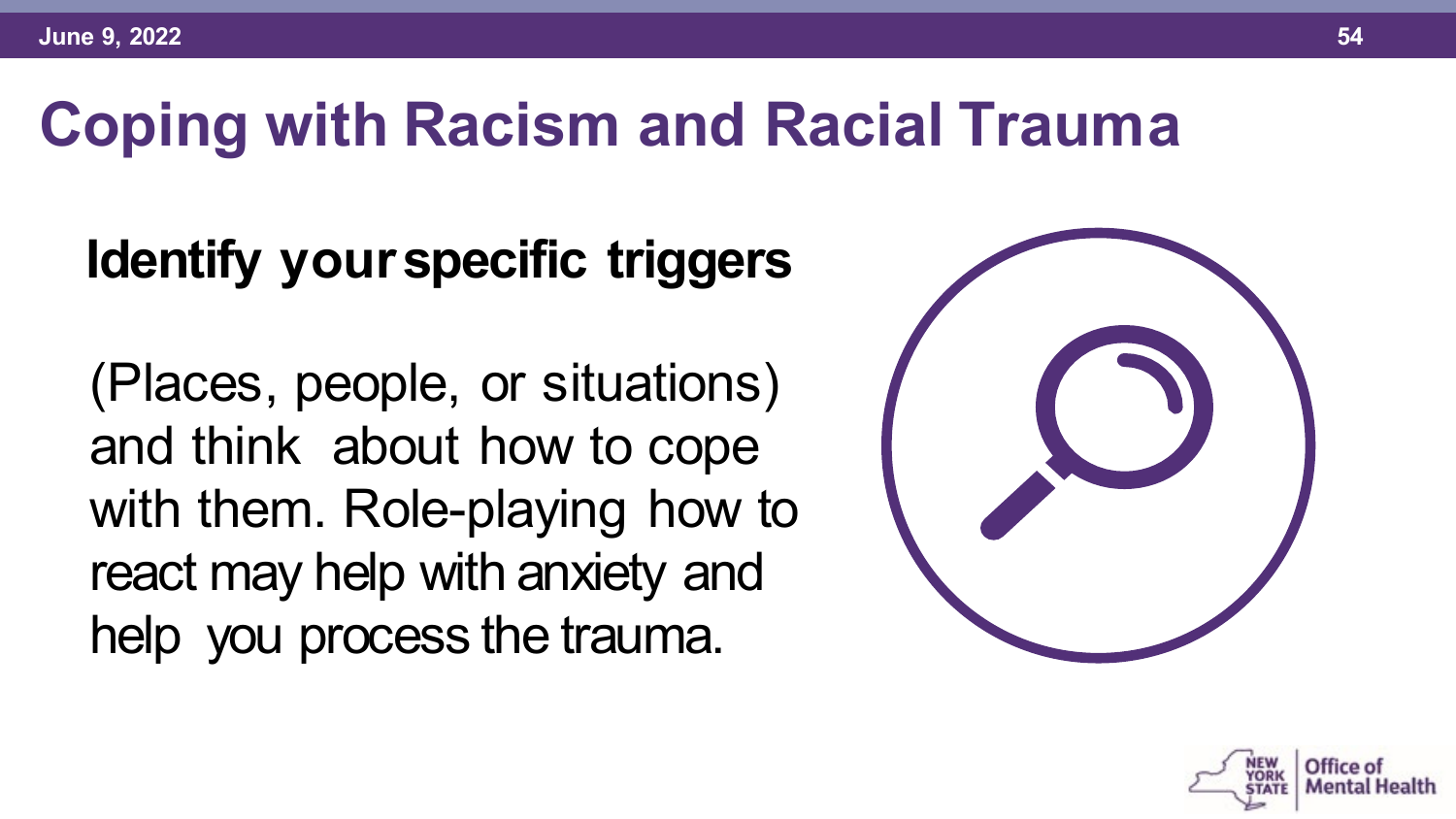#### **Identify yourspecific triggers**

(Places, people, or situations) and think about how to cope with them. Role-playing how to react may help with anxiety and help you process the trauma.



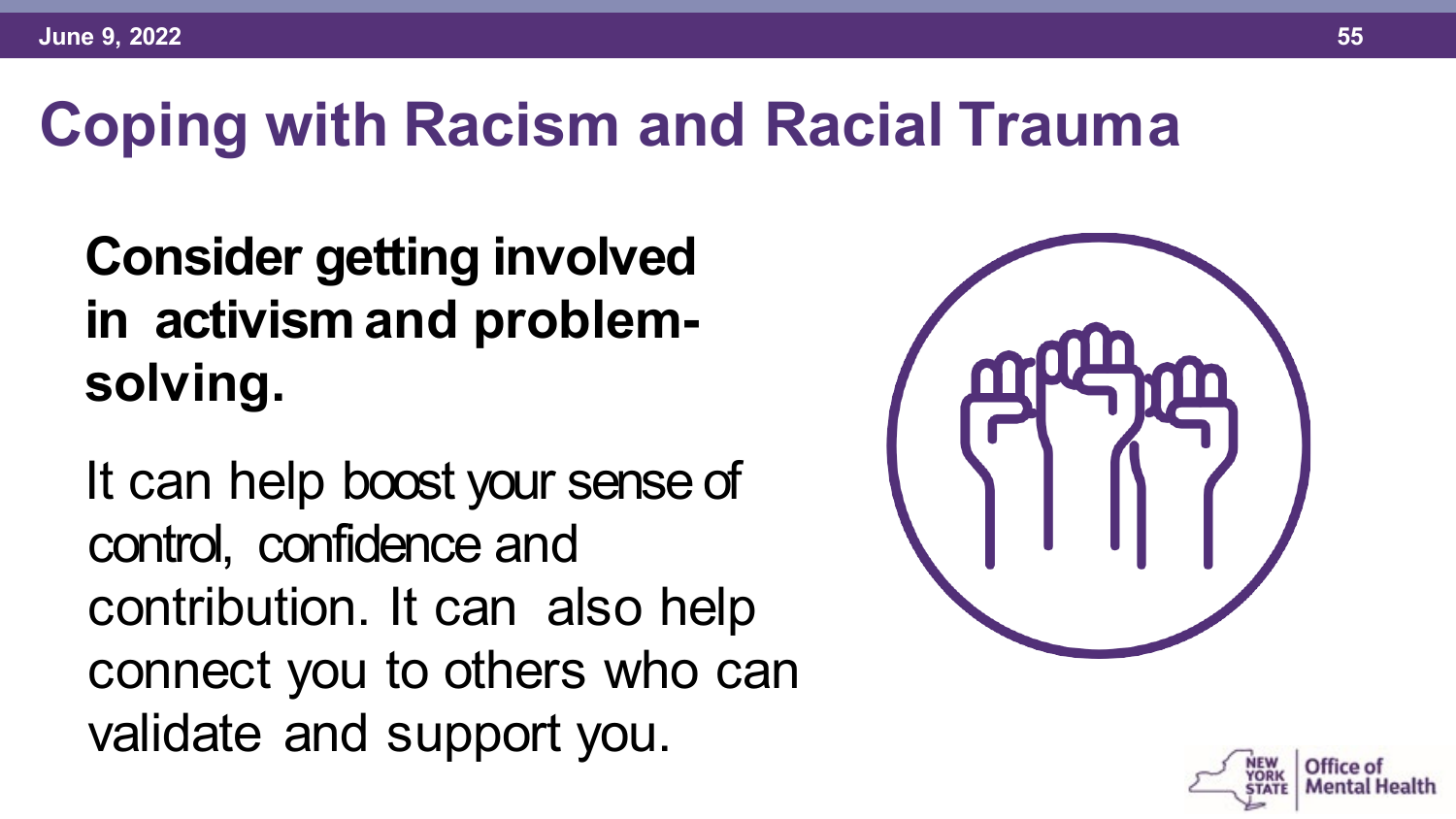#### **Consider getting involved in activism and problemsolving.**

It can help boost your sense of control, confidence and contribution. It can also help connect you to others who can validate and support you.



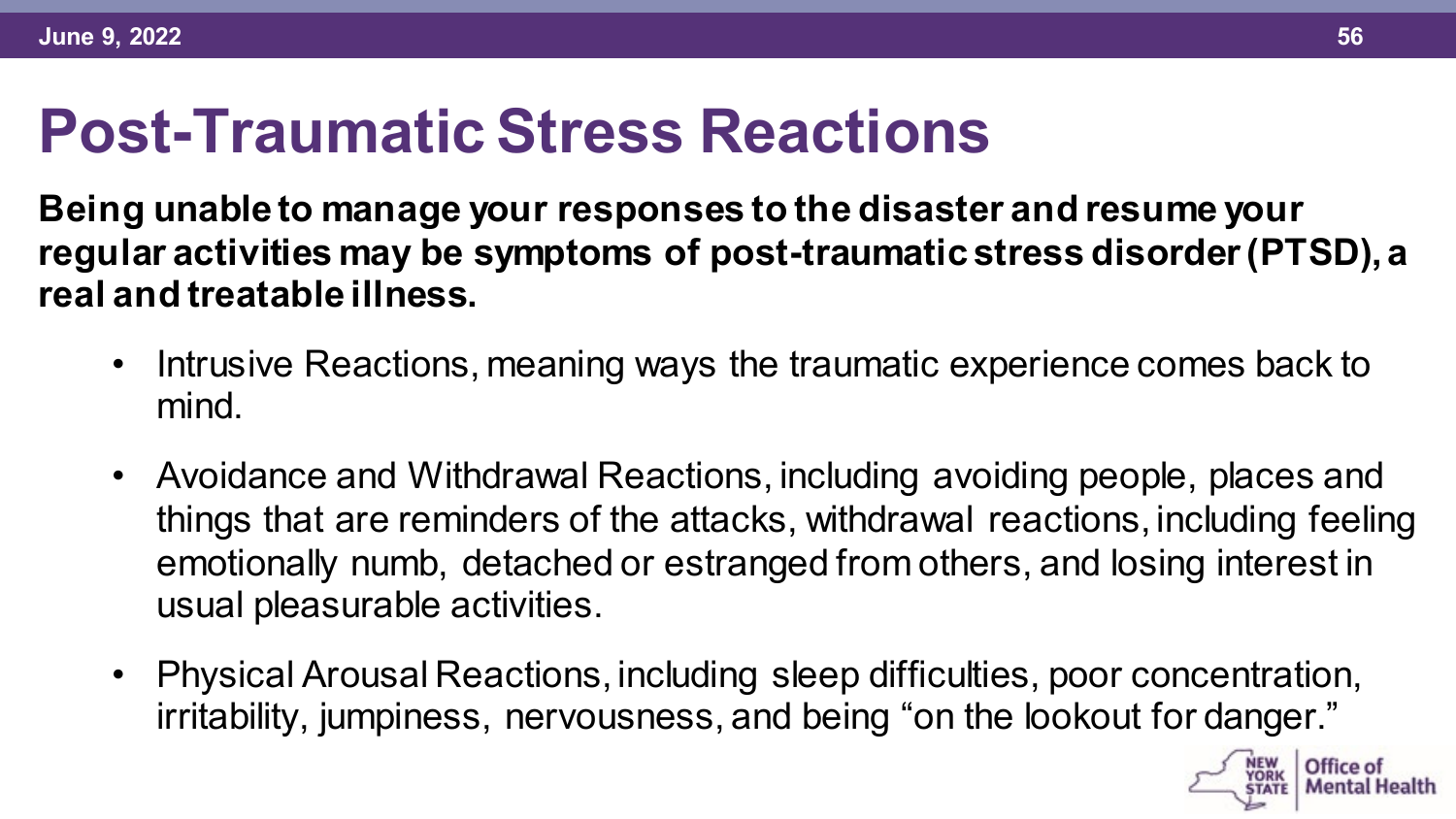#### **Post-Traumatic Stress Reactions**

**Being unable to manage your responses to the disaster and resume your regular activities may be symptoms of post-traumatic stress disorder (PTSD), a real and treatable illness.** 

- Intrusive Reactions, meaning ways the traumatic experience comes back to mind.
- Avoidance and Withdrawal Reactions, including avoiding people, places and things that are reminders of the attacks, withdrawal reactions, including feeling emotionally numb, detached or estranged from others, and losing interest in usual pleasurable activities.
- Physical Arousal Reactions, including sleep difficulties, poor concentration, irritability, jumpiness, nervousness, and being "on the lookout for danger."

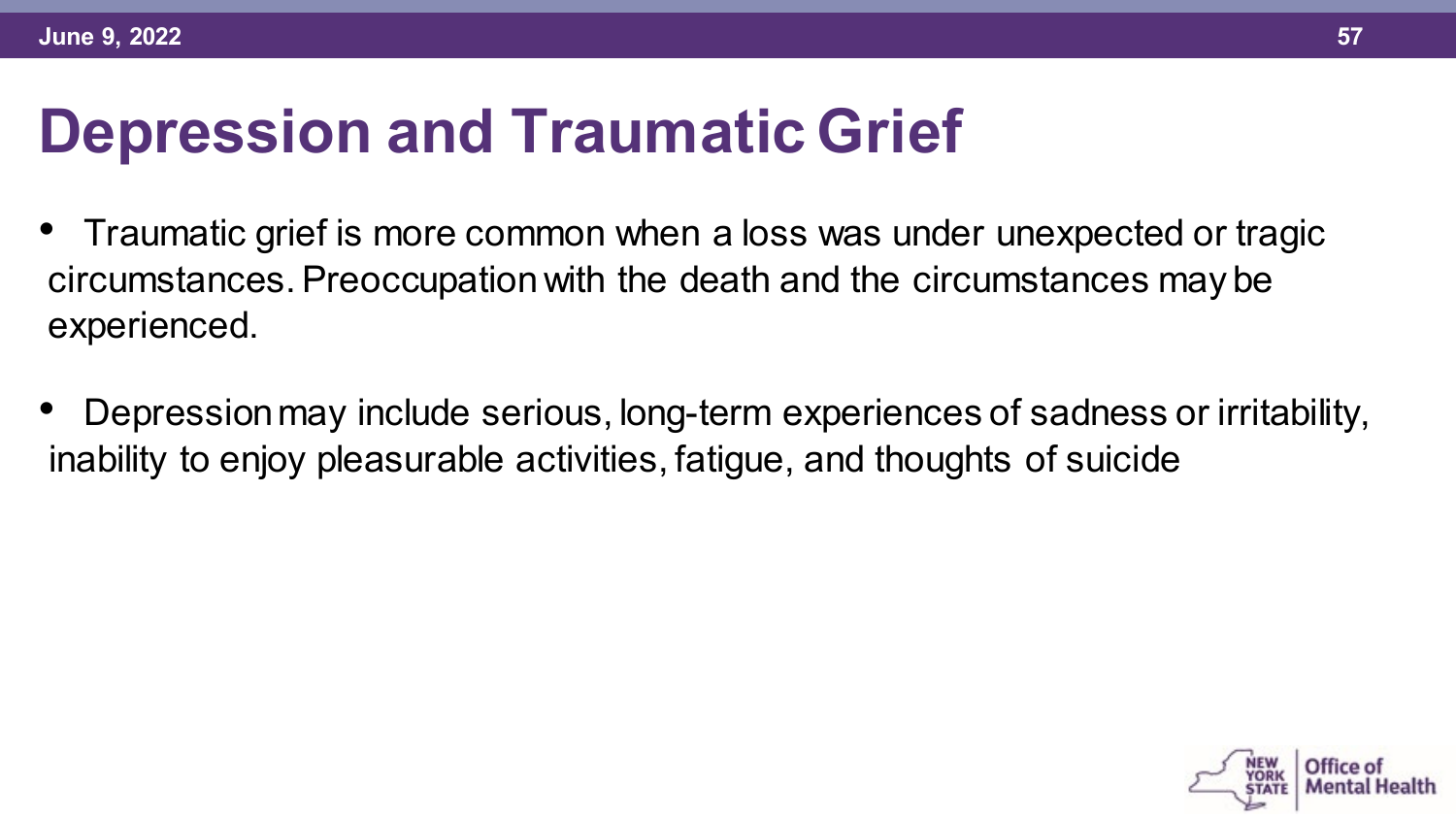#### **Depression and Traumatic Grief**

- Traumatic grief is more common when a loss was under unexpected or tragic circumstances. Preoccupation with the death and the circumstances may be experienced.
- Depression may include serious, long-term experiences of sadness or irritability, inability to enjoy pleasurable activities, fatigue, and thoughts of suicide

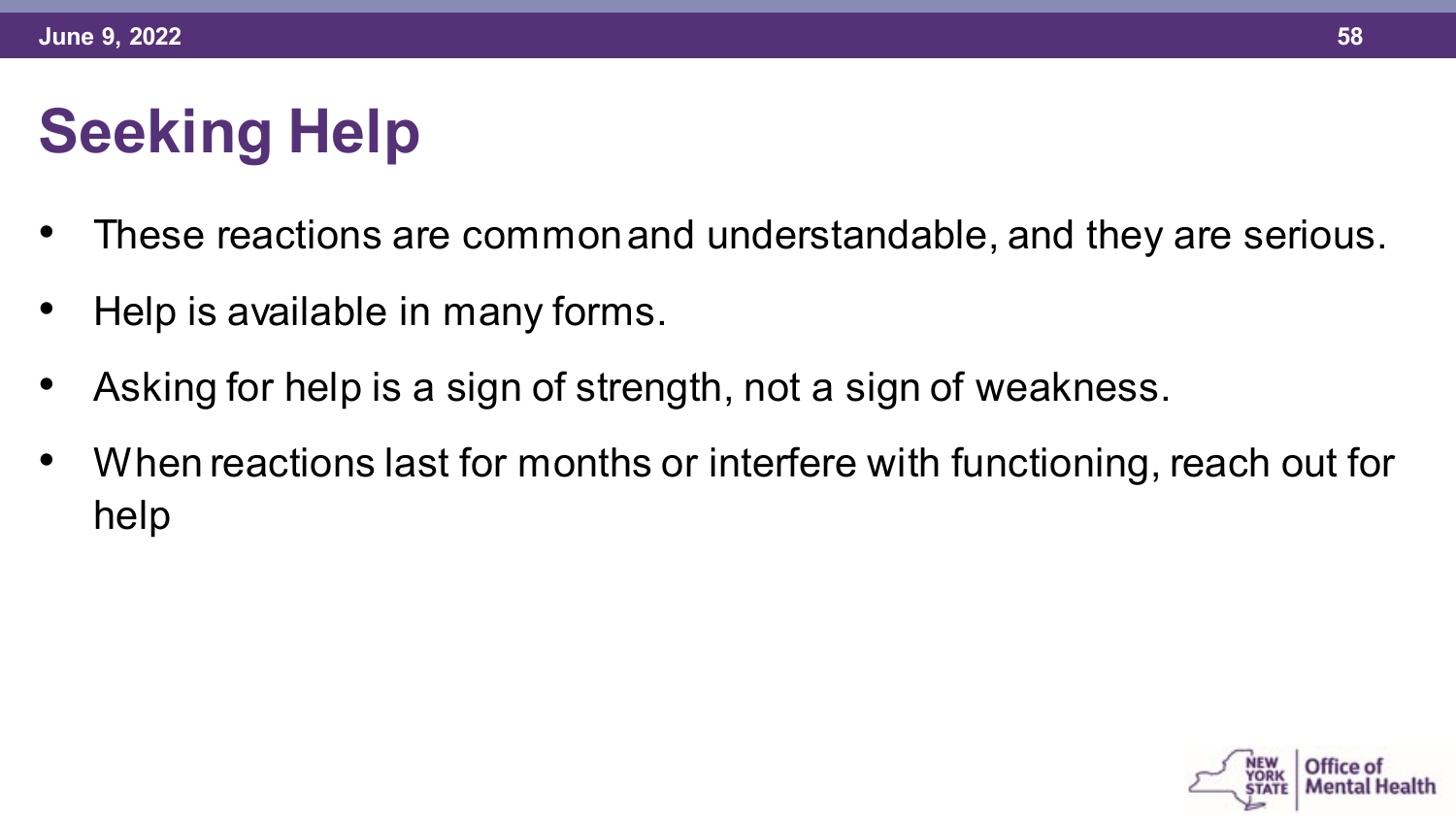# **Seeking Help**

- These reactions are common and understandable, and they are serious.
- Help is available in many forms.
- Asking for help is a sign of strength, not a sign of weakness.
- When reactions last for months or interfere with functioning, reach out for help

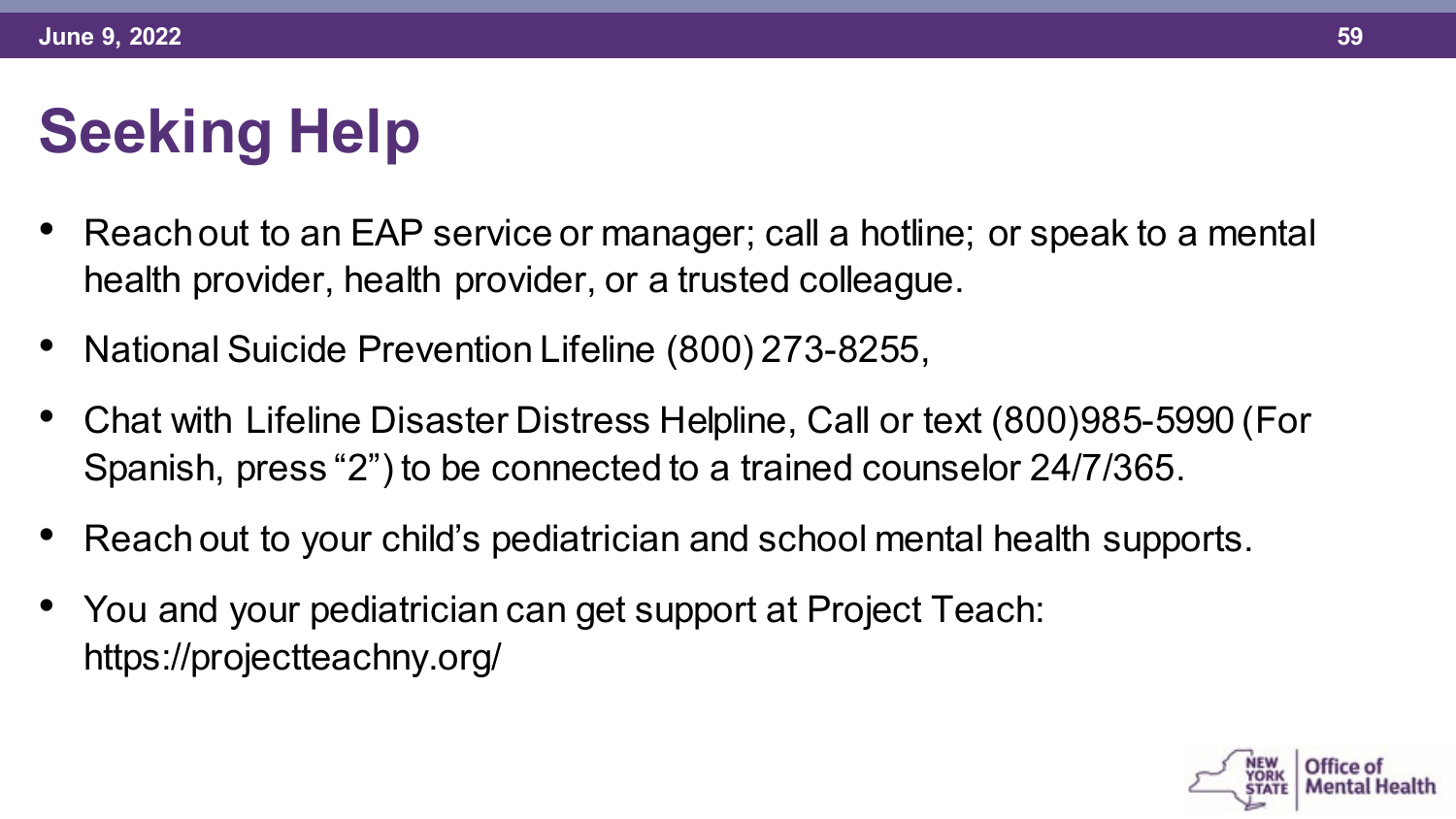# **Seeking Help**

- Reach out to an EAP service or manager; call a hotline; or speak to a mental health provider, health provider, or a trusted colleague.
- National Suicide Prevention Lifeline (800) 273-8255,
- Chat with Lifeline Disaster Distress Helpline, Call or text (800)985-5990 (For Spanish, press "2") to be connected to a trained counselor 24/7/365.
- Reach out to your child's pediatrician and school mental health supports.
- You and your pediatrician can get support at Project Teach: https://projectteachny.org/

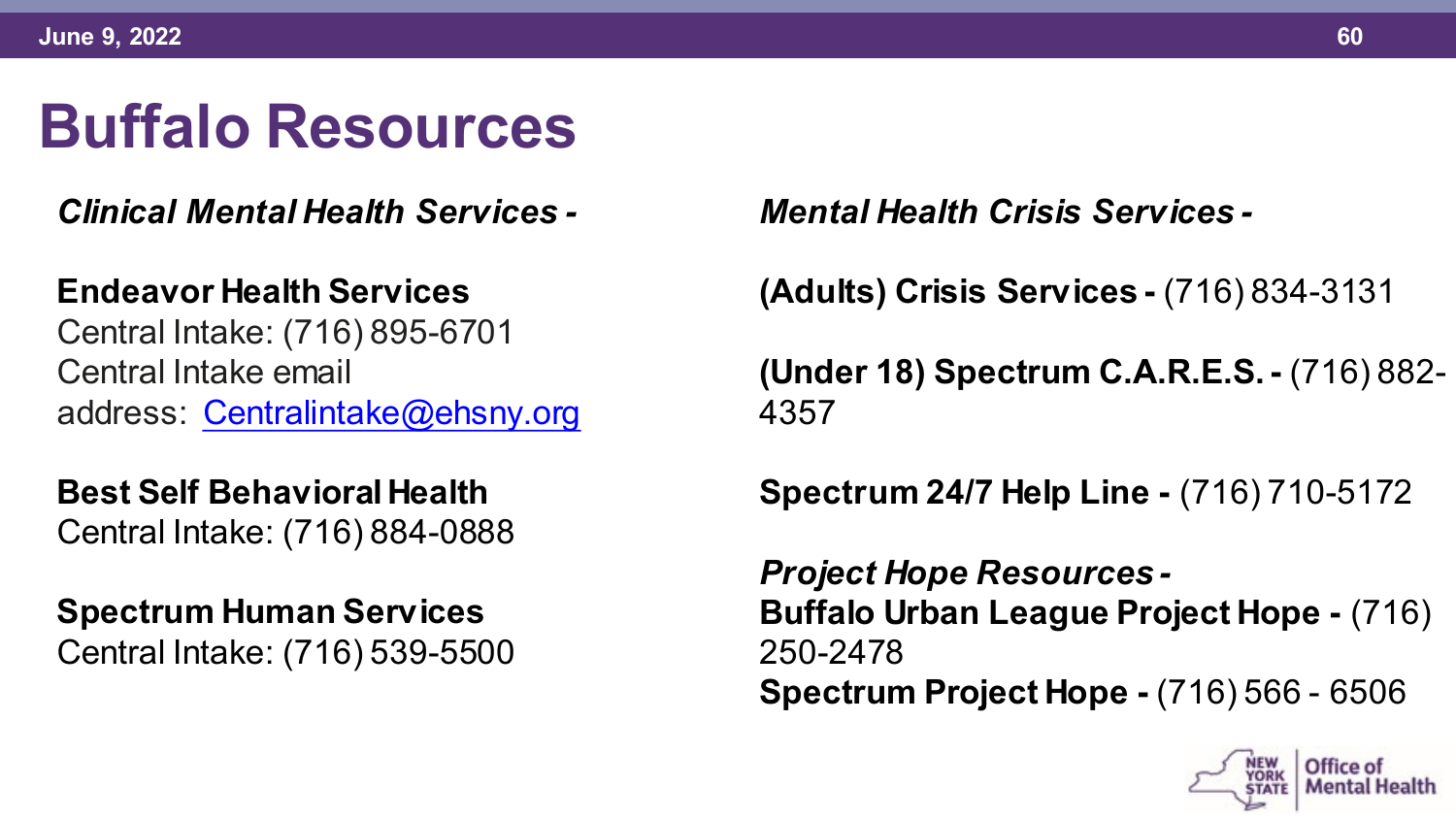#### **Buffalo Resources**

*Clinical Mental Health Services -*

#### **Endeavor Health Services**

Central Intake: (716) 895-6701 Central Intake email address: [Centralintake@ehsny.org](mailto:Centralintake@ehsny.org)

**Best Self Behavioral Health** Central Intake: (716) 884-0888

**Spectrum Human Services** Central Intake: (716) 539-5500 *Mental Health Crisis Services -*

**(Adults) Crisis Services -** (716) 834-3131

**(Under 18) Spectrum C.A.R.E.S.-** (716) 882- 4357

**Spectrum 24/7 Help Line -** (716) 710-5172

*Project Hope Resources -* **Buffalo Urban League Project Hope -** (716) 250-2478 **Spectrum Project Hope -** (716) 566 - 6506

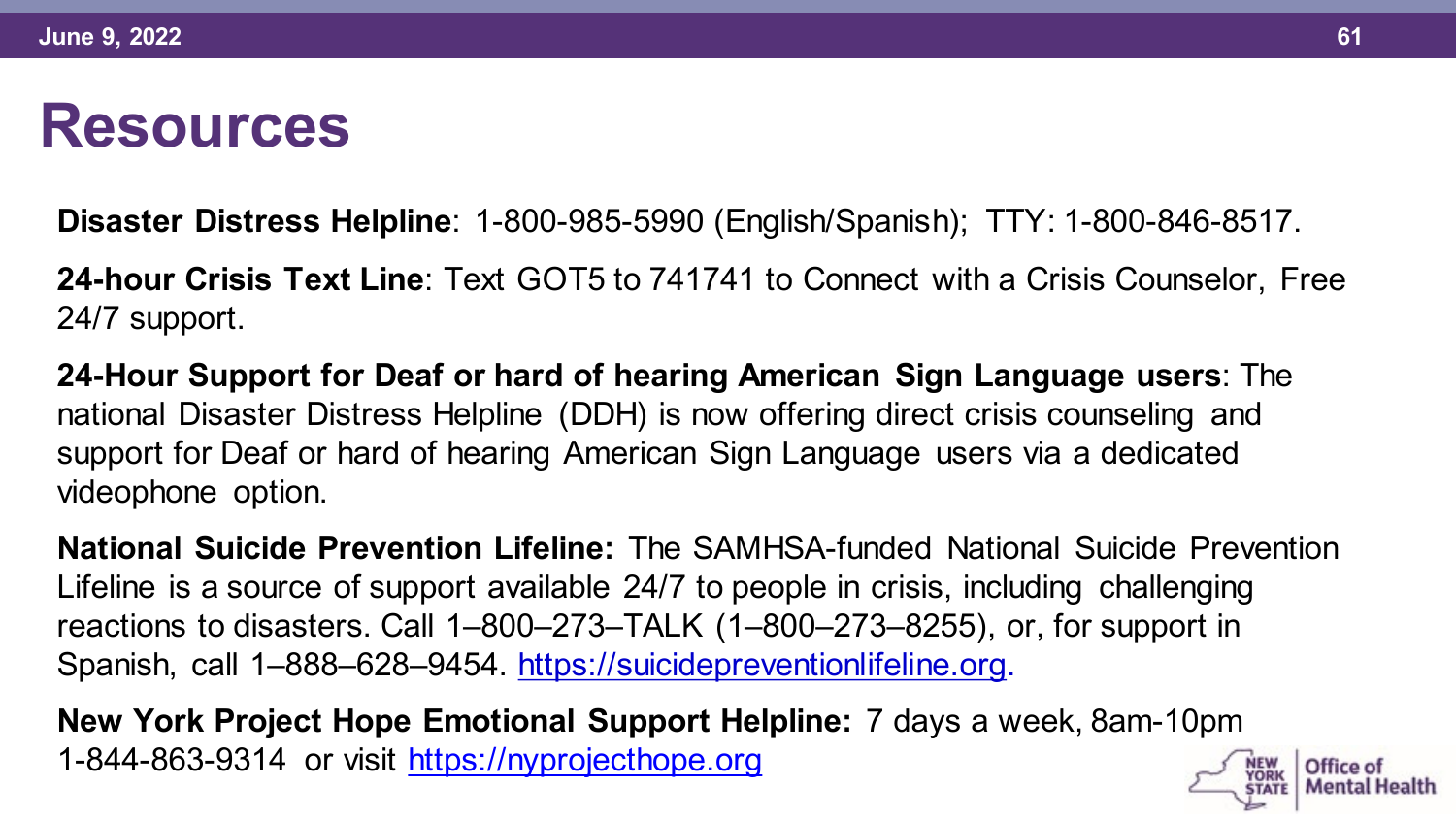#### **Resources**

**Disaster Distress Helpline**: 1-800-985-5990 (English/Spanish); TTY: 1-800-846-8517.

**24-hour Crisis Text Line**: Text GOT5 to 741741 to Connect with a Crisis Counselor, Free 24/7 support.

**24-Hour Support for Deaf or hard of hearing American Sign Language users**: The national Disaster Distress Helpline (DDH) is now offering direct crisis counseling and support for Deaf or hard of hearing American Sign Language users via a dedicated videophone option.

**National Suicide Prevention Lifeline:** The SAMHSA-funded National Suicide Prevention Lifeline is a source of support available 24/7 to people in crisis, including challenging reactions to disasters. Call 1–800–273–TALK (1–800–273–8255), or, for support in Spanish, call 1–888–628–9454. [https://suicidepreventionlifeline.org.](https://suicidepreventionlifeline.org/)

**New York Project Hope Emotional Support Helpline:** 7 days a week, 8am-10pm 1-844-863-9314 or visit [https://nyprojecthope.org](https://nyprojecthope.org/)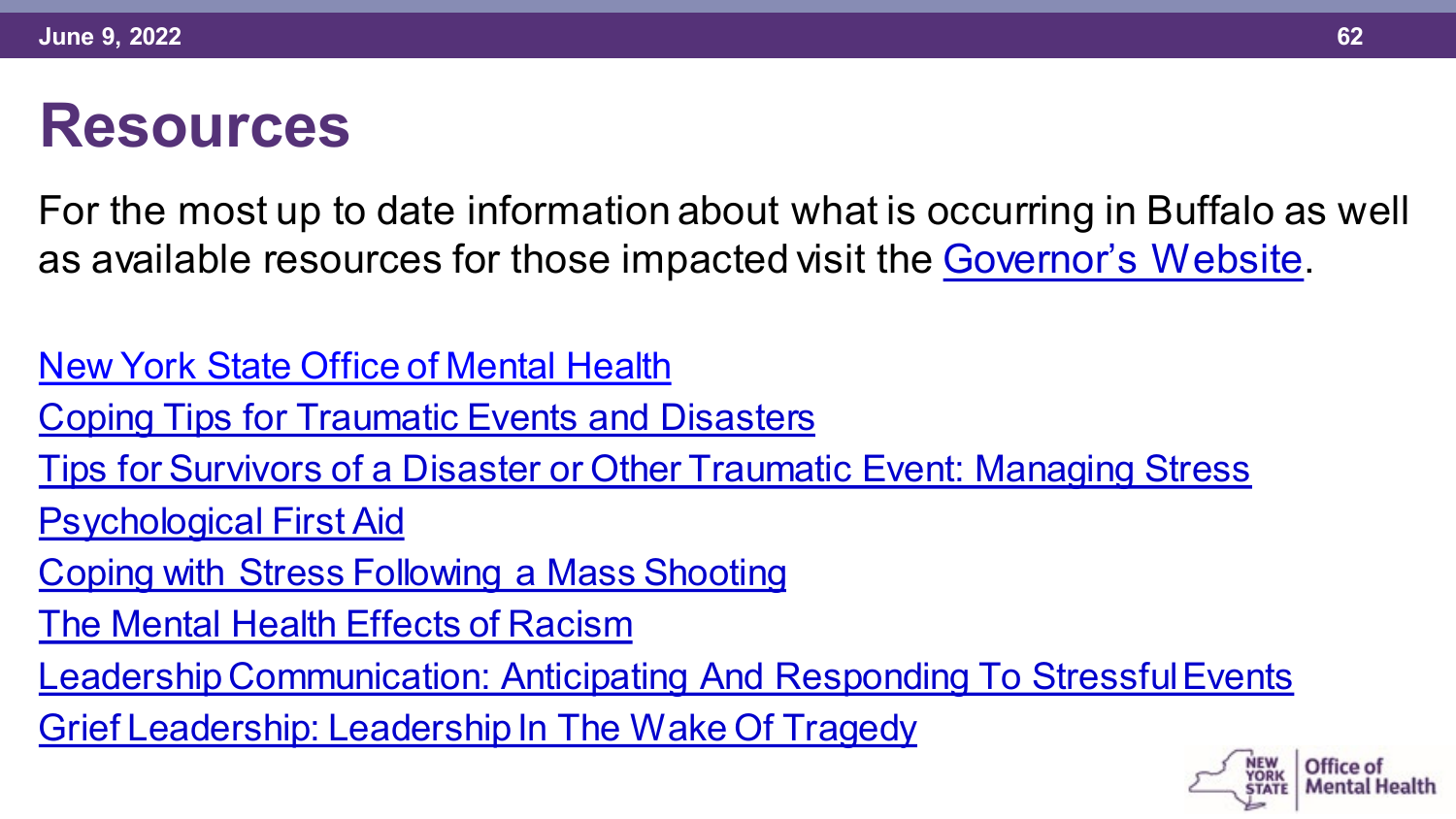#### **Resources**

For the most up to date information about what is occurring in Buffalo as well as available resources for those impacted visit the [Governor's Website.](https://www.ny.gov/resources-services-residents-impacted-buffalo-shooting)

[New York State Office of Mental Health](https://omh.ny.gov/omhweb/disaster_resources/emergency-mental-health-resources.html)

[Coping Tips for Traumatic Events and Disasters](https://www.samhsa.gov/find-help/disaster-distress-helpline/coping-tips)

[Tips for Survivors of a Disaster or Other Traumatic Event: Managing Stress](https://store.samhsa.gov/product/Tips-for-Survivors-of-a-Disaster-or-Other-Traumatic-Event-Managing-Stress/SMA13-4776)

[Psychological First Aid](https://www.nctsn.org/resources/psychological-first-aid-pfa-field-operations-guide-2nd-edition)

[Coping with Stress Following a Mass Shooting](https://www.cstsonline.org/assets/media/documents/CSTS_FS_Coping_with_Stress_Following_Mass_Shooting.pdf)

[The Mental Health Effects of Racism](https://omh.ny.gov/omhweb/cultural_competence/the_mental_health_effects_of_racism.pdf)

[Leadership Communication: Anticipating And Responding To Stressful Events](https://www.cstsonline.org/resources/resource-master-list/leadership-communication-anticipating-responding-stressful-events)

[Grief Leadership: Leadership In The Wake Of Tragedy](https://www.cstsonline.org/resources/resource-master-list/grief-leadership-leadership-in-the-wake-of-tragedy)